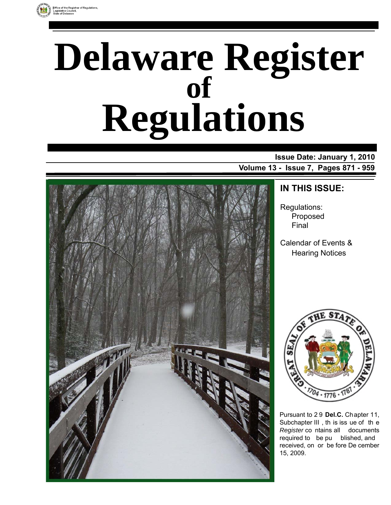

# **Delaware Register Regulations of**

**Issue Date: January 1, 2010 Volume 13 - Issue 7, Pages 871 - 959**

#### **IN THIS ISSUE:**

Regulations: Proposed Final

Calendar of Events & Hearing Notices



Pursuant to 2 9 **Del.C.** Chapter 11, Subchapter III , th is iss ue of th e *Register* co ntains all documents required to be pu blished, and received, on or be fore De cember 15, 2009.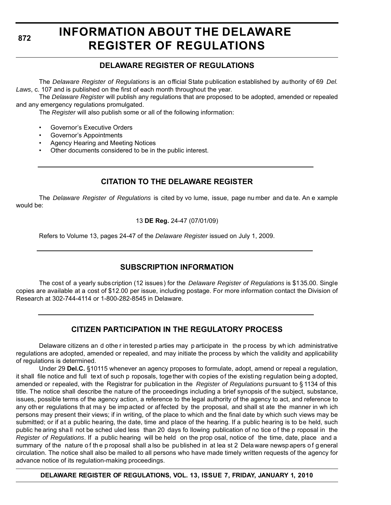**872**

### **INFORMATION ABOUT THE DELAWARE REGISTER OF REGULATIONS**

#### **DELAWARE REGISTER OF REGULATIONS**

The *Delaware Register of Regulations* is an official State publication established by authority of 69 *Del. Laws*, c. 107 and is published on the first of each month throughout the year.

The *Delaware Register* will publish any regulations that are proposed to be adopted, amended or repealed and any emergency regulations promulgated.

The *Register* will also publish some or all of the following information:

- Governor's Executive Orders
- Governor's Appointments
- Agency Hearing and Meeting Notices
- Other documents considered to be in the public interest.

#### **CITATION TO THE DELAWARE REGISTER**

The *Delaware Register of Regulations* is cited by vo lume, issue, page nu mber and da te. An e xample would be:

#### 13 **DE Reg.** 24-47 (07/01/09)

Refers to Volume 13, pages 24-47 of the *Delaware Register* issued on July 1, 2009.

#### **SUBSCRIPTION INFORMATION**

The cost of a yearly subscription (12 issues) for the *Delaware Register of Regulations* is \$135.00. Single copies are available at a cost of \$12.00 per issue, including postage. For more information contact the Division of Research at 302-744-4114 or 1-800-282-8545 in Delaware.

#### **CITIZEN PARTICIPATION IN THE REGULATORY PROCESS**

Delaware citizens an d othe r in terested p arties may p articipate in the p rocess by wh ich administrative regulations are adopted, amended or repealed, and may initiate the process by which the validity and applicability of regulations is determined.

Under 29 **Del.C.** §10115 whenever an agency proposes to formulate, adopt, amend or repeal a regulation, it shall file notice and full text of such p roposals, together with copies of the existing regulation being adopted, amended or repealed, with the Registrar for publication in the *Register of Regulations* pursuant to § 1134 of this title. The notice shall describe the nature of the proceedings including a brief synopsis of the subject, substance, issues, possible terms of the agency action, a reference to the legal authority of the agency to act, and reference to any oth er regulations th at ma y be imp acted or af fected by the proposal, and shall st ate the manner in wh ich persons may present their views; if in writing, of the place to which and the final date by which such views may be submitted; or if at a public hearing, the date, time and place of the hearing. If a public hearing is to be held, such public he aring shall not be sched uled less than 20 days fo llowing publication of no tice of the p roposal in the *Register of Regulations*. If a public hearing will be held on the prop osal, notice of the time, date, place and a summary of the nature of the p roposal shall a lso be pu blished in at lea st 2 Dela ware newsp apers of general circulation. The notice shall also be mailed to all persons who have made timely written requests of the agency for advance notice of its regulation-making proceedings.

**DELAWARE REGISTER OF REGULATIONS, VOL. 13, ISSUE 7, FRIDAY, JANUARY 1, 2010**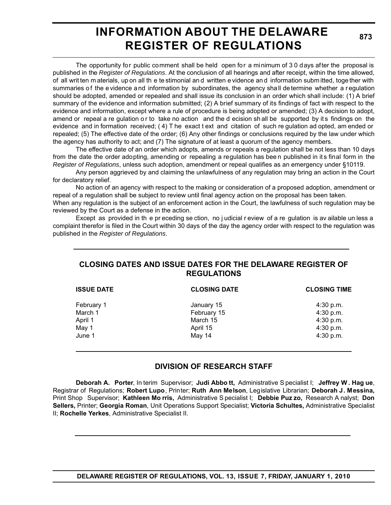### **INFORMATION ABOUT THE DELAWARE REGISTER OF REGULATIONS**

**873**

The opportunity for public comment shall be held open for a minimum of 3 0 days after the proposal is published in the *Register of Regulations*. At the conclusion of all hearings and after receipt, within the time allowed, of all writ ten m aterials, up on all th e te stimonial an d written e vidence an d information subm itted, toge ther with summaries of the e vidence and information by subordinates, the agency shall de termine whether a regulation should be adopted, amended or repealed and shall issue its conclusion in an order which shall include: (1) A brief summary of the evidence and information submitted; (2) A brief summary of its findings of fact with respect to the evidence and information, except where a rule of procedure is being adopted or amended; (3) A decision to adopt, amend or repeal a re gulation or to take no action and the d ecision sh all be supported by its findings on the evidence and in formation received; ( 4) T he exact t ext and citation of such re gulation ad opted, am ended or repealed; (5) The effective date of the order; (6) Any other findings or conclusions required by the law under which the agency has authority to act; and (7) The signature of at least a quorum of the agency members.

The effective date of an order which adopts, amends or repeals a regulation shall be not less than 10 days from the date the order adopting, amending or repealing a regulation has bee n published in it s final form in the *Register of Regulations*, unless such adoption, amendment or repeal qualifies as an emergency under §10119.

Any person aggrieved by and claiming the unlawfulness of any regulation may bring an action in the Court for declaratory relief.

No action of an agency with respect to the making or consideration of a proposed adoption, amendment or repeal of a regulation shall be subject to review until final agency action on the proposal has been taken.

When any regulation is the subject of an enforcement action in the Court, the lawfulness of such regulation may be reviewed by the Court as a defense in the action.

Except as provided in th e pr eceding se ction, no j udicial r eview of a re gulation is av ailable un less a complaint therefor is filed in the Court within 30 days of the day the agency order with respect to the regulation was published in the *Register of Regulations*.

#### **CLOSING DATES AND ISSUE DATES FOR THE DELAWARE REGISTER OF REGULATIONS**

| <b>ISSUE DATE</b> | <b>CLOSING DATE</b> | <b>CLOSING TIME</b> |
|-------------------|---------------------|---------------------|
| February 1        | January 15          | $4:30$ p.m.         |
| March 1           | February 15         | 4:30 p.m.           |
| April 1           | March 15            | 4:30 p.m.           |
| May 1             | April 15            | 4:30 p.m.           |
| June 1            | May 14              | 4:30 p.m.           |

#### **DIVISION OF RESEARCH STAFF**

**Deborah A. Porter**, In terim Supervisor; **Judi Abbo tt,** Administrative S pecialist I; **Jeffrey W . Hag ue**, Registrar of Regulations; **Robert Lupo**, Printer; **Ruth Ann Melson**, Legislative Librarian; **Deborah J. Messina,** Print Shop Supervisor; **Kathleen Mo rris,** Administrative S pecialist I; **Debbie Puz zo,** Research A nalyst; **Don Sellers,** Printer; **Georgia Roman**, Unit Operations Support Specialist; **Victoria Schultes,** Administrative Specialist II; **Rochelle Yerkes**, Administrative Specialist II.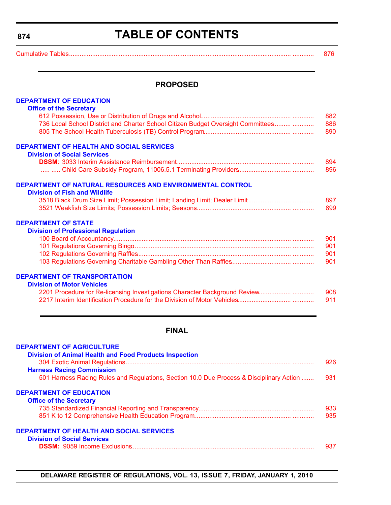### **TABLE OF CONTENTS**

<span id="page-3-0"></span>[Cumulative Tables............................................................................................................................. ............ 876](#page-5-0)

|  | <b>PROPOSED</b> |
|--|-----------------|
|--|-----------------|

| <b>DEPARTMENT OF EDUCATION</b>                                                                    |            |
|---------------------------------------------------------------------------------------------------|------------|
| <b>Office of the Secretary</b>                                                                    |            |
|                                                                                                   | 882        |
| 736 Local School District and Charter School Citizen Budget Oversight Committees                  | 886        |
|                                                                                                   | 890        |
| DEPARTMENT OF HEALTH AND SOCIAL SERVICES                                                          |            |
| <b>Division of Social Services</b>                                                                |            |
|                                                                                                   | 894        |
|                                                                                                   | 896        |
| DEPARTMENT OF NATURAL RESOURCES AND ENVIRONMENTAL CONTROL<br><b>Division of Fish and Wildlife</b> |            |
|                                                                                                   | 897        |
|                                                                                                   | 899        |
| <b>DEPARTMENT OF STATE</b>                                                                        |            |
| <b>Division of Professional Regulation</b>                                                        |            |
|                                                                                                   | 901        |
|                                                                                                   | 901        |
|                                                                                                   | 901        |
|                                                                                                   | 901        |
| <b>DEPARTMENT OF TRANSPORTATION</b><br><b>Division of Motor Vehicles</b>                          | 908<br>911 |
| <b>FINAL</b>                                                                                      |            |
| <b>DEPARTMENT OF AGRICULTURE</b>                                                                  |            |
| <b>Division of Animal Health and Food Products Inspection</b>                                     |            |
|                                                                                                   | 926        |
| <b>Harness Racing Commission</b>                                                                  |            |
| 501 Harness Racing Rules and Regulations, Section 10.0 Due Process & Disciplinary Action          | 931        |
| <b>DEPARTMENT OF EDUCATION</b>                                                                    |            |
| <b>Office of the Secretary</b>                                                                    | 933        |
|                                                                                                   | 935        |
|                                                                                                   |            |
| <b>DEPARTMENT OF HEALTH AND SOCIAL SERVICES</b>                                                   |            |
| <b>Division of Social Services</b>                                                                |            |
|                                                                                                   | 937        |
|                                                                                                   |            |

**DELAWARE REGISTER OF REGULATIONS, VOL. 13, ISSUE 7, FRIDAY, JANUARY 1, 2010**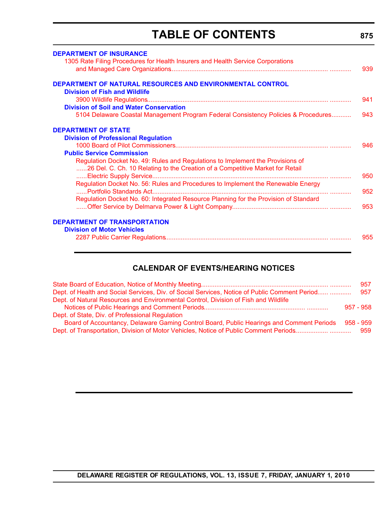### **TABLE OF CONTENTS**

| <b>DEPARTMENT OF INSURANCE</b><br>1305 Rate Filing Procedures for Health Insurers and Health Service Corporations |     |
|-------------------------------------------------------------------------------------------------------------------|-----|
|                                                                                                                   | 939 |
| DEPARTMENT OF NATURAL RESOURCES AND ENVIRONMENTAL CONTROL                                                         |     |
| <b>Division of Fish and Wildlife</b>                                                                              | 941 |
| <b>Division of Soil and Water Conservation</b>                                                                    |     |
| 5104 Delaware Coastal Management Program Federal Consistency Policies & Procedures                                | 943 |
| <b>DEPARTMENT OF STATE</b>                                                                                        |     |
| <b>Division of Professional Regulation</b>                                                                        |     |
|                                                                                                                   | 946 |
| <b>Public Service Commission</b>                                                                                  |     |
| Regulation Docket No. 49: Rules and Regulations to Implement the Provisions of                                    |     |
| 26 Del. C. Ch. 10 Relating to the Creation of a Competitive Market for Retail                                     |     |
| Regulation Docket No. 56: Rules and Procedures to Implement the Renewable Energy                                  | 950 |
|                                                                                                                   | 952 |
| Regulation Docket No. 60: Integrated Resource Planning for the Provision of Standard                              |     |
|                                                                                                                   | 953 |
| <b>DEPARTMENT OF TRANSPORTATION</b>                                                                               |     |
| <b>Division of Motor Vehicles</b>                                                                                 |     |
|                                                                                                                   | 955 |

#### **CALENDAR OF EVENTS/HEARING NOTICES**

|                                                                                               | 957         |
|-----------------------------------------------------------------------------------------------|-------------|
| Dept. of Health and Social Services, Div. of Social Services, Notice of Public Comment Period | 957         |
| Dept. of Natural Resources and Environmental Control, Division of Fish and Wildlife           |             |
|                                                                                               | $957 - 958$ |
| Dept. of State, Div. of Professional Regulation                                               |             |
| Board of Accountancy, Delaware Gaming Control Board, Public Hearings and Comment Periods      | 958 - 959   |
| Dept. of Transportation, Division of Motor Vehicles, Notice of Public Comment Periods         | 959         |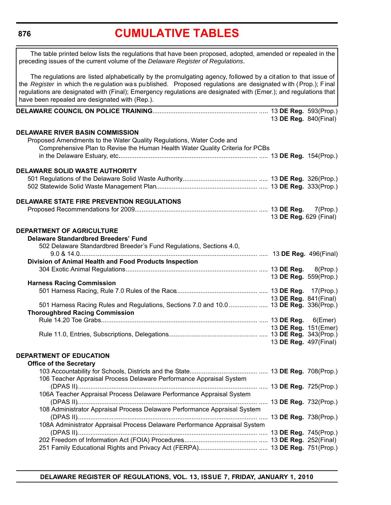<span id="page-5-0"></span>**876**

### **[CUMULATIVE TABLES](#page-3-0)**

| The table printed below lists the regulations that have been proposed, adopted, amended or repealed in the<br>preceding issues of the current volume of the Delaware Register of Regulations.                                                                                                                                                                                                      |                                               |  |
|----------------------------------------------------------------------------------------------------------------------------------------------------------------------------------------------------------------------------------------------------------------------------------------------------------------------------------------------------------------------------------------------------|-----------------------------------------------|--|
| The regulations are listed alphabetically by the promulgating agency, followed by a citation to that issue of<br>the Register in which the regulation was published. Proposed regulations are designated with (Prop.); Final<br>regulations are designated with (Final); Emergency regulations are designated with (Emer.); and regulations that<br>have been repealed are designated with (Rep.). |                                               |  |
|                                                                                                                                                                                                                                                                                                                                                                                                    | 13 DE Reg. 840(Final)                         |  |
| <b>DELAWARE RIVER BASIN COMMISSION</b>                                                                                                                                                                                                                                                                                                                                                             |                                               |  |
| Proposed Amendments to the Water Quality Regulations, Water Code and<br>Comprehensive Plan to Revise the Human Health Water Quality Criteria for PCBs                                                                                                                                                                                                                                              |                                               |  |
| <b>DELAWARE SOLID WASTE AUTHORITY</b>                                                                                                                                                                                                                                                                                                                                                              |                                               |  |
|                                                                                                                                                                                                                                                                                                                                                                                                    |                                               |  |
| <b>DELAWARE STATE FIRE PREVENTION REGULATIONS</b>                                                                                                                                                                                                                                                                                                                                                  |                                               |  |
|                                                                                                                                                                                                                                                                                                                                                                                                    | 13 DE Reg. 629 (Final)                        |  |
| DEPARTMENT OF AGRICULTURE<br><b>Delaware Standardbred Breeders' Fund</b><br>502 Delaware Standardbred Breeder's Fund Regulations, Sections 4.0,                                                                                                                                                                                                                                                    |                                               |  |
| Division of Animal Health and Food Products Inspection                                                                                                                                                                                                                                                                                                                                             |                                               |  |
|                                                                                                                                                                                                                                                                                                                                                                                                    | 13 DE Reg. 559(Prop.)                         |  |
| <b>Harness Racing Commission</b>                                                                                                                                                                                                                                                                                                                                                                   |                                               |  |
|                                                                                                                                                                                                                                                                                                                                                                                                    | 13 DE Reg. 841(Final)                         |  |
| 501 Harness Racing Rules and Regulations, Sections 7.0 and 10.0  13 DE Reg. 336(Prop.)<br><b>Thoroughbred Racing Commission</b>                                                                                                                                                                                                                                                                    |                                               |  |
|                                                                                                                                                                                                                                                                                                                                                                                                    | 13 DE Reg. 151(Emer)<br>13 DE Reg. 497(Final) |  |
| DEPARTMENT OF EDUCATION                                                                                                                                                                                                                                                                                                                                                                            |                                               |  |
| <b>Office of the Secretary</b>                                                                                                                                                                                                                                                                                                                                                                     |                                               |  |
| 106 Teacher Appraisal Process Delaware Performance Appraisal System                                                                                                                                                                                                                                                                                                                                |                                               |  |
| 106A Teacher Appraisal Process Delaware Performance Appraisal System                                                                                                                                                                                                                                                                                                                               |                                               |  |
| 108 Administrator Appraisal Process Delaware Performance Appraisal System                                                                                                                                                                                                                                                                                                                          |                                               |  |
| 108A Administrator Appraisal Process Delaware Performance Appraisal System                                                                                                                                                                                                                                                                                                                         |                                               |  |
|                                                                                                                                                                                                                                                                                                                                                                                                    |                                               |  |
|                                                                                                                                                                                                                                                                                                                                                                                                    |                                               |  |
|                                                                                                                                                                                                                                                                                                                                                                                                    |                                               |  |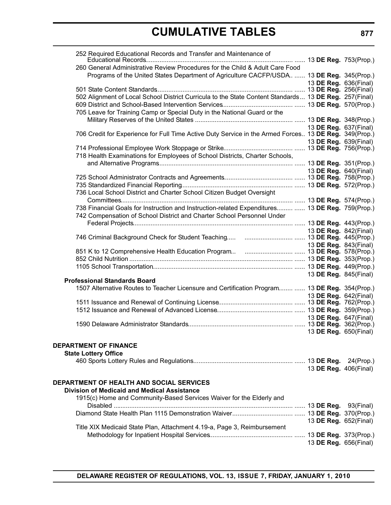| 252 Required Educational Records and Transfer and Maintenance of                                      |                       |  |
|-------------------------------------------------------------------------------------------------------|-----------------------|--|
| 260 General Administrative Review Procedures for the Child & Adult Care Food                          |                       |  |
|                                                                                                       |                       |  |
| Programs of the United States Department of Agriculture CACFP/USDA.  13 DE Reg. 345(Prop.)            | 13 DE Reg. 636(Final) |  |
|                                                                                                       |                       |  |
| 502 Alignment of Local School District Curricula to the State Content Standards 13 DE Reg. 257(Final) |                       |  |
|                                                                                                       |                       |  |
|                                                                                                       |                       |  |
| 705 Leave for Training Camp or Special Duty in the National Guard or the                              |                       |  |
|                                                                                                       |                       |  |
| 706 Credit for Experience for Full Time Active Duty Service in the Armed Forces 13 DE Reg. 349(Prop.) | 13 DE Reg. 637(Final) |  |
|                                                                                                       | 13 DE Reg. 639(Final) |  |
|                                                                                                       |                       |  |
| 718 Health Examinations for Employees of School Districts, Charter Schools,                           |                       |  |
|                                                                                                       |                       |  |
|                                                                                                       |                       |  |
|                                                                                                       | 13 DE Reg. 640(Final) |  |
|                                                                                                       |                       |  |
| 736 Local School District and Charter School Citizen Budget Oversight                                 |                       |  |
|                                                                                                       |                       |  |
|                                                                                                       |                       |  |
| 738 Financial Goals for Instruction and Instruction-related Expenditures  13 DE Reg. 759(Prop.)       |                       |  |
| 742 Compensation of School District and Charter School Personnel Under                                |                       |  |
|                                                                                                       |                       |  |
|                                                                                                       | 13 DE Reg. 842(Final) |  |
|                                                                                                       |                       |  |
|                                                                                                       | 13 DE Reg. 843(Final) |  |
|                                                                                                       |                       |  |
|                                                                                                       |                       |  |
|                                                                                                       | 13 DE Reg. 845(Final) |  |
| <b>Professional Standards Board</b>                                                                   |                       |  |
| 1507 Alternative Routes to Teacher Licensure and Certification Program  13 DE Reg. 354(Prop.)         |                       |  |
|                                                                                                       | 13 DE Reg. 642(Final) |  |
|                                                                                                       |                       |  |
|                                                                                                       |                       |  |
|                                                                                                       | 13 DE Reg. 647(Final) |  |
|                                                                                                       |                       |  |
|                                                                                                       | 13 DE Reg. 650(Final) |  |
|                                                                                                       |                       |  |
| <b>DEPARTMENT OF FINANCE</b>                                                                          |                       |  |
| <b>State Lottery Office</b>                                                                           |                       |  |
|                                                                                                       |                       |  |
|                                                                                                       | 13 DE Reg. 406(Final) |  |
| DEPARTMENT OF HEALTH AND SOCIAL SERVICES                                                              |                       |  |
|                                                                                                       |                       |  |
| <b>Division of Medicaid and Medical Assistance</b>                                                    |                       |  |
| 1915(c) Home and Community-Based Services Waiver for the Elderly and                                  |                       |  |
|                                                                                                       |                       |  |
|                                                                                                       |                       |  |
|                                                                                                       | 13 DE Reg. 652(Final) |  |
| Title XIX Medicaid State Plan, Attachment 4.19-a, Page 3, Reimbursement                               |                       |  |
|                                                                                                       |                       |  |
|                                                                                                       | 13 DE Reg. 656(Final) |  |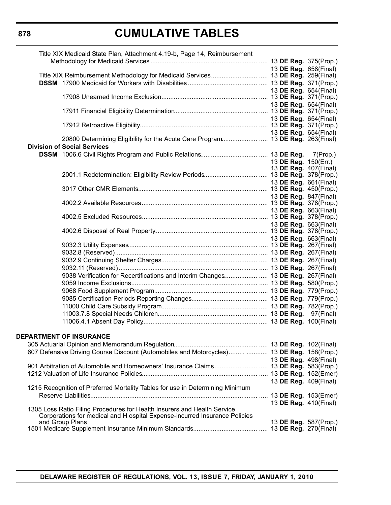|  | Title XIX Medicaid State Plan, Attachment 4.19-b, Page 14, Reimbursement                   |  |                              |
|--|--------------------------------------------------------------------------------------------|--|------------------------------|
|  |                                                                                            |  |                              |
|  |                                                                                            |  | 13 DE Reg. 658(Final)        |
|  |                                                                                            |  |                              |
|  |                                                                                            |  |                              |
|  |                                                                                            |  |                              |
|  |                                                                                            |  |                              |
|  |                                                                                            |  | 13 <b>DE Reg.</b> 654(Final) |
|  |                                                                                            |  |                              |
|  |                                                                                            |  | 13 DE Reg. 654(Final)        |
|  |                                                                                            |  |                              |
|  |                                                                                            |  |                              |
|  | <b>Division of Social Services</b>                                                         |  |                              |
|  |                                                                                            |  |                              |
|  |                                                                                            |  | 13 DE Reg. 150(Err.)         |
|  |                                                                                            |  | 13 <b>DE Reg.</b> 407(Final) |
|  |                                                                                            |  |                              |
|  |                                                                                            |  | 13 DE Reg. 661(Final)        |
|  |                                                                                            |  |                              |
|  |                                                                                            |  | 13 DE Reg. 847(Final)        |
|  |                                                                                            |  |                              |
|  |                                                                                            |  | 13 DE Reg. 663(Final)        |
|  |                                                                                            |  |                              |
|  |                                                                                            |  | 13 DE Reg. 663(Final)        |
|  |                                                                                            |  | 13 <b>DE Reg.</b> 663(Final) |
|  |                                                                                            |  |                              |
|  |                                                                                            |  |                              |
|  |                                                                                            |  |                              |
|  |                                                                                            |  |                              |
|  | 9038 Verification for Recertifications and Interim Changes 13 DE Reg. 267(Final)           |  |                              |
|  |                                                                                            |  |                              |
|  |                                                                                            |  |                              |
|  |                                                                                            |  |                              |
|  |                                                                                            |  |                              |
|  |                                                                                            |  |                              |
|  |                                                                                            |  |                              |
|  |                                                                                            |  |                              |
|  | <b>DEPARTMENT OF INSURANCE</b>                                                             |  |                              |
|  |                                                                                            |  |                              |
|  | 607 Defensive Driving Course Discount (Automobiles and Motorcycles)  13 DE Reg. 158(Prop.) |  |                              |
|  |                                                                                            |  | 13 DE Reg. 498(Final)        |
|  | 901 Arbitration of Automobile and Homeowners' Insurance Claims 13 DE Reg. 583(Prop.)       |  |                              |
|  |                                                                                            |  |                              |
|  |                                                                                            |  | 13 DE Reg. 409(Final)        |
|  | 1215 Recognition of Preferred Mortality Tables for use in Determining Minimum              |  |                              |
|  |                                                                                            |  |                              |
|  |                                                                                            |  | 13 DE Reg. 410(Final)        |
|  | 1305 Loss Ratio Filing Procedures for Health Insurers and Health Service                   |  |                              |
|  | Corporations for medical and H ospital Expense-incurred Insurance Policies                 |  |                              |
|  | and Group Plans                                                                            |  | 13 DE Reg. 587(Prop.)        |
|  |                                                                                            |  |                              |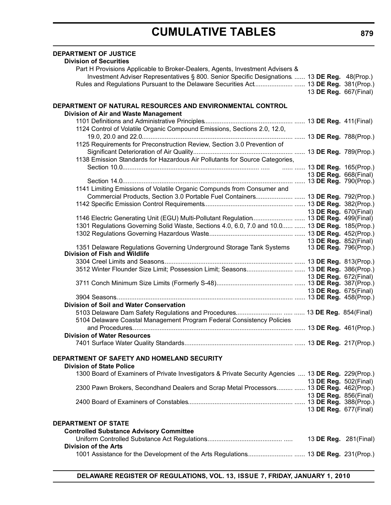| <b>DEPARTMENT OF JUSTICE</b><br><b>Division of Securities</b>                                                                                                                                                                       |                       |  |
|-------------------------------------------------------------------------------------------------------------------------------------------------------------------------------------------------------------------------------------|-----------------------|--|
|                                                                                                                                                                                                                                     |                       |  |
| Part H Provisions Applicable to Broker-Dealers, Agents, Investment Advisers &<br>Investment Adviser Representatives § 800. Senior Specific Designations.  13 DE Reg. 48(Prop.)                                                      |                       |  |
| Rules and Regulations Pursuant to the Delaware Securities Act 13 DE Reg. 381(Prop.)                                                                                                                                                 |                       |  |
|                                                                                                                                                                                                                                     | 13 DE Reg. 667(Final) |  |
|                                                                                                                                                                                                                                     |                       |  |
| DEPARTMENT OF NATURAL RESOURCES AND ENVIRONMENTAL CONTROL<br>Division of Air and Waste Management                                                                                                                                   |                       |  |
|                                                                                                                                                                                                                                     |                       |  |
| 1124 Control of Volatile Organic Compound Emissions, Sections 2.0, 12.0,                                                                                                                                                            |                       |  |
|                                                                                                                                                                                                                                     |                       |  |
| 1125 Requirements for Preconstruction Review, Section 3.0 Prevention of                                                                                                                                                             |                       |  |
|                                                                                                                                                                                                                                     |                       |  |
| 1138 Emission Standards for Hazardous Air Pollutants for Source Categories,                                                                                                                                                         |                       |  |
|                                                                                                                                                                                                                                     |                       |  |
|                                                                                                                                                                                                                                     | 13 DE Reg. 668(Final) |  |
|                                                                                                                                                                                                                                     |                       |  |
| 1141 Limiting Emissions of Volatile Organic Compunds from Consumer and                                                                                                                                                              |                       |  |
| Commercial Products, Section 3.0 Portable Fuel Containers 13 DE Reg. 792(Prop.)                                                                                                                                                     |                       |  |
|                                                                                                                                                                                                                                     |                       |  |
| 1146 Electric Generating Unit (EGU) Multi-Pollutant Regulation 13 DE Reg. 499(Final)                                                                                                                                                | 13 DE Reg. 670(Final) |  |
| 1301 Regulations Governing Solid Waste, Sections 4.0, 6.0, 7.0 and 10.0  13 DE Reg. 185(Prop.)                                                                                                                                      |                       |  |
|                                                                                                                                                                                                                                     |                       |  |
|                                                                                                                                                                                                                                     | 13 DE Reg. 852(Final) |  |
| 1351 Delaware Regulations Governing Underground Storage Tank Systems<br>Division of Fish and Wildlife                                                                                                                               | 13 DE Reg. 796(Prop.) |  |
|                                                                                                                                                                                                                                     |                       |  |
| 3512 Winter Flounder Size Limit; Possession Limit; Seasons 13 DE Reg. 386(Prop.)                                                                                                                                                    |                       |  |
|                                                                                                                                                                                                                                     | 13 DE Reg. 672(Final) |  |
|                                                                                                                                                                                                                                     |                       |  |
|                                                                                                                                                                                                                                     | 13 DE Reg. 675(Final) |  |
| Division of Soil and Water Conservation                                                                                                                                                                                             |                       |  |
|                                                                                                                                                                                                                                     |                       |  |
| 5104 Delaware Coastal Management Program Federal Consistency Policies                                                                                                                                                               |                       |  |
|                                                                                                                                                                                                                                     |                       |  |
| Division of Water Resources <b>contracts</b> the contract of the contract of the contract of the contract of the contract of the contract of the contract of the contract of the contract of the contract of the contract of the co |                       |  |
|                                                                                                                                                                                                                                     |                       |  |
|                                                                                                                                                                                                                                     |                       |  |
| DEPARTMENT OF SAFETY AND HOMELAND SECURITY<br><b>Division of State Police</b>                                                                                                                                                       |                       |  |
| 1300 Board of Examiners of Private Investigators & Private Security Agencies  13 DE Reg. 229(Prop.)                                                                                                                                 | 13 DE Reg. 502(Final) |  |
| 2300 Pawn Brokers, Secondhand Dealers and Scrap Metal Processors  13 DE Reg. 462(Prop.)                                                                                                                                             |                       |  |
|                                                                                                                                                                                                                                     | 13 DE Reg. 856(Final) |  |
|                                                                                                                                                                                                                                     |                       |  |
|                                                                                                                                                                                                                                     | 13 DE Reg. 677(Final) |  |
| <b>DEPARTMENT OF STATE</b>                                                                                                                                                                                                          |                       |  |
| <b>Controlled Substance Advisory Committee</b>                                                                                                                                                                                      |                       |  |
|                                                                                                                                                                                                                                     |                       |  |
| <b>Division of the Arts</b>                                                                                                                                                                                                         |                       |  |
|                                                                                                                                                                                                                                     |                       |  |
|                                                                                                                                                                                                                                     |                       |  |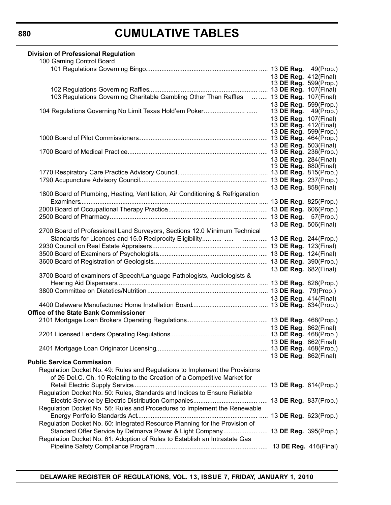| <b>Division of Professional Regulation</b>                                               |                                                       |  |
|------------------------------------------------------------------------------------------|-------------------------------------------------------|--|
| 100 Gaming Control Board                                                                 |                                                       |  |
|                                                                                          |                                                       |  |
|                                                                                          | 13 DE Reg. 412(Final)                                 |  |
|                                                                                          | 13 <b>DE Reg.</b> 599(Prop.)                          |  |
| 103 Regulations Governing Charitable Gambling Other Than Raffles   13 DE Reg. 107(Final) |                                                       |  |
|                                                                                          | 13 DE Reg. 599(Prop.)                                 |  |
|                                                                                          | 13 DE Reg. $49$ (Prop.)                               |  |
|                                                                                          | 13 DE Reg. 107(Final)                                 |  |
|                                                                                          | 13 <b>DE Reg.</b> 412(Final)                          |  |
|                                                                                          | 13 DE Reg. 599(Prop.)                                 |  |
|                                                                                          |                                                       |  |
|                                                                                          | 13 DE Reg. 503(Final)                                 |  |
|                                                                                          |                                                       |  |
|                                                                                          | 13 DE Reg. 284(Final)<br>13 <b>DE Reg.</b> 680(Final) |  |
|                                                                                          |                                                       |  |
|                                                                                          |                                                       |  |
|                                                                                          | 13 DE Reg. 858(Final)                                 |  |
| 1800 Board of Plumbing, Heating, Ventilation, Air Conditioning & Refrigeration           |                                                       |  |
|                                                                                          |                                                       |  |
|                                                                                          |                                                       |  |
|                                                                                          |                                                       |  |
|                                                                                          | 13 DE Reg. 506(Final)                                 |  |
| 2700 Board of Professional Land Surveyors, Sections 12.0 Minimum Technical               |                                                       |  |
| Standards for Licences and 15.0 Reciprocity Eligibility    13 DE Reg. 244(Prop.)         |                                                       |  |
|                                                                                          |                                                       |  |
|                                                                                          |                                                       |  |
|                                                                                          |                                                       |  |
|                                                                                          | 13 DE Reg. 682(Final)                                 |  |
| 3700 Board of examiners of Speech/Language Pathologists, Audiologists &                  |                                                       |  |
|                                                                                          |                                                       |  |
|                                                                                          |                                                       |  |
|                                                                                          | 13 DE Reg. 414(Final)                                 |  |
| <b>Office of the State Bank Commissioner</b>                                             |                                                       |  |
|                                                                                          |                                                       |  |
|                                                                                          | 13 DE Reg. 862(Final)                                 |  |
|                                                                                          |                                                       |  |
|                                                                                          | 13 DE Reg. 862(Final)                                 |  |
|                                                                                          |                                                       |  |
|                                                                                          | 13 DE Reg. 862(Final)                                 |  |
| <b>Public Service Commission</b>                                                         |                                                       |  |
| Regulation Docket No. 49: Rules and Regulations to Implement the Provisions              |                                                       |  |
| of 26 Del.C. Ch. 10 Relating to the Creation of a Competitive Market for                 |                                                       |  |
|                                                                                          |                                                       |  |
| Regulation Docket No. 50: Rules, Standards and Indices to Ensure Reliable                |                                                       |  |
|                                                                                          |                                                       |  |
| Regulation Docket No. 56: Rules and Procedures to Implement the Renewable                |                                                       |  |
|                                                                                          |                                                       |  |
| Regulation Docket No. 60: Integrated Resource Planning for the Provision of              |                                                       |  |
| Standard Offer Service by Delmarva Power & Light Company 13 DE Reg. 395(Prop.)           |                                                       |  |
| Regulation Docket No. 61: Adoption of Rules to Establish an Intrastate Gas               |                                                       |  |
|                                                                                          |                                                       |  |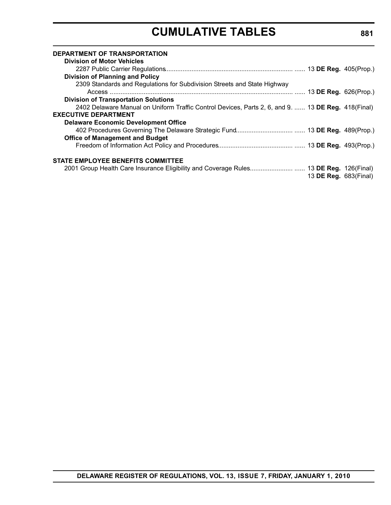| DEPARTMENT OF TRANSPORTATION<br><b>Division of Motor Vehicles</b>                                  |                       |  |
|----------------------------------------------------------------------------------------------------|-----------------------|--|
|                                                                                                    |                       |  |
| <b>Division of Planning and Policy</b>                                                             |                       |  |
| 2309 Standards and Regulations for Subdivision Streets and State Highway                           |                       |  |
|                                                                                                    |                       |  |
| <b>Division of Transportation Solutions</b>                                                        |                       |  |
| 2402 Delaware Manual on Uniform Traffic Control Devices, Parts 2, 6, and 9.  13 DE Reg. 418(Final) |                       |  |
| <b>EXECUTIVE DEPARTMENT</b>                                                                        |                       |  |
| <b>Delaware Economic Development Office</b>                                                        |                       |  |
|                                                                                                    |                       |  |
| <b>Office of Management and Budget</b>                                                             |                       |  |
|                                                                                                    |                       |  |
|                                                                                                    |                       |  |
| <b>STATE EMPLOYEE BENEFITS COMMITTEE</b>                                                           |                       |  |
|                                                                                                    |                       |  |
|                                                                                                    | 13 DE Reg. 683(Final) |  |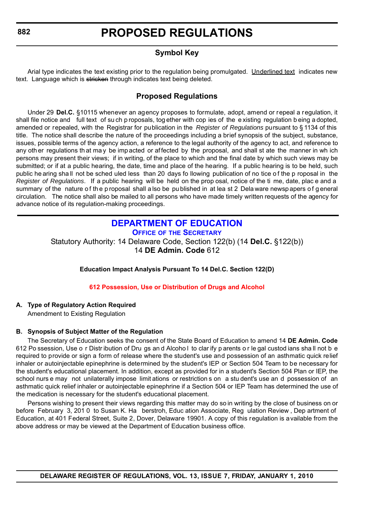#### **Symbol Key**

<span id="page-11-0"></span>Arial type indicates the text existing prior to the regulation being promulgated. Underlined text indicates new text. Language which is stricken through indicates text being deleted.

#### **Proposed Regulations**

Under 29 **Del.C.** §10115 whenever an agency proposes to formulate, adopt, amend or repeal a regulation, it shall file notice and full text of su ch p roposals, tog ether with cop ies of the e xisting regulation b eing a dopted, amended or repealed, with the Registrar for publication in the *Register of Regulations* pursuant to § 1134 of this title. The notice shall describe the nature of the proceedings including a brief synopsis of the subject, substance, issues, possible terms of the agency action, a reference to the legal authority of the agency to act, and reference to any oth er regulations th at ma y be imp acted or af fected by the proposal, and shall st ate the manner in wh ich persons may present their views; if in writing, of the place to which and the final date by which such views may be submitted; or if at a public hearing, the date, time and place of the hearing. If a public hearing is to be held, such public he aring sha ll not be sched uled less than 20 days fo llowing publication of no tice o f the p roposal in the *Register of Regulations*. If a public hearing will be held on the prop osal, notice of the ti me, date, plac e and a summary of the nature of the p roposal shall a lso be pu blished in at lea st 2 Dela ware newsp apers of general circulation. The notice shall also be mailed to all persons who have made timely written requests of the agency for advance notice of its regulation-making proceedings.

### **[DEPARTMENT OF EDUCATION](http://www.doe.k12.de.us/)**

**OFFICE OF THE SECRETARY** Statutory Authority: 14 Delaware Code, Section 122(b) (14 **Del.C.** §122(b)) 14 **DE Admin. Code** 612

**Education Impact Analysis Pursuant To 14 Del.C. Section 122(D)**

**[612 Possession, Use or Distribution of Drugs and Alcohol](#page-3-0)**

#### **A. Type of Regulatory Action Required**

Amendment to Existing Regulation

#### **B. Synopsis of Subject Matter of the Regulation**

The Secretary of Education seeks the consent of the State Board of Education to amend 14 **DE Admin. Code** 612 Po ssession, Use o r Distr ibution of Dru gs an d Alcoho l to clar ify p arents o r le gal custod ians sha ll not b e required to provide or sign a form of release where the student's use and possession of an asthmatic quick relief inhaler or autoinjectable epinephrine is determined by the student's IEP or Section 504 Team to be necessary for the student's educational placement. In addition, except as provided for in a student's Section 504 Plan or IEP, the school nurs e may not unilaterally impose limit ations or restriction s on a stu dent's use an d possession of an asthmatic quick relief inhaler or autoinjectable epinephrine if a Section 504 or IEP Team has determined the use of the medication is necessary for the student's educational placement.

Persons wishing to present their views regarding this matter may do so in writing by the close of business on or before February 3, 201 0 to Susan K. Ha berstroh, Educ ation Associate, Reg ulation Review , Dep artment of Education, at 401 Federal Street, Suite 2, Dover, Delaware 19901. A copy of this regulation is available from the above address or may be viewed at the Department of Education business office.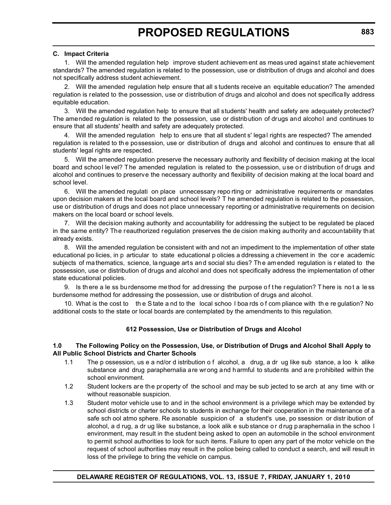#### **C. Impact Criteria**

1. Will the amended regulation help improve student achievem ent as meas ured against state achievement standards? The amended regulation is related to the possession, use or distribution of drugs and alcohol and does not specifically address student achievement.

2. Will the amended regulation help ensure that all s tudents receive an equitable education? The amended regulation is related to the possession, use or distribution of drugs and alcohol and does not specifically address equitable education.

3. Will the amended regulation help to ensure that all students' health and safety are adequately protected? The amended regulation is related to the possession, use or distribution of drugs and alcohol and continues to ensure that all students' health and safety are adequately protected.

4. Will the amended regulation help to ensure that all student s' legal rights are respected? The amended regulation is related to th e possession, use or distribution of drugs and alcohol and continues to ensure that all students' legal rights are respected.

5. Will the amended regulation preserve the necessary authority and flexibility of decision making at the local board and school level? The amended regulation is related to the possession, use or distribution of drugs and alcohol and continues to preserve the necessary authority and flexibility of decision making at the local board and school level.

6. Will the amended regulati on place unnecessary repo rting or administrative requirements or mandates upon decision makers at the local board and school levels? T he amended regulation is related to the possession, use or distribution of drugs and does not place unnecessary reporting or administrative requirements on decision makers on the local board or school levels.

7. Will the decision making authority and accountability for addressing the subject to be regulated be placed in the same entity? The reauthorized regulation preserves the de cision making authority and accountability that already exists.

8. Will the amended regulation be consistent with and not an impediment to the implementation of other state educational po licies, in p articular to state educational p olicies a ddressing a chievement in the cor e academic subjects of ma thematics, science, la nguage arts an d social stu dies? Th e am ended regulation is r elated to the possession, use or distribution of drugs and alcohol and does not specifically address the implementation of other state educational policies.

9. Is there a le ss burdensome me thod for ad dressing the purpose of the regulation? There is not a less burdensome method for addressing the possession, use or distribution of drugs and alcohol.

10. What is the cost to th e S tate a nd to the local schoo l boa rds o f com pliance with th e re gulation? No additional costs to the state or local boards are contemplated by the amendments to this regulation.

#### **612 Possession, Use or Distribution of Drugs and Alcohol**

#### **1.0 The Following Policy on the Possession, Use, or Distribution of Drugs and Alcohol Shall Apply to All Public School Districts and Charter Schools**

- 1.1 The p ossession, us e a nd/or d istribution o f alcohol, a drug, a dr ug like sub stance, a loo k alike substance and drug paraphernalia are wrong and harmful to students and are prohibited within the school environment.
- 1.2 Student lockers are the property of the school and may be sub jected to se arch at any time with or without reasonable suspicion.
- 1.3 Student motor vehicle use to and in the school environment is a privilege which may be extended by school districts or charter schools to students in exchange for their cooperation in the maintenance of a safe sch ool atmo sphere. Re asonable suspicion of a student's use, po ssession or distr ibution of alcohol, a d rug, a dr ug like su bstance, a look alik e sub stance o r d rug paraphernalia in the schoo l environment, may result in the student being asked to open an automobile in the school environment to permit school authorities to look for such items. Failure to open any part of the motor vehicle on the request of school authorities may result in the police being called to conduct a search, and will result in loss of the privilege to bring the vehicle on campus.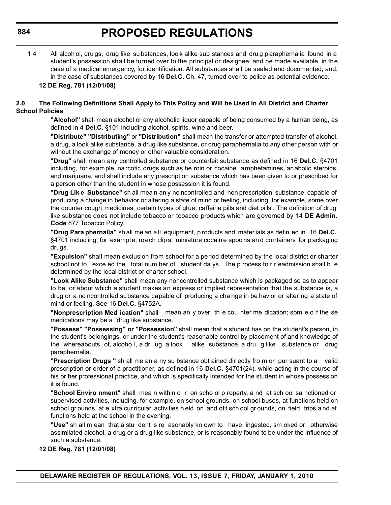1.4 All alcoh ol, dru gs, drug like su bstances, loo k alike sub stances and dru g p araphernalia found in a student's possession shall be turned over to the principal or designee, and be made available, in the case of a medical emergency, for identification. All substances shall be sealed and documented, and, in the case of substances covered by 16 **Del.C.** Ch. 47, turned over to police as potential evidence.

#### **12 DE Reg. 781 (12/01/08)**

#### **2.0 The Following Definitions Shall Apply to This Policy and Will be Used in All District and Charter School Policies**

**"Alcohol"** shall mean alcohol or any alcoholic liquor capable of being consumed by a human being, as defined in 4 **Del.C.** §101 including alcohol, spirits, wine and beer.

**"Distribute" "Distributing"** or **"Distribution"** shall mean the transfer or attempted transfer of alcohol, a drug, a look alike substance, a drug like substance, or drug paraphernalia to any other person with or without the exchange of money or other valuable consideration.

**"Drug"** shall mean any controlled substance or counterfeit substance as defined in 16 **Del.C.** §4701 including, for example, narcotic drugs such as he roin or cocaine, amphetamines, anabolic steroids, and marijuana, and shall include any prescription substance which has been given to or prescribed for a person other than the student in whose possession it is found.

**"Drug Lik e Substance"** sh all mea n an y no ncontrolled and non prescription substance capable of producing a change in behavior or altering a state of mind or feeling, including, for example, some over the counter cough medicines, certain types of glue, caffeine pills and diet pills . The definition of drug like substance does not include tobacco or tobacco products which are governed by 14 **DE Admin. Code** 877 Tobacco Policy.

**"Drug Para phernalia"** sh all me an a ll equipment, p roducts and mater ials as defin ed in 16 **Del.C.**  §4701 includ ing, for examp le, roa ch clip s, miniature cocain e spoo ns an d co ntainers for p ackaging drugs.

**"Expulsion"** shall mean exclusion from school for a period determined by the local district or charter school not to exce ed the total num ber of student da ys. The p rocess fo r r eadmission shall b e determined by the local district or charter school.

**"Look Alike Substance"** shall mean any noncontrolled substance which is packaged so as to appear to be, or about which a student makes an express or implied representation that the substance is, a drug or a no ncontrolled substance capable of producing a cha nge in be havior or altering a state of mind or feeling. See 16 **Del.C.** §4752A.

**"Nonprescription Med ication"** shall mean an y over th e cou nter me dication; som e o f the se medications may be a "drug like substance."

**"Possess" "Possessing" or "Possession"** shall mean that a student has on the student's person, in the student's belongings, or under the student's reasonable control by placement of and knowledge of the whereabouts of, alcoho l, a dr ug, a look alike substance, a dru g like substance or drug paraphernalia.

**"Prescription Drugs "** sh all me an a ny su bstance obt ained dir ectly fro m or pur suant to a valid prescription or order of a practitioner, as defined in 16 **Del.C.** §4701(24), while acting in the course of his or her professional practice, and which is specifically intended for the student in whose possession it is found.

**"School Enviro nment"** shall mea n within o r on scho ol p roperty, a nd at sch ool sa nctioned or supervised activities, including, for example, on school grounds, on school buses, at functions held on school gr ounds, at e xtra cur ricular activities h eld on and off school gr ounds, on field trips and at functions held at the school in the evening.

**"Use"** sh all m ean that a stu dent is re asonably kn own to have ingested, sm oked or otherwise assimilated alcohol, a drug or a drug like substance, or is reasonably found to be under the influence of such a substance.

**12 DE Reg. 781 (12/01/08)**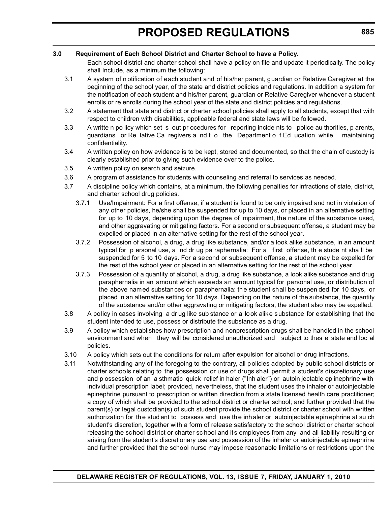#### **3.0 Requirement of Each School District and Charter School to have a Policy.**

Each school district and charter school shall have a policy on file and update it periodically. The policy shall Include, as a minimum the following:

- 3.1 A system of n otification of each student and of his/her parent, guardian or Relative Caregiver at the beginning of the school year, of the state and district policies and regulations. In addition a system for the notification of each student and his/her parent, guardian or Relative Caregiver whenever a student enrolls or re enrolls during the school year of the state and district policies and regulations.
- 3.2 A statement that state and district or charter school policies shall apply to all students, except that with respect to children with disabilities, applicable federal and state laws will be followed.
- 3.3 A writte n po licy which set s out pr ocedures for reporting incide nts to police au thorities, p arents, guardians or Re lative Ca regivers a nd t o the Department o f Ed ucation, while maintaining confidentiality.
- 3.4 A written policy on how evidence is to be kept, stored and documented, so that the chain of custody is clearly established prior to giving such evidence over to the police.
- 3.5 A written policy on search and seizure.
- 3.6 A program of assistance for students with counseling and referral to services as needed.
- 3.7 A discipline policy which contains, at a minimum, the following penalties for infractions of state, district, and charter school drug policies.
	- 3.7.1 Use/Impairment: For a first offense, if a student is found to be only impaired and not in violation of any other policies, he/she shall be suspended for up to 10 days, or placed in an alternative setting for up to 10 days, depending upon the degree of impairment, the nature of the substan ce used, and other aggravating or mitigating factors. For a second or subsequent offense, a student may be expelled or placed in an alternative setting for the rest of the school year.
	- 3.7.2 Possession of alcohol, a drug, a drug like substance, and/or a look alike substance, in an amount typical for p ersonal use, a nd dr ug pa raphernalia: For a first offense, th e stude nt sha ll be suspended for 5 to 10 days. For a second or subsequent offense, a student may be expelled for the rest of the school year or placed in an alternative setting for the rest of the school year.
	- 3.7.3 Possession of a quantity of alcohol, a drug, a drug like substance, a look alike substance and drug paraphernalia in an amount which exceeds an amount typical for personal use, or distribution of the above named substances or paraphernalia: the student shall be suspen ded for 10 days, or placed in an alternative setting for 10 days. Depending on the nature of the substance, the quantity of the substance and/or other aggravating or mitigating factors, the student also may be expelled.
- 3.8 A policy in cases involving a dr ug like sub stance or a look alike substance for establishing that the student intended to use, possess or distribute the substance as a drug.
- 3.9 A policy which establishes how prescription and nonprescription drugs shall be handled in the school environment and when they will be considered unauthorized and subject to thes e state and loc al policies.
- 3.10 A policy which sets out the conditions for return after expulsion for alcohol or drug infractions.
- 3.11 Notwithstanding any of the foregoing to the contrary, all policies adopted by public school districts or charter schools relating to the possession or use of drugs shall permit a student's discretionary use and p ossession of an a sthmatic quick relief in haler ("Inh aler") or autoin jectable ep inephrine with individual prescription label; provided, nevertheless, that the student uses the inhaler or autoinjectable epinephrine pursuant to prescription or written direction from a state licensed health care practitioner; a copy of which shall be provided to the school district or charter school; and further provided that the parent(s) or legal custodian(s) of such student provide the school district or charter school with written authorization for th e stud ent to possess and use th e inh aler or autoinjectable epin ephrine at su ch student's discretion, together with a form of release satisfactory to the school district or charter school releasing the school district or charter sc hool and its employees from any and all liability resulting or arising from the student's discretionary use and possession of the inhaler or autoinjectable epinephrine and further provided that the school nurse may impose reasonable limitations or restrictions upon the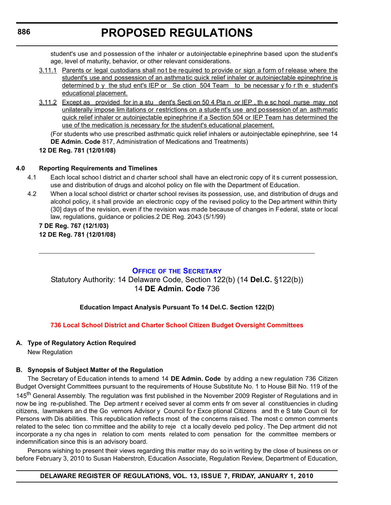<span id="page-15-0"></span>student's use and possession of the inhaler or autoinjectable epinephrine based upon the student's age, level of maturity, behavior, or other relevant considerations.

- 3.11.1 Parents or legal custodians shall not be required to provide or sign a form of release where the student's use and possession of an asthmatic quick relief inhaler or autoinjectable epinephrine is determined b y the stud ent's IEP or Se ction  $504$  Team to be necessar y for the student's educational placement.
- 3.11.2 Except as provided for in a stu dent's Secti on 50 4 Pla n or IEP , th e sc hool nurse may not unilaterally impose lim itations or restrictions on a stude nt's use and possession of an asthmatic quick relief inhaler or autoinjectable epinephrine if a Section 504 or IEP Team has determined the use of the medication is necessary for the student's educational placement.

(For students who use prescribed asthmatic quick relief inhalers or autoinjectable epinephrine, see 14 **DE Admin. Code** 817, Administration of Medications and Treatments)

**12 DE Reg. 781 (12/01/08)**

#### **4.0 Reporting Requirements and Timelines**

- 4.1 Each local schoo l district an d charter school shall have an elect ronic copy of it s current possession, use and distribution of drugs and alcohol policy on file with the Department of Education.
- 4.2 When a local school district or charter school revises its possession, use, and distribution of drugs and alcohol policy, it s hall provide an electronic copy of the revised policy to the Dep artment within thirty (30] days of the revision, even if the revision was made because of changes in Federal, state or local law, regulations, guidance or policies.2 DE Reg. 2043 (5/1/99)

**7 DE Reg. 767 (12/1/03) 12 DE Reg. 781 (12/01/08)**

#### **OFFICE OF [THE SECRETARY](http://www.doe.k12.de.us/)**

Statutory Authority: 14 Delaware Code, Section 122(b) (14 **Del.C.** §122(b)) 14 **DE Admin. Code** 736

#### **Education Impact Analysis Pursuant To 14 Del.C. Section 122(D)**

#### **[736 Local School District and Charter School Citizen Budget Oversight Committees](#page-3-0)**

#### **A. Type of Regulatory Action Required**

New Regulation

#### **B. Synopsis of Subject Matter of the Regulation**

The Secretary of Education intends to amend 14 **DE Admin. Code** by adding a new regulation 736 Citizen Budget Oversight Committees pursuant to the requirements of House Substitute No. 1 to House Bill No. 119 of the 145<sup>th</sup> General Assembly. The regulation was first published in the November 2009 Register of Regulations and in now be ing re-published. The Dep artment r eceived sever al comm ents fr om sever al constituencies in cluding citizens, lawmakers an d the Go vernors Advisor y Council fo r Exce ptional Citizens and th e S tate Coun cil for Persons with Dis abilities. This republication reflects most of the concerns raised. The most c ommon comments related to the selec tion co mmittee and the ability to reje ct a locally develo ped policy. The Dep artment did not incorporate a ny cha nges in relation to com ments related to com pensation for the committee members or indemnification since this is an advisory board.

Persons wishing to present their views regarding this matter may do so in writing by the close of business on or before February 3, 2010 to Susan Haberstroh, Education Associate, Regulation Review, Department of Education,

#### **DELAWARE REGISTER OF REGULATIONS, VOL. 13, ISSUE 7, FRIDAY, JANUARY 1, 2010**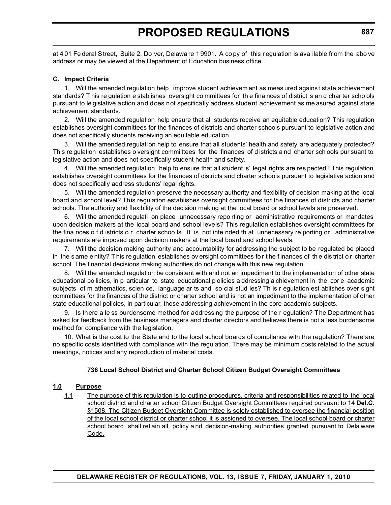at 4 01 Fe deral Street, Suite 2, Do ver, Delawa re 1 9901. A co py of this r egulation is ava ilable fr om the abo ve address or may be viewed at the Department of Education business office.

#### **C. Impact Criteria**

1. Will the amended regulation help improve student achievem ent as meas ured against state achievement standards? T his re gulation e stablishes oversight co mmittees for th e fina nces of district s an d char ter scho ols pursuant to le gislative action and does not specifically address student achievement as me asured against state achievement standards.

2. Will the amended regulation help ensure that all students receive an equitable education? This regulation establishes oversight committees for the finances of districts and charter schools pursuant to legislative action and does not specifically students receiving an equitable education.

3. Will the amended regulation help to ensure that all students' health and safety are adequately protected? This re gulation establishes o versight commi ttees for the finances of d istricts a nd charter sch ools pur suant to legislative action and does not specifically student health and safety.

4. Will the amended regulation help to ensure that all student s' legal rights are res pected? This regulation establishes oversight committees for the finances of districts and charter schools pursuant to legislative action and does not specifically address students' legal rights.

5. Will the amended regulation preserve the necessary authority and flexibility of decision making at the local board and school level? This regulation establishes oversight committees for the finances of districts and charter schools. The authority and flexibility of the decision making at the local board or school levels are preserved.

6. Will the amended regulati on place unnecessary repo rting or administrative requirements or mandates upon decision makers at the local board and school levels? This regulation establishes oversight committees for the fina nces o f d istricts o r charter schoo ls. It is not inte nded th at unnecessary re porting or administrative requirements are imposed upon decision makers at the local board and school levels.

7. Will the decision making authority and accountability for addressing the subject to be regulated be placed in the s ame e ntity? This regulation establishes ov ersight committees for the finances of the district or charter school. The financial decisions making authorities do not change with this new regulation.

8. Will the amended regulation be consistent with and not an impediment to the implementation of other state educational po licies, in p articular to state educational p olicies a ddressing a chievement in the cor e academic subjects of m athematics, scien ce, language ar ts and so cial stud ies? Th is r egulation est ablishes over sight committees for the finances of the district or charter school and is not an impediment to the implementation of other state educational policies, in particular, those addressing achievement in the core academic subjects.

9. Is there a le ss burdensome method for addressing the purpose of the r egulation? The Department has asked for feedback from the business managers and charter directors and believes there is not a less burdensome method for compliance with the legislation.

10. What is the cost to the State and to the local school boards of compliance with the regulation? There are no specific costs identified with compliance with the regulation. There may be minimum costs related to the actual meetings, notices and any reproduction of material costs.

#### **736 Local School District and Charter School Citizen Budget Oversight Committees**

#### **1.0 Purpose**

1.1 The purpose of this regulation is to outline procedures, criteria and responsibilities related to the local school district and charter school Citizen Budget Oversight Committees required pursuant to 14 **Del.C.** §1508. The Citizen Budget Oversight Committee is solely established to oversee the financial position of the local school district or charter school it is assigned to oversee. The local school board or charter school board shall ret ain all policy a nd decision-making authorities granted pursuant to Dela ware Code.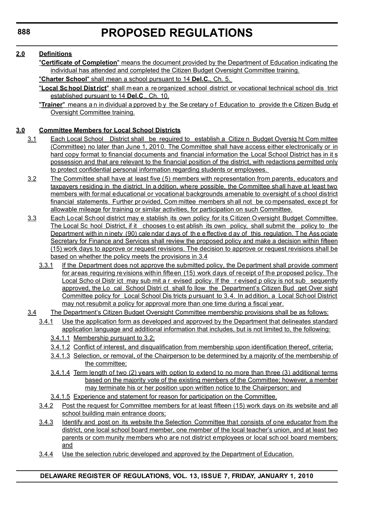#### **2.0 Definitions**

"**Certificate of Completion**" means the document provided by the Department of Education indicating the individual has attended and completed the Citizen Budget Oversight Committee training.

"**Charter School**" shall mean a school pursuant to 14 **Del.C.**, Ch. 5.

- "**Local Sc hool Dist rict**" shall m ean a re organized school district or vocational technical school dis trict established pursuant to 14 **Del.C**., Ch. 10.
- "**Trainer**" means a n in dividual a pproved b y the Se cretary o f Education to provide th e Citizen Budg et Oversight Committee training.

#### **3.0 Committee Members for Local School Districts**

- 3.1 Each Local School District shall be required to establish a Citize n Budget Oversig ht Com mittee (Committee) no later than June 1, 2010. The Committee shall have access either electronically or in hard copy format to financial documents and financial information the Local School District has in it s possession and that are relevant to the financial position of the district, with redactions permitted only to protect confidential personal information regarding students or employees.
- 3.2 The Committee shall have at least five (5) members with representation from parents, educators and taxpayers residing in the district. In a ddition, where possible, the Committee shall have at least two members with formal educational or vocational backgrounds amenable to oversight of s chool district financial statements. Further pr ovided, Com mittee members sh all not be co mpensated, exce pt for allowable mileage for training or similar activities, for participation on such Committee.
- 3.3 Each Local School district may e stablish its own policy for its Citizen Oversight Budget Committee. The Local Sc hool District, if it chooses to est ablish its own policy, shall submit the policy to the Department with in n inety (90) cale ndar d ays of th e e ffective d ay of this regulation. T he Ass ociate Secretary for Finance and Services shall review the proposed policy and make a decision within fifteen (15) work days to approve or request revisions. The decision to approve or request revisions shall be based on whether the policy meets the provisions in 3.4
	- 3.3.1 If the Department does not approve the submitted policy, the Department shall provide comment for areas requiring revisions within fifteen (15) work days of receipt of the proposed policy. The Local Scho ol Distr ict may sub mit a r evised policy. If the r evised p olicy is not sub sequently approved, the Lo cal School Distri ct shall fo llow the Department's Citizen Bud get Over sight Committee policy for Local School Dis tricts pursuant to 3.4. In addition, a Local School District may not resubmit a policy for approval more than one time during a fiscal year.
- 3.4 The Department's Citizen Budget Oversight Committee membership provisions shall be as follows:
	- 3.4.1 Use the application form as developed and approved by the Department that delineates standard application language and additional information that includes, but is not limited to, the following:
		- 3.4.1.1 Membership pursuant to 3.2;
		- 3.4.1.2 Conflict of interest, and disqualification from membership upon identification thereof, criteria;
		- 3.4.1.3 Selection, or removal, of the Chairperson to be determined by a majority of the membership of the committee;
		- 3.4.1.4 Term length of two (2) years with option to extend to no more than three (3) additional terms based on the majority vote of the existing members of the Committee; however, a member may terminate his or her position upon written notice to the Chairperson; and
		- 3.4.1.5 Experience and statement for reason for participation on the Committee.
	- 3.4.2 Post the request for Committee members for at least fifteen (15) work days on its website and all school building main entrance doors;
	- 3.4.3 Identify and post on its website the Selection Committee that consists of one educator from the district, one local school board member, one member of the local teacher's union, and at least two parents or com munity members who are not district employees or local school board members; and
	- 3.4.4 Use the selection rubric developed and approved by the Department of Education.

**888**

#### **DELAWARE REGISTER OF REGULATIONS, VOL. 13, ISSUE 7, FRIDAY, JANUARY 1, 2010**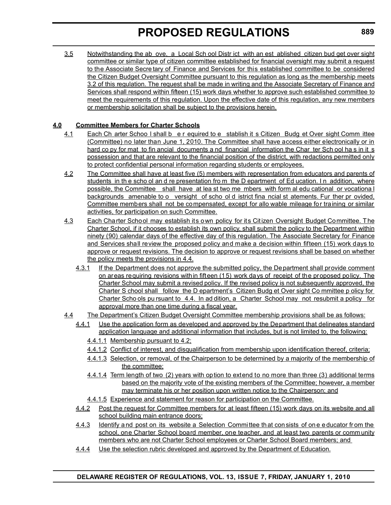3.5 Notwithstanding the ab ove, a Local Sch ool Distr ict with an est ablished citizen bud get over sight committee or similar type of citizen committee established for financial oversight may submit a request to the Associate Secre tary of Finance and Services for this established committee to be considered the Citizen Budget Oversight Committee pursuant to this regulation as long as the membership meets 3.2 of this regulation. The request shall be made in writing and the Associate Secretary of Finance and Services shall respond within fifteen (15) work days whether to approve such established committee to meet the requirements of this regulation. Upon the effective date of this regulation, any new members or membership solicitation shall be subject to the provisions herein.

#### **4.0 Committee Members for Charter Schools**

- 4.1 Each Ch arter Schoo l shall b e r equired to e stablish it s Citizen Budg et Over sight Comm ittee (Committee) no later than June 1, 2010. The Committee shall have access either electronically or in hard co py for mat to fin ancial documents a nd financial information the Char ter Sch ool ha s in it s possession and that are relevant to the financial position of the district, with redactions permitted only to protect confidential personal information regarding students or employees.
- 4.2 The Committee shall have at least five (5) members with representation from educators and parents of students in the scho ol and re presentation from the D epartment of Ed ucation. In addition, where possible, the Committee shall have at lea st two me mbers with form al edu cational or vocational backgrounds amenable to o versight of scho ol d istrict fina ncial st atements. Fur ther pr ovided, Committee members shall not be compensated, except for allo wable mileage for training or similar activities, for participation on such Committee.
- 4.3 Each Charter School may establish its own policy for its Citizen Oversight Budget Committee. The Charter School, if it chooses to establish its own policy, shall submit the policy to the Department within ninety (90) calendar days of the effective day of this regulation. The Associate Secretary for Finance and Services shall review the proposed policy and make a decision within fifteen (15) work days to approve or request revisions. The decision to approve or request revisions shall be based on whether the policy meets the provisions in 4.4.
	- 4.3.1 If the Department does not approve the submitted policy, the Department shall provide comment on areas requiring revisions within fifteen (15) work days of receipt of the proposed policy. The Charter School may submit a revised policy. If the revised policy is not subsequently approved, the Charter S chool shall follow the D epartment's Citizen Budg et Over sight Co mmittee p olicy for Charter Scho ols pu rsuant to 4.4. In ad dition, a Charter School may not resubmit a policy for approval more than one time during a fiscal year.
- 4.4 The Department's Citizen Budget Oversight Committee membership provisions shall be as follows:
	- 4.4.1 Use the application form as developed and approved by the Department that delineates standard application language and additional information that includes, but is not limited to, the following:
		- 4.4.1.1 Membership pursuant to 4.2;
		- 4.4.1.2 Conflict of interest, and disqualification from membership upon identification thereof, criteria;
		- 4.4.1.3 Selection, or removal, of the Chairperson to be determined by a majority of the membership of the committee;
		- 4.4.1.4 Term length of two (2) years with option to extend to no more than three (3) additional terms based on the majority vote of the existing members of the Committee; however, a member may terminate his or her position upon written notice to the Chairperson; and
		- 4.4.1.5 Experience and statement for reason for participation on the Committee.
	- 4.4.2 Post the request for Committee members for at least fifteen (15) work days on its website and all school building main entrance doors;
	- 4.4.3 Identify and post on its website a Selection Committee that consists of one educator from the school, one Charter School board member, one teacher, and at least two parents or comm unity members who are not Charter School employees or Charter School Board members; and
	- 4.4.4 Use the selection rubric developed and approved by the Department of Education.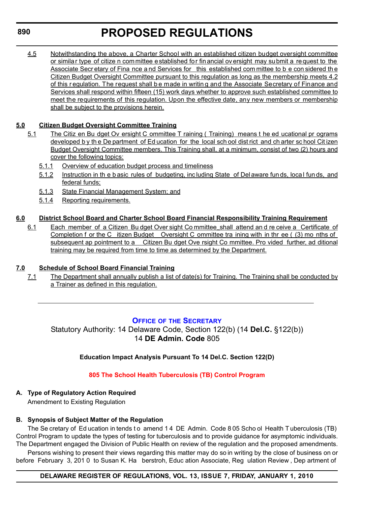<span id="page-19-0"></span>4.5 Notwithstanding the above, a Charter School with an established citizen budget oversight committee or similar type of citize n committee established for fin ancial ov ersight may su bmit a re quest to the Associate Secr etary of Fina nce a nd Services for this established com mittee to b e con sidered th e Citizen Budget Oversight Committee pursuant to this regulation as long as the membership meets 4.2 of this r egulation. The request shall b e made in writin g and the Associate Secretary of Finance and Services shall respond within fifteen (15) work days whether to approve such established committee to meet the requirements of this regulation. Upon the effective date, any new members or membership shall be subject to the provisions herein.

#### **5.0 Citizen Budget Oversight Committee Training**

- 5.1 The Citiz en Bu dget Ov ersight C ommittee T raining ( Training) means t he ed ucational pr ograms developed b y th e De partment of Ed ucation for the local sch ool dist rict and ch arter school Cit izen Budget Oversight Committee members. This Training shall, at a minimum, consist of two (2) hours and cover the following topics:
	- 5.1.1 Overview of education budget process and timeliness
	- 5.1.2 Instruction in th e b asic rules of budgeting, inc luding State of Del aware fun ds, loca l fun ds, and federal funds;
	- 5.1.3 State Financial Management System; and
	- 5.1.4 Reporting requirements.

#### **6.0 District School Board and Charter School Board Financial Responsibility Training Requirement**

6.1 Each member of a Citizen Bu dget Over sight Co mmittee shall attend an d re ceive a Certificate of Completion f or the C itizen Budget Oversight C ommittee tra ining with in thr ee ((3) mo nths of subsequent ap pointment to a Citizen Bu dget Ove rsight Co mmittee. Pro vided further, ad ditional training may be required from time to time as determined by the Department.

#### **7.0 Schedule of School Board Financial Training**

7.1 The Department shall annually publish a list of date(s) for Training. The Training shall be conducted by a Trainer as defined in this regulation.

#### **OFFICE OF [THE SECRETARY](http://www.doe.k12.de.us/)**

Statutory Authority: 14 Delaware Code, Section 122(b) (14 **Del.C.** §122(b)) 14 **DE Admin. Code** 805

#### **Education Impact Analysis Pursuant To 14 Del.C. Section 122(D)**

#### **[805 The School Health Tuberculosis \(TB\) Control Program](#page-3-0)**

#### **A. Type of Regulatory Action Required**

Amendment to Existing Regulation

#### **B. Synopsis of Subject Matter of the Regulation**

The Se cretary of Ed ucation in tends t o amend 1 4 DE Admin. Code 8 05 Scho ol Health T uberculosis (TB) Control Program to update the types of testing for tuberculosis and to provide guidance for asymptomic individuals. The Department engaged the Division of Public Health on review of the regulation and the proposed amendments.

Persons wishing to present their views regarding this matter may do so in writing by the close of business on or before February 3, 201 0 to Susan K. Ha berstroh, Educ ation Associate, Reg ulation Review , Dep artment of

#### **DELAWARE REGISTER OF REGULATIONS, VOL. 13, ISSUE 7, FRIDAY, JANUARY 1, 2010**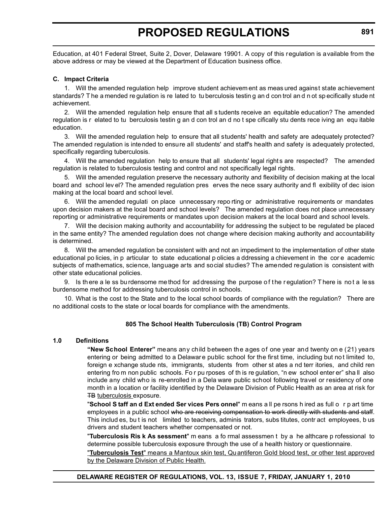Education, at 401 Federal Street, Suite 2, Dover, Delaware 19901. A copy of this regulation is available from the above address or may be viewed at the Department of Education business office.

#### **C. Impact Criteria**

1. Will the amended regulation help improve student achievem ent as meas ured against state achievement standards? T he a mended re gulation is re lated to tu berculosis testin g an d con trol an d n ot sp ecifically stude nt achievement.

2. Will the amended regulation help ensure that all s tudents receive an equitable education? The amended regulation is r elated to tu berculosis testin g an d con trol an d no t spe cifically stu dents rece iving an equ itable education.

3. Will the amended regulation help to ensure that all students' health and safety are adequately protected? The amended regulation is intended to ensure all students' and staff's health and safety is adequately protected, specifically regarding tuberculosis.

4. Will the amended regulation help to ensure that all students' legal rights are respected? The amended regulation is related to tuberculosis testing and control and not specifically legal rights.

5. Will the amended regulation preserve the necessary authority and flexibility of decision making at the local board and school lev el? The amended regulation pres erves the nece ssary authority and fl exibility of dec ision making at the local board and school level.

6. Will the amended regulati on place unnecessary repo rting or administrative requirements or mandates upon decision makers at the local board and school levels? The amended regulation does not place unnecessary reporting or administrative requirements or mandates upon decision makers at the local board and school levels.

7. Will the decision making authority and accountability for addressing the subject to be regulated be placed in the same entity? The amended regulation does not change where decision making authority and accountability is determined.

8. Will the amended regulation be consistent with and not an impediment to the implementation of other state educational po licies, in p articular to state educational p olicies a ddressing a chievement in the cor e academic subjects of mathematics, science, language arts and social studies? The amended regulation is consistent with other state educational policies.

9. Is there a le ss bu rdensome me thod for ad dressing the purpose of the regulation? There is not a less burdensome method for addressing tuberculosis control in schools.

10. What is the cost to the State and to the local school boards of compliance with the regulation? There are no additional costs to the state or local boards for compliance with the amendments.

#### **805 The School Health Tuberculosis (TB) Control Program**

#### **1.0 Definitions**

**"New School Enterer"** means any child between the ages of one year and twenty on e (21) years entering or being admitted to a Delaware public school for the first time, including but not limited to, foreign e xchange stude nts, immigrants, students from other st ates a nd terr itories, and child ren entering fro m non public schools. Fo r pu rposes of th is re gulation, "n ew school enter er" sha ll also include any child who is re-enrolled in a Dela ware public school following travel or residency of one month in a location or facility identified by the Delaware Division of Public Health as an area at risk for **TB** tuberculosis exposure.

"**School S taff an d Ext ended Ser vices Pers onnel**" m eans a ll pe rsons h ired as full o r p art time employees in a public school who are receiving compensation to work directly with students and staff. This includ es, bu t is not limited to teachers, adminis trators, subs titutes, contr act employees, b us drivers and student teachers whether compensated or not.

"**Tuberculosis Ris k As sessment**" m eans a fo rmal assessmen t by a he althcare p rofessional to determine possible tuberculosis exposure through the use of a health history or questionnaire.

"**Tuberculosis Test**" means a Mantoux skin test, Quantiferon Gold blood test, or other test approved by the Delaware Division of Public Health.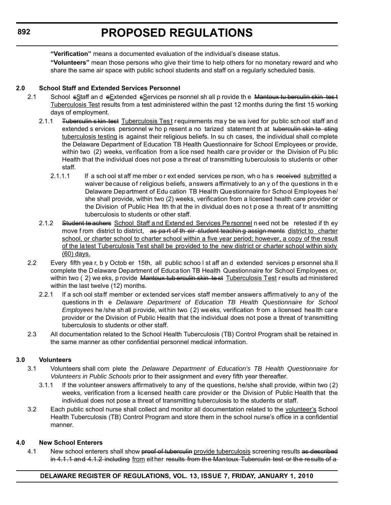#### **892**

### **PROPOSED REGULATIONS**

**"Verification"** means a documented evaluation of the individual's disease status.

**"Volunteers"** mean those persons who give their time to help others for no monetary reward and who share the same air space with public school students and staff on a regularly scheduled basis.

#### **2.0 School Staff and Extended Services Personnel**

- 2.1 School sStaff an deExtended sServices pe rsonnel sh all p rovide the Mantoux tu berculin skin test Tuberculosis Test results from a test administered within the past 12 months during the first 15 working days of employment.
	- 2.1.1 <del>Tuberculin s kin test</del> Tuberculosis Test requirements may be wa ived for public school staff and extended s ervices personnel w ho p resent a no tarized statement th at tuberculin skin te sting tuberculosis testing is against their religious beliefs. In su ch cases, the individual shall co mplete the Delaware Department of Education TB Health Questionnaire for School Employees or provide, within two (2) weeks, verification from a lice nsed health care provider or the Division of Pu blic Health that the individual does not pose a threat of transmitting tuberculosis to students or other staff.
		- 2.1.1.1 If a sch ool st aff me mber o r ext ended services pe rson, who ha s received submitted a waiver because of religious beliefs, answers affirmatively to an y of the questions in th e Delaware Department of Edu cation TB Health Questionnaire for School Employees he/ she shall provide, within two (2) weeks, verification from a licensed health care provider or the Division of Public Hea lth th at the in dividual do es no t p ose a th reat of tr ansmitting tuberculosis to students or other staff.
	- 2.1.2 Student te achers School Staff a nd Extend ed Services Pe rsonnel n eed not be retested if th ey move f rom district to district, as part of the ir student teaching assign ments district to charter school, or charter school to charter school within a five year period; however, a copy of the result of the latest Tuberculosis Test shall be provided to the new district or charter school within sixty (60) days.
- 2.2 Every fifth yea r, b y Octob er 15th, all public schoo l st aff an d extended services p ersonnel sha ll complete the D elaware Department of Education TB Health Questionnaire for School Employees or, within two (2) we eks, p rovide Mantoux tub erculin skin test Tuberculosis Test r esults ad ministered within the last twelve (12) months.
	- 2.2.1 If a sch ool staff member or extended services staff member answers affirmatively to any of the questions in th e *Delaware Department of Education TB Health Questionnaire for School Employees* he /she sh all p rovide, wit hin two (2) we eks, verification from a licensed hea lth care provider or the Division of Public Health that the individual does not pose a threat of transmitting tuberculosis to students or other staff.
- 2.3 All documentation related to the School Health Tuberculosis (TB) Control Program shall be retained in the same manner as other confidential personnel medical information.

#### **3.0 Volunteers**

- 3.1 Volunteers shall com plete the *Delaware Department of Education's TB Health Questionnaire for Volunteers in Public Schools* prior to their assignment and every fifth year thereafter.
	- 3.1.1 If the volunteer answers affirmatively to any of the questions, he/she shall provide, within two (2) weeks, verification from a licensed health care provider or the Division of Public Health that the individual does not pose a threat of transmitting tuberculosis to the students or staff.
- 3.2 Each public school nurse shall collect and monitor all documentation related to the volunteer's School Health Tuberculosis (TB) Control Program and store them in the school nurse's office in a confidential manner.

#### **4.0 New School Enterers**

4.1 New school enterers shall show proof of tuberculin provide tuberculosis screening results as described in 4.1.1 and 4.1.2 including from either results from the Mantoux Tuberculin test or the results of a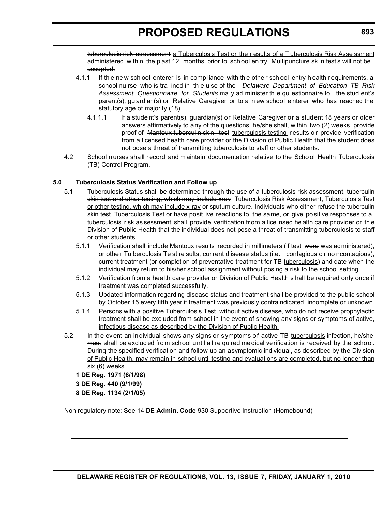tuberculosis risk as sessment a Tuberculosis Test or the r esults of a Tuberculosis Risk Asse ssment administered within the p ast 12 months prior to sch ool en try. Multipuncture sk in test s will not beaccepted.

- 4.1.1 If th e ne w sch ool enterer is in comp liance with th e othe r sch ool entry h ealth r equirements, a school nu rse who is tra ined in th e u se of the *Delaware Department of Education TB Risk Assessment Questionnaire for Students* ma y ad minister th e qu estionnaire to the stud ent's parent(s), gu ardian(s) or Relative Caregiver or to a n ew schoo l e nterer who has reached the statutory age of majority (18).
	- 4.1.1.1 If a stude nt's parent(s), guardian(s) or Relative Caregiver or a student 18 years or older answers affirmatively to any of the q uestions, he/she shall, within two (2) weeks, provide proof of Mantoux tuberculin skin test tuberculosis testing results or provide verification from a licensed health care provider or the Division of Public Health that the student does not pose a threat of transmitting tuberculosis to staff or other students.
- 4.2 School nurses shall record and maintain documentation relative to the School Health Tuberculosis (TB) Control Program.

#### **5.0 Tuberculosis Status Verification and Follow up**

- 5.1 Tuberculosis Status shall be determined through the use of a tuberculosis risk assessment, tuberculin skin test and other testing, which may include xray Tuberculosis Risk Assessment, Tuberculosis Test or other testing, which may include x-ray or sputum culture. Individuals who either refuse the tuberculin skin test Tuberculosis Test or have posit ive reactions to the same, or give positive responses to a tuberculosis risk as sessment shall provide verification fr om a lice nsed he alth ca re pr ovider or th e Division of Public Health that the individual does not pose a threat of transmitting tuberculosis to staff or other students.
	- 5.1.1 Verification shall include Mantoux results recorded in millimeters (if test were was administered), or othe r Tu berculosis Te st re sults, cur rent d isease status (i.e. contagious o r no ncontagious), current treatment (or completion of preventative treatment for TB tuberculosis) and date when the individual may return to his/her school assignment without posing a risk to the school setting.
	- 5.1.2 Verification from a health care provider or Division of Public Health s hall be required only once if treatment was completed successfully.
	- 5.1.3 Updated information regarding disease status and treatment shall be provided to the public school by October 15 every fifth year if treatment was previously contraindicated, incomplete or unknown.
	- 5.1.4 Persons with a positive Tuberculosis Test, without active disease, who do not receive prophylactic treatment shall be excluded from school in the event of showing any signs or symptoms of active, infectious disease as described by the Division of Public Health.
- 5.2 In the event an individual shows any signs or symptoms of active TB tuberculosis infection, he/she must shall be excluded from school until all re quired medical verification is received by the school. During the specified verification and follow-up an asymptomic individual, as described by the Division of Public Health, may remain in school until testing and evaluations are completed, but no longer than six (6) weeks.

**1 DE Reg. 1971 (6/1/98) 3 DE Reg. 440 (9/1/99)**

**8 DE Reg. 1134 (2/1/05)**

Non regulatory note: See 14 **DE Admin. Code** 930 Supportive Instruction (Homebound)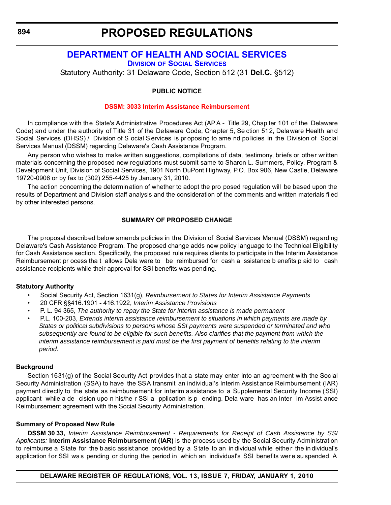#### <span id="page-23-0"></span>**[DEPARTMENT OF HEALTH AND SOCIAL SERVICES](http://www.dhss.delaware.gov/dhss/dss/index.html) DIVISION OF SOCIAL SERVICES**

Statutory Authority: 31 Delaware Code, Section 512 (31 **Del.C.** §512)

#### **PUBLIC NOTICE**

#### **[DSSM: 3033 Interim Assistance Reimbursement](#page-3-0)**

In compliance with the State's Administrative Procedures Act (AP A - Title 29, Chap ter 101 of the Delaware Code) and under the authority of Title 31 of the Delaware Code, Chapter 5, Se ction 512, Delaware Health and Social Services (DHSS) / Division of S ocial S ervices is pr oposing to ame nd po licies in the Division of Social Services Manual (DSSM) regarding Delaware's Cash Assistance Program.

Any person who wishes to make written suggestions, compilations of data, testimony, briefs or other written materials concerning the proposed new regulations must submit same to Sharon L. Summers, Policy, Program & Development Unit, Division of Social Services, 1901 North DuPont Highway, P.O. Box 906, New Castle, Delaware 19720-0906 or by fax to (302) 255-4425 by January 31, 2010.

The action concerning the determination of whether to adopt the pro posed regulation will be based upon the results of Department and Division staff analysis and the consideration of the comments and written materials filed by other interested persons.

#### **SUMMARY OF PROPOSED CHANGE**

The proposal described below amends policies in the Division of Social Services Manual (DSSM) reg arding Delaware's Cash Assistance Program. The proposed change adds new policy language to the Technical Eligibility for Cash Assistance section. Specifically, the proposed rule requires clients to participate in the Interim Assistance Reimbursement pr ocess tha t allows Dela ware to be reimbursed for cash a ssistance b enefits p aid to cash assistance recipients while their approval for SSI benefits was pending.

#### **Statutory Authority**

- Social Security Act, Section 1631(g), *Reimbursement to States for Interim Assistance Payments*
- 20 CFR §§416.1901 416.1922, *Interim Assistance Provisions*
- P. L. 94 365, *The authority to repay the State for interim assistance is made permanent*
- P.L. 100-203, *Extends interim assistance reimbursement to situations in which payments are made by States or political subdivisions to persons whose SSI payments were suspended or terminated and who subsequently are found to be eligible for such benefits. Also clarifies that the payment from which the interim assistance reimbursement is paid must be the first payment of benefits relating to the interim period.*

#### **Background**

Section 1631(g) of the Social Security Act provides that a state may enter into an agreement with the Social Security Administration (SSA) to have the SSA transmit an individual's Interim Assistance Reimbursement (IAR) payment directly to the state as reimbursement for interim assistance to a Supplemental Security Income (SSI) applicant while a de cision upo n his/he r SSI a pplication is p ending. Dela ware has an Inter im Assist ance Reimbursement agreement with the Social Security Administration.

#### **Summary of Proposed New Rule**

**DSSM 30 33,** *Interim Assistance Reimbursement - Requirements for Receipt of Cash Assistance by SSI Applicants:* **Interim Assistance Reimbursement (IAR)** is the process used by the Social Security Administration to reimburse a State for the basic assist ance provided by a State to an in dividual while either the in dividual's application for SSI was pending or during the period in which an individual's SSI benefits were suspended. A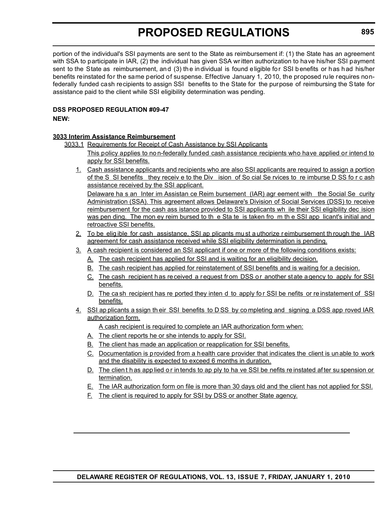portion of the individual's SSI payments are sent to the State as reimbursement if: (1) the State has an agreement with SSA to participate in IAR, (2) the individual has given SSA written authorization to have his/her SSI payment sent to the State as reimbursement, and (3) the individual is found eligible for SSI benefits or has had his/her benefits reinstated for the same period of suspense. Effective January 1, 2010, the proposed rule requires nonfederally funded cash recipients to assign SSI benefits to the State for the purpose of reimbursing the S tate for assistance paid to the client while SSI eligibility determination was pending.

#### **DSS PROPOSED REGULATION #09-47**

#### **NEW:**

#### **3033 Interim Assistance Reimbursement**

- 3033.1 Requirements for Receipt of Cash Assistance by SSI Applicants
	- This policy applies to no n-federally funded cash assistance recipients who have applied or intend to apply for SSI benefits.
	- 1. Cash assistance applicants and recipients who are also SSI applicants are required to assign a portion of the S SI benefits they receiv e to the Div ision of So cial Se rvices to re imburse D SS fo r c ash assistance received by the SSI applicant.

Delaware ha s an Inter im Assistan ce Reim bursement (IAR) agr eement with the Social Se curity Administration (SSA). This agreement allows Delaware's Division of Social Services (DSS) to receive reimbursement for the cash ass istance provided to SSI applicants wh ile their SSI eligibility dec ision was pen ding. The mon ey reim bursed to th e Sta te is taken fro m th e SSI app licant's initial and retroactive SSI benefits.

- 2. To be elig ible for cash assistance, SSI ap plicants mu st a uthorize r eimbursement th rough the IAR agreement for cash assistance received while SSI eligibility determination is pending.
- 3. A cash recipient is considered an SSI applicant if one or more of the following conditions exists:
	- A. The cash recipient has applied for SSI and is waiting for an eligibility decision.
	- B. The cash recipient has applied for reinstatement of SSI benefits and is waiting for a decision.
	- C. The cash recipient has received a request from DSS or another state agency to apply for SSI benefits.
	- D. The ca sh recipient has re ported they inten d to apply for SSI be nefits or reinstatement of SSI benefits.
- 4. SSI ap plicants a ssign th eir SSI benefits to D SS by co mpleting and signing a DSS app roved IAR authorization form.

A cash recipient is required to complete an IAR authorization form when:

- A. The client reports he or she intends to apply for SSI.
- B. The client has made an application or reapplication for SSI benefits.
- C. Documentation is provided from a health care provider that indicates the client is unable to work and the disability is expected to exceed 6 months in duration.
- D. The clien t h as app lied o r in tends to ap ply to ha ve SSI be nefits re instated af ter su spension or termination.
- E. The IAR authorization form on file is more than 30 days old and the client has not applied for SSI.
- F. The client is required to apply for SSI by DSS or another State agency.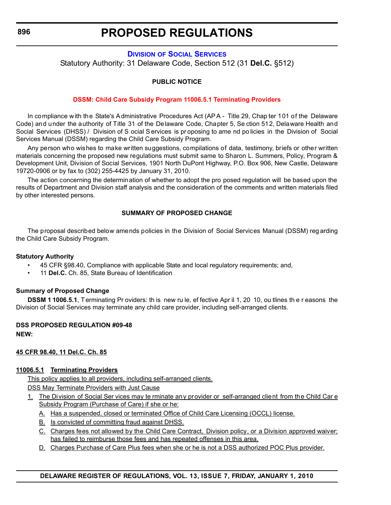#### **DIVISION [OF SOCIAL SERVICES](http://www.dhss.delaware.gov/dhss/dss/index.html)**

<span id="page-25-0"></span>Statutory Authority: 31 Delaware Code, Section 512 (31 **Del.C.** §512)

#### **PUBLIC NOTICE**

#### **[DSSM: Child Care Subsidy Program 11006.5.1 Terminating Providers](#page-3-0)**

In compliance with the State's Administrative Procedures Act (AP A - Title 29, Chap ter 101 of the Delaware Code) and under the authority of Title 31 of the Delaware Code, Chapter 5, Se ction 512, Delaware Health and Social Services (DHSS) / Division of S ocial S ervices is pr oposing to ame nd po licies in the Division of Social Services Manual (DSSM) regarding the Child Care Subsidy Program.

Any person who wishes to make written suggestions, compilations of data, testimony, briefs or other written materials concerning the proposed new regulations must submit same to Sharon L. Summers, Policy, Program & Development Unit, Division of Social Services, 1901 North DuPont Highway, P.O. Box 906, New Castle, Delaware 19720-0906 or by fax to (302) 255-4425 by January 31, 2010.

The action concerning the determination of whether to adopt the pro posed regulation will be based upon the results of Department and Division staff analysis and the consideration of the comments and written materials filed by other interested persons.

#### **SUMMARY OF PROPOSED CHANGE**

The proposal described below amends policies in the Division of Social Services Manual (DSSM) reg arding the Child Care Subsidy Program.

#### **Statutory Authority**

- 45 CFR §98.40, Compliance with applicable State and local regulatory requirements; and,
- 11 **Del.C.** Ch. 85, State Bureau of Identification

#### **Summary of Proposed Change**

**DSSM 1 1006.5.1**, Terminating Pr oviders: th is new ru le, ef fective Apr il 1, 20 10, ou tlines th e r easons the Division of Social Services may terminate any child care provider, including self-arranged clients.

### **DSS PROPOSED REGULATION #09-48**

#### **NEW:**

#### **45 CFR 98.40, 11 Del.C. Ch. 85**

#### **11006.5.1 Terminating Providers**

This policy applies to all providers, including self-arranged clients.

DSS May Terminate Providers with Just Cause

- 1. The Division of Social Ser vices may te rminate any provider or self-arranged client from the Child Car e Subsidy Program (Purchase of Care) if she or he:
	- A. Has a suspended, closed or terminated Office of Child Care Licensing (OCCL) license.
	- B. Is convicted of committing fraud against DHSS.
	- C. Charges fees not allowed by the Child Care Contract, Division policy, or a Division approved waiver; has failed to reimburse those fees and has repeated offenses in this area.
	- D. Charges Purchase of Care Plus fees when she or he is not a DSS authorized POC Plus provider.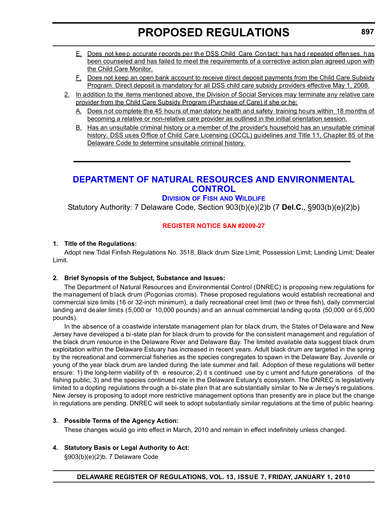- <span id="page-26-0"></span>E. Does not keep accurate records per the DSS Child Care Contact; has had repeated offenses, has been counseled and has failed to meet the requirements of a corrective action plan agreed upon with the Child Care Monitor.
- F. Does not keep an open bank account to receive direct deposit payments from the Child Care Subsidy Program. Direct deposit is mandatory for all DSS child care subsidy providers effective May 1, 2008.
- 2. In addition to the items mentioned above, the Division of Social Services may terminate any relative care provider from the Child Care Subsidy Program (Purchase of Care) if she or he:
	- A. Does not complete the 45 hours of man datory health and safety training hours within 18 months of becoming a relative or non-relative care provider as outlined in the initial orientation session.
	- B. Has an unsuitable criminal history or a member of the provider's household has an unsuitable criminal history. DSS uses Office of Child Care Licensing (OCCL) guidelines and Title 11, Chapter 85 of the Delaware Code to determine unsuitable criminal history.

#### **[DEPARTMENT OF NATURAL RESOURCES AND ENVIRONMENTAL](http://www.fw.delaware.gov/Pages/FWPortal.aspx)  CONTROL**

#### **DIVISION OF FISH AND WILDLIFE**

Statutory Authority: 7 Delaware Code, Section 903(b)(e)(2)b (7 **Del.C.**, §903(b)(e)(2)b)

#### **[REGISTER NOTICE SAN #2009-27](#page-3-0)**

#### **1. Title of the Regulations:**

Adopt new Tidal Finfish Regulations No. 3518, Black drum Size Limit; Possession Limit; Landing Limit; Dealer Limit.

#### **2. Brief Synopsis of the Subject, Substance and Issues:**

The Department of Natural Resources and Environmental Control (DNREC) is proposing new regulations for the management of black drum (Pogonias cromis). These proposed regulations would establish recreational and commercial size limits (16 or 32-inch minimum), a daily recreational creel limit (two or three fish), daily commercial landing and dealer limits (5,000 or 10,000 pounds) and an annual commercial landing quota (50,000 or 65,000 pounds).

In the absence of a coastwide interstate management plan for black drum, the States of Delaware and New Jersey have developed a bi-state plan for black drum to provide for the consistent management and regulation of the black drum resource in the Delaware River and Delaware Bay. The limited available data suggest black drum exploitation within the Delaware Estuary has increased in recent years. Adult black drum are targeted in the spring by the recreational and commercial fisheries as the species congregates to spawn in the Delaware Bay. Juvenile or young of the year black drum are landed during the late summer and fall. Adoption of these regulations will better ensure: 1) the long-term viability of th e resource; 2) it s continued use by c urrent and future generations of the fishing public; 3) and the species continued role in the Delaware Estuary's ecosystem. The DNREC is legislatively limited to a dopting regulations through a bi-state plan that are substantially similar to Ne w Jersey's regulations. New Jersey is proposing to adopt more restrictive management options than presently are in place but the change in regulations are pending. DNREC will seek to adopt substantially similar regulations at the time of public hearing.

#### **3. Possible Terms of the Agency Action:**

These changes would go into effect in March, 2010 and remain in effect indefinitely unless changed.

**4. Statutory Basis or Legal Authority to Act:**

§903(b)(e)(2)b. 7 Delaware Code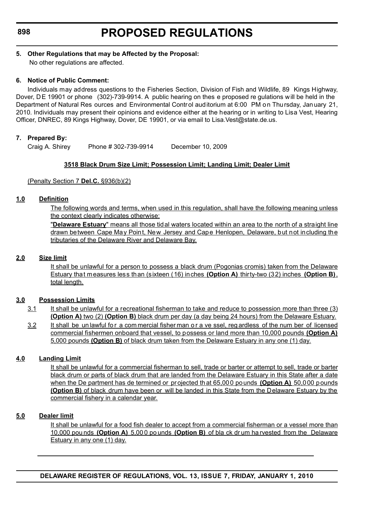**5. Other Regulations that may be Affected by the Proposal:**

No other regulations are affected.

#### **6. Notice of Public Comment:**

Individuals may address questions to the Fisheries Section, Division of Fish and Wildlife, 89 Kings Highway, Dover, DE 19901 or phone (302)-739-9914. A public hearing on thes e proposed re gulations will be held in the Department of Natural Res ources and Environmental Control auditorium at 6:00 PM on Thursday, January 21, 2010. Individuals may present their opinions and evidence either at the hearing or in writing to Lisa Vest, Hearing Officer, DNREC, 89 Kings Highway, Dover, DE 19901, or via email to Lisa.Vest@state.de.us.

#### **7. Prepared By:**

Craig A. Shirey Phone # 302-739-9914 December 10, 2009

#### **3518 Black Drum Size Limit; Possession Limit; Landing Limit; Dealer Limit**

(Penalty Section 7 **Del.C.** §936(b)(2)

#### **1.0 Definition**

The following words and terms, when used in this regulation, shall have the following meaning unless the context clearly indicates otherwise:

"**Delaware Estuary**" means all those tidal waters located within an area to the north of a straight line drawn between Cape May Point, New Jersey and Cape Henlopen, Delaware, but not including the tributaries of the Delaware River and Delaware Bay.

#### **2.0 Size limit**

It shall be unlawful for a person to possess a black drum (Pogonias cromis) taken from the Delaware Estuary that measures less than (sixteen (16) inches **(Option A)** thirty-two (32) inches **(Option B)**, total length.

#### **3.0 Possession Limits**

3.1 It shall be unlawful for a recreational fisherman to take and reduce to possession more than three (3) **(Option A)** two (2) **(Option B)** black drum per day (a day being 24 hours) from the Delaware Estuary.

3.2 It shall be un lawful for a com mercial fisher man or a ve ssel, reg ardless of the num ber of licensed commercial fishermen onboard that vessel, to possess or land more than 10,000 pounds **(Option A)** 5,000 pounds **(Option B)** of black drum taken from the Delaware Estuary in any one (1) day.

#### **4.0 Landing Limit**

It shall be unlawful for a commercial fisherman to sell, trade or barter or attempt to sell, trade or barter black drum or parts of black drum that are landed from the Delaware Estuary in this State after a date when the De partment has de termined or projected that 65,000 pounds **(Option A)** 50,000 pounds **(Option B)** of black drum have been or will be landed in this State from the Delaware Estuary by the commercial fishery in a calendar year.

#### **5.0 Dealer limit**

It shall be unlawful for a food fish dealer to accept from a commercial fisherman or a vessel more than 10,000 pou nds **(Option A)** 5,00 0 po unds **(Option B)** of bla ck dr um ha rvested from the Delaware Estuary in any one (1) day.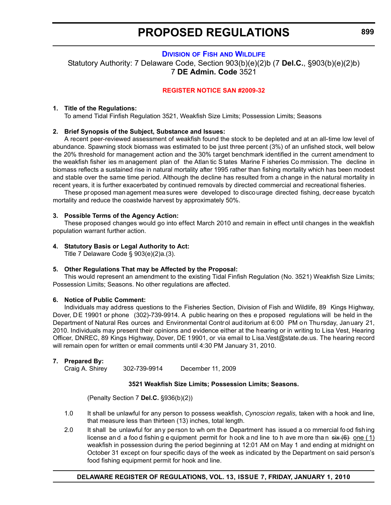#### **DIVISION OF FISH [AND WILDLIFE](http://www.fw.delaware.gov/Pages/FWPortal.aspx)**

<span id="page-28-0"></span>Statutory Authority: 7 Delaware Code, Section 903(b)(e)(2)b (7 **Del.C.**, §903(b)(e)(2)b) 7 **DE Admin. Code** 3521

#### **[REGISTER NOTICE SAN #2009-32](#page-3-0)**

#### **1. Title of the Regulations:**

To amend Tidal Finfish Regulation 3521, Weakfish Size Limits; Possession Limits; Seasons

#### **2. Brief Synopsis of the Subject, Substance and Issues:**

A recent peer-reviewed assessment of weakfish found the stock to be depleted and at an all-time low level of abundance. Spawning stock biomass was estimated to be just three percent (3%) of an unfished stock, well below the 20% threshold for management action and the 30% target benchmark identified in the current amendment to the weakfish fisher ies m anagement plan of the Atlan tic S tates Marine F isheries Co mmission. The decline in biomass reflects a sustained rise in natural mortality after 1995 rather than fishing mortality which has been modest and stable over the same time period. Although the decline has resulted from a change in the natural mortality in recent years, it is further exacerbated by continued removals by directed commercial and recreational fisheries.

These pr oposed man agement mea sures were developed to disco urage directed fishing, decr ease bycatch mortality and reduce the coastwide harvest by approximately 50%.

#### **3. Possible Terms of the Agency Action:**

These proposed changes would go into effect March 2010 and remain in effect until changes in the weakfish population warrant further action.

#### **4. Statutory Basis or Legal Authority to Act:**

Title 7 Delaware Code § 903(e)(2)a.(3).

#### **5. Other Regulations That may be Affected by the Proposal:**

This would represent an amendment to the existing Tidal Finfish Regulation (No. 3521) Weakfish Size Limits; Possession Limits; Seasons. No other regulations are affected.

#### **6. Notice of Public Comment:**

Individuals may address questions to the Fisheries Section, Division of Fish and Wildlife, 89 Kings Highway, Dover, DE 19901 or phone (302)-739-9914. A public hearing on thes e proposed regulations will be held in the Department of Natural Res ources and Environmental Control auditorium at 6:00 PM on Thursday, January 21, 2010. Individuals may present their opinions and evidence either at the hearing or in writing to Lisa Vest, Hearing Officer, DNREC, 89 Kings Highway, Dover, DE 19901, or via email to Lisa.Vest@state.de.us. The hearing record will remain open for written or email comments until 4:30 PM January 31, 2010.

#### **7. Prepared By:**

Craig A. Shirey 302-739-9914 December 11, 2009

#### **3521 Weakfish Size Limits; Possession Limits; Seasons.**

(Penalty Section 7 **Del.C.** §936(b)(2))

- 1.0 It shall be unlawful for any person to possess weakfish, *Cynoscion regalis,* taken with a hook and line, that measure less than thirteen (13) inches, total length.
- 2.0 It shall be unlawful for any pe rson to wh om the Department has issued a co mmercial fo od fishing license and a food fishing e quipment permit for h ook and line to h ave m ore than  $s$ ix (6) one (1) weakfish in possession during the period beginning at 12:01 AM on May 1 and ending at midnight on October 31 except on four specific days of the week as indicated by the Department on said person's food fishing equipment permit for hook and line.

#### **DELAWARE REGISTER OF REGULATIONS, VOL. 13, ISSUE 7, FRIDAY, JANUARY 1, 2010**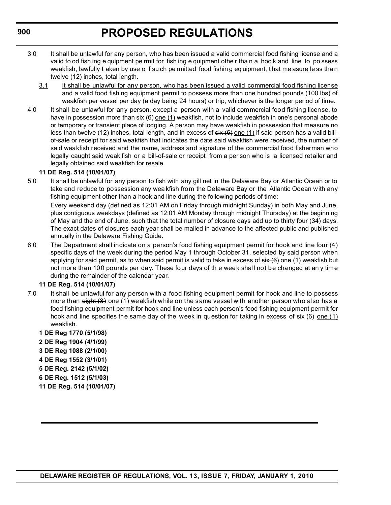- 3.0 It shall be unlawful for any person, who has been issued a valid commercial food fishing license and a valid fo od fish ing e quipment pe rmit for fish ing e quipment othe r tha n a hoo k and line to po ssess weakfish, lawfully t aken by use o f su ch pe rmitted food fishin g eq uipment, t hat me asure le ss tha n twelve (12) inches, total length.
	- 3.1 It shall be unlawful for any person, who has been issued a valid commercial food fishing license and a valid food fishing equipment permit to possess more than one hundred pounds (100 lbs) of weakfish per vessel per day (a day being 24 hours) or trip, whichever is the longer period of time.
- 4.0 It shall be unlawful for any person, except a person with a valid commercial food fishing license, to have in possession more than  $\sin(6)$  one (1) weakfish, not to include weakfish in one's personal abode or temporary or transient place of lodging. A person may have weakfish in possession that measure no less than twelve (12) inches, total length, and in excess of  $s$ ix  $(6)$  one (1) if said person has a valid billof-sale or receipt for said weakfish that indicates the date said weakfish were received, the number of said weakfish received and the name, address and signature of the commercial food fisherman who legally caught said weak fish or a bill-of-sale or receipt from a per son who is a licensed retailer and legally obtained said weakfish for resale.

#### **11 DE Reg. 514 (10/01/07)**

- 5.0 It shall be unlawful for any person to fish with any gill net in the Delaware Bay or Atlantic Ocean or to take and reduce to possession any wea kfish from the Delaware Bay or the Atlantic Ocean with any fishing equipment other than a hook and line during the following periods of time: Every weekend day (defined as 12:01 AM on Friday through midnight Sunday) in both May and June, plus contiguous weekdays (defined as 12:01 AM Monday through midnight Thursday) at the beginning of May and the end of June, such that the total number of closure days add up to thirty four (34) days. The exact dates of closures each year shall be mailed in advance to the affected public and published
- annually in the Delaware Fishing Guide. 6.0 The Department shall indicate on a person's food fishing equipment permit for hook and line four (4) specific days of the week during the period May 1 through October 31, selected by said person when applying for said permit, as to when said permit is valid to take in excess of  $s$ ix  $(6)$  one (1) weakfish but not more than 100 pounds per day. These four days of the week shall not be changed at any time during the remainder of the calendar year.

#### **11 DE Reg. 514 (10/01/07)**

7.0 It shall be unlawful for any person with a food fishing equipment permit for hook and line to possess more than eight (8) one (1) weakfish while on the same vessel with another person who also has a food fishing equipment permit for hook and line unless each person's food fishing equipment permit for hook and line specifies the same day of the week in question for taking in excess of  $s\ddot{x}$  (6) one (1) weakfish.

**1 DE Reg 1770 (5/1/98) 2 DE Reg 1904 (4/1/99) 3 DE Reg 1088 (2/1/00) 4 DE Reg 1552 (3/1/01) 5 DE Reg. 2142 (5/1/02) 6 DE Reg. 1512 (5/1/03) 11 DE Reg. 514 (10/01/07)**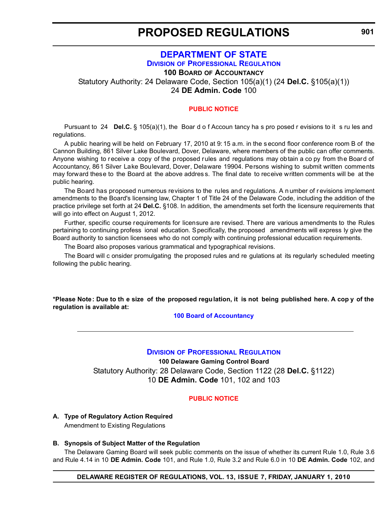#### **[DEPARTMENT OF STATE](http://dpr.delaware.gov/default.shtml) DIVISION OF PROFESSIONAL REGULATION**

**100 BOARD OF ACCOUNTANCY**

<span id="page-30-0"></span>Statutory Authority: 24 Delaware Code, Section 105(a)(1) (24 **Del.C.** §105(a)(1))

24 **DE Admin. Code** 100

#### **[PUBLIC NOTICE](#page-3-0)**

Pursuant to 24 **Del.C.** § 105(a)(1), the Boar d o f Accoun tancy ha s pro posed r evisions to it s ru les and regulations.

A public hearing will be held on February 17, 2010 at 9: 15 a.m. in the s econd floor conference room B of the Cannon Building, 861 Silver Lake Boulevard, Dover, Delaware, where members of the public can offer comments. Anyone wishing to receive a copy of the proposed rules and regulations may obtain a co py from the Board of Accountancy, 861 Silver Lake Boulevard, Dover, Delaware 19904. Persons wishing to submit written comments may forward these to the Board at the above addres s. The final date to receive written comments will be at the public hearing.

The Board has proposed numerous revisions to the rules and regulations. A n umber of r evisions implement amendments to the Board's licensing law, Chapter 1 of Title 24 of the Delaware Code, including the addition of the practice privilege set forth at 24 **Del.C.** §108. In addition, the amendments set forth the licensure requirements that will go into effect on August 1, 2012.

Further, specific course requirements for licensure are revised. There are various amendments to the Rules pertaining to continuing profess ional education. Specifically, the proposed amendments will express ly give the Board authority to sanction licensees who do not comply with continuing professional education requirements.

The Board also proposes various grammatical and typographical revisions.

The Board will c onsider promulgating the proposed rules and re gulations at its regularly scheduled meeting following the public hearing.

**\*Please Note: Due to th e size of the proposed regulation, it is not being published here. A cop y of the regulation is available at:**

#### **[100 Board of Accountancy](http://regulations.delaware.gov/register/january2010/proposed/13 DE Reg 901 01-01-10.htm)**

#### **DIVISION [OF PROFESSIONAL REGULATION](http://dpr.delaware.gov/default.shtml)**

**100 Delaware Gaming Control Board** Statutory Authority: 28 Delaware Code, Section 1122 (28 **Del.C.** §1122) 10 **DE Admin. Code** 101, 102 and 103

#### **[PUBLIC NOTICE](#page-3-0)**

#### **A. Type of Regulatory Action Required** Amendment to Existing Regulations

#### **B. Synopsis of Subject Matter of the Regulation**

The Delaware Gaming Board will seek public comments on the issue of whether its current Rule 1.0, Rule 3.6 and Rule 4.14 in 10 **DE Admin. Code** 101, and Rule 1.0, Rule 3.2 and Rule 6.0 in 10 **DE Admin. Code** 102, and

#### **DELAWARE REGISTER OF REGULATIONS, VOL. 13, ISSUE 7, FRIDAY, JANUARY 1, 2010**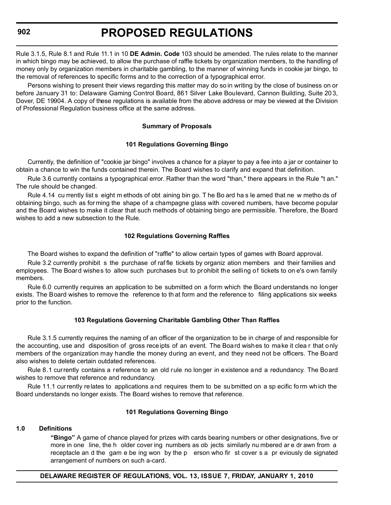Rule 3.1.5, Rule 8.1 and Rule 11.1 in 10 **DE Admin. Code** 103 should be amended. The rules relate to the manner in which bingo may be achieved, to allow the purchase of raffle tickets by organization members, to the handling of money only by organization members in charitable gambling, to the manner of winning funds in cookie jar bingo, to the removal of references to specific forms and to the correction of a typographical error.

Persons wishing to present their views regarding this matter may do so in writing by the close of business on or before January 31 to: Delaware Gaming Control Board, 861 Silver Lake Boulevard, Cannon Building, Suite 203, Dover, DE 19904. A copy of these regulations is available from the above address or may be viewed at the Division of Professional Regulation business office at the same address.

#### **Summary of Proposals**

#### **101 Regulations Governing Bingo**

Currently, the definition of "cookie jar bingo" involves a chance for a player to pay a fee into a jar or container to obtain a chance to win the funds contained therein. The Board wishes to clarify and expand that definition.

Rule 3.6 currently contains a typographical error. Rather than the word "than," there appears in the Rule "t an." The rule should be changed.

Rule 4.14 cu rrently list s eight m ethods of obt aining bin go. T he Bo ard ha s le arned that ne w metho ds of obtaining bingo, such as forming the shape of a champagne glass with covered numbers, have become popular and the Board wishes to make it clear that such methods of obtaining bingo are permissible. Therefore, the Board wishes to add a new subsection to the Rule.

#### **102 Regulations Governing Raffles**

The Board wishes to expand the definition of "raffle" to allow certain types of games with Board approval.

Rule 3.2 currently prohibit s the purchase of raf fle tickets by organiz ation members and their families and employees. The Board wishes to allow such purchases but to prohibit the selling of tickets to on e's own family members.

Rule 6.0 currently requires an application to be submitted on a form which the Board understands no longer exists. The Board wishes to remove the reference to th at form and the reference to filing applications six weeks prior to the function.

#### **103 Regulations Governing Charitable Gambling Other Than Raffles**

Rule 3.1.5 currently requires the naming of an officer of the organization to be in charge of and responsible for the accounting, use and disposition of gross receipts of an event. The Board wishes to make it clea r that only members of the organization may handle the money during an event, and they need not be officers. The Board also wishes to delete certain outdated references.

Rule 8.1 currently contains a reference to an old rule no longer in existence and a redundancy. The Board wishes to remove that reference and redundancy.

Rule 11.1 currently relates to applications and requires them to be su bmitted on a sp ecific fo rm wh ich the Board understands no longer exists. The Board wishes to remove that reference.

#### **101 Regulations Governing Bingo**

#### **1.0 Definitions**

**"Bingo"** A game of chance played for prizes with cards bearing numbers or other designations, five or more in one line, the h older cover ing numbers as ob jects similarly nu mbered ar e dr awn from a receptacle an d the gam e be ing won by the p erson who fir st cover s a pr eviously de signated arrangement of numbers on such a-card.

#### **DELAWARE REGISTER OF REGULATIONS, VOL. 13, ISSUE 7, FRIDAY, JANUARY 1, 2010**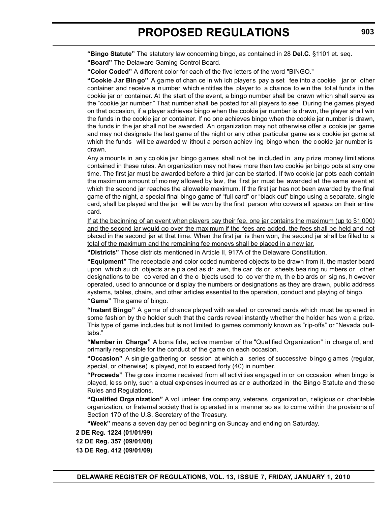**"Bingo Statute"** The statutory law concerning bingo, as contained in 28 **Del.C.** §1101 et. seq.

**"Board"** The Delaware Gaming Control Board.

**"Color Coded"** A different color for each of the five letters of the word "BINGO."

**"Cookie J ar Bin go"** A ga me of chan ce in wh ich player s pay a set fee into a cookie jar or other container and receive a number which entitles the player to a chance to win the total funds in the cookie jar or container. At the start of the event, a bingo number shall be drawn which shall serve as the "cookie jar number." That number shall be posted for all players to see. During the games played on that occasion, if a player achieves bingo when the cookie jar number is drawn, the player shall win the funds in the cookie jar or container. If no one achieves bingo when the cookie jar number is drawn, the funds in the jar shall not be awarded. An organization may not otherwise offer a cookie jar game and may not designate the last game of the night or any other particular game as a cookie jar game at which the funds will be awarded w ithout a person achiev ing bingo when the cookie jar number is drawn.

Any a mounts in an y co okie ja r bingo g ames shall n ot be in cluded in any p rize money limit ations contained in these rules. An organization may not have more than two cookie jar bingo pots at any one time. The first jar must be awarded before a third jar can be started. If two cookie jar pots each contain the maximum amount of mo ney allowed by law , the first jar must be awarded at the same event at which the second jar reaches the allowable maximum. If the first jar has not been awarded by the final game of the night, a special final bingo game of "full card" or "black out" bingo using a separate, single card, shall be played and the jar will be won by the first person who covers all spaces on their entire card.

If at the beginning of an event when players pay their fee, one jar contains the maximum (up to \$1,000) and the second jar would go over the maximum if the fees are added, the fees shall be held and not placed in the second jar at that time. When the first jar is then won, the second jar shall be filled to a total of the maximum and the remaining fee moneys shall be placed in a new jar.

**"Districts"** Those districts mentioned in Article II, 917A of the Delaware Constitution.

**"Equipment"** The receptacle and color coded numbered objects to be drawn from it, the master board upon which su ch objects ar e pla ced as dr awn, the car ds or sheets bea ring nu mbers or other designations to be co vered an d the o bjects used to co ver the m, th e bo ards or sig ns, h owever operated, used to announce or display the numbers or designations as they are drawn, public address systems, tables, chairs, and other articles essential to the operation, conduct and playing of bingo. **"Game"** The game of bingo.

**"Instant Bingo"** A game of chance played with se aled or covered cards which must be op ened in some fashion by the holder such that the cards reveal instantly whether the holder has won a prize. This type of game includes but is not limited to games commonly known as "rip-offs" or "Nevada pulltabs."

**"Member in Charge"** A bona fide, active member of the "Qualified Organization" in charge of, and primarily responsible for the conduct of the game on each occasion.

**"Occasion"** A sin gle ga thering or session at which a series of successive b ingo g ames (regular, special, or otherwise) is played, not to exceed forty (40) in number.

**"Proceeds"** The gross income received from all activi ties engaged in or on occasion when bingo is played, less only, such a ctual expenses incurred as ar e authorized in the Bingo Statute and these Rules and Regulations.

**"Qualified Orga nization"** A vol unteer fire comp any, veterans organization, r eligious o r charitable organization, or fraternal society that is operated in a manner so as to come within the provisions of Section 170 of the U.S. Secretary of the Treasury.

**"Week"** means a seven day period beginning on Sunday and ending on Saturday.

**2 DE Reg. 1224 (01/01/99)**

**12 DE Reg. 357 (09/01/08)**

**13 DE Reg. 412 (09/01/09)**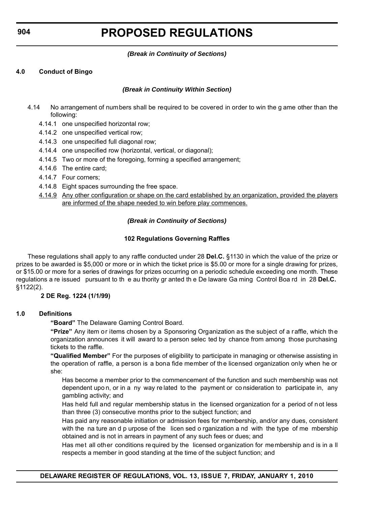#### *(Break in Continuity of Sections)*

#### **4.0 Conduct of Bingo**

#### *(Break in Continuity Within Section)*

- 4.14 No arrangement of numbers shall be required to be covered in order to win the g ame other than the following:
	- 4.14.1 one unspecified horizontal row;
	- 4.14.2 one unspecified vertical row;
	- 4.14.3 one unspecified full diagonal row;
	- 4.14.4 one unspecified row (horizontal, vertical, or diagonal);
	- 4.14.5 Two or more of the foregoing, forming a specified arrangement;
	- 4.14.6 The entire card;
	- 4.14.7 Four corners;
	- 4.14.8 Eight spaces surrounding the free space.
	- 4.14.9 Any other configuration or shape on the card established by an organization, provided the players are informed of the shape needed to win before play commences.

#### *(Break in Continuity of Sections)*

#### **102 Regulations Governing Raffles**

These regulations shall apply to any raffle conducted under 28 **Del.C.** §1130 in which the value of the prize or prizes to be awarded is \$5,000 or more or in which the ticket price is \$5.00 or more for a single drawing for prizes, or \$15.00 or more for a series of drawings for prizes occurring on a periodic schedule exceeding one month. These regulations a re issued pursuant to th e au thority gr anted th e De laware Ga ming Control Boa rd in 28 **Del.C.**  §1122(2).

#### **2 DE Reg. 1224 (1/1/99)**

#### **1.0 Definitions**

**"Board"** The Delaware Gaming Control Board.

**"Prize"** Any item or items chosen by a Sponsoring Organization as the subject of a raffle, which the organization announces it will award to a person selec ted by chance from among those purchasing tickets to the raffle.

**"Qualified Member"** For the purposes of eligibility to participate in managing or otherwise assisting in the operation of raffle, a person is a bona fide member of the licensed organization only when he or she:

Has become a member prior to the commencement of the function and such membership was not dependent upo n, or in a ny way re lated to the payment or co nsideration to participate in, any gambling activity; and

Has held full and regular membership status in the licensed organization for a period of not less than three (3) consecutive months prior to the subject function; and

Has paid any reasonable initiation or admission fees for membership, and/or any dues, consistent with the na ture an d p urpose of the licen sed o rganization a nd with the type of me mbership obtained and is not in arrears in payment of any such fees or dues; and

Has met all other conditions required by the licensed organization for membership and is in a ll respects a member in good standing at the time of the subject function; and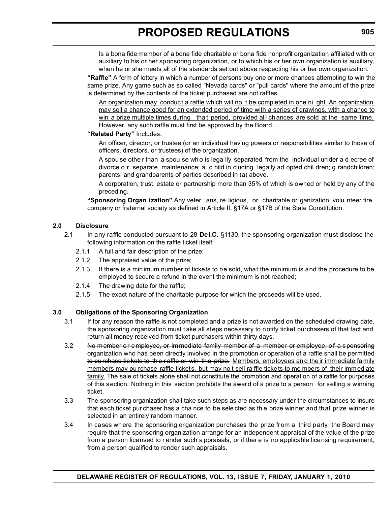Is a bona fide member of a bona fide charitable or bona fide nonprofit organization affiliated with or auxiliary to his or her sponsoring organization, or to which his or her own organization is auxiliary, when he or she meets all of the standards set out above respecting his or her own organization.

**"Raffle"** A form of lottery in which a number of persons buy one or more chances attempting to win the same prize. Any game such as so called "Nevada cards" or "pull cards" where the amount of the prize is determined by the contents of the ticket purchased are not raffles.

An organization may conduct a raffle which will no t be completed in one ni ght. An organization may sell a chance good for an extended period of time with a series of drawings, with a chance to win a prize multiple times during that period, provided all chances are sold at the same time. However, any such raffle must first be approved by the Board.

#### **"Related Party"** Includes:

An officer, director, or trustee (or an individual having powers or responsibilities similar to those of officers, directors, or trustees) of the organization.

A spou se othe r than a spou se wh o is lega lly separated from the individual un der a d ecree of divorce o r separate maintenance; a c hild in cluding legally ad opted chil dren; g randchildren; parents; and grandparents of parties described in (a) above.

A corporation, trust, estate or partnership more than 35% of which is owned or held by any of the preceding.

**"Sponsoring Organ ization"** Any veter ans, re ligious, or charitable or ganization, volu nteer fire company or fraternal society as defined in Article II, §17A or §17B of the State Constitution.

#### **2.0 Disclosure**

- 2.1 In any raffle conducted pursuant to 28 **Del.C.** §1130, the sponsoring organization must disclose the following information on the raffle ticket itself:
	- 2.1.1 A full and fair description of the prize;
	- 2.1.2 The appraised value of the prize;
	- 2.1.3 If there is a minimum number of tickets to be sold, what the minimum is and the procedure to be employed to secure a refund in the event the minimum is not reached;
	- 2.1.4 The drawing date for the raffle;
	- 2.1.5 The exact nature of the charitable purpose for which the proceeds will be used.

#### **3.0 Obligations of the Sponsoring Organization**

- 3.1 If for any reason the raffle is not completed and a prize is not awarded on the scheduled drawing date, the sponsoring organization must t ake all steps necessary to notify ticket purchasers of that fact and return all money received from ticket purchasers within thirty days.
- 3.2 No member or employee, or immediate family member of a member or employee, of a sponsoring organization who has been directly involved in the promotion or operation of a raffle shall be permitted to pu rchase tic kets to the raffle or win the prize. Members, emp loyees and the ir imm ediate fa mily members may pu rchase raffle tickets, but may no t sell ra ffle tickets to me mbers of their immediate family. The sale of tickets alone shall not constitute the promotion and operation of a raffle for purposes of this section. Nothing in this section prohibits the award of a prize to a person for selling a winning ticket.
- 3.3 The sponsoring organization shall take such steps as are necessary under the circumstances to insure that each ticket pur chaser has a cha nce to be sele cted as th e prize winner and that prize winner is selected in an entirely random manner.
- 3.4 In cases where the sponsoring organization purchases the prize from a third party, the Board may require that the sponsoring organization arrange for an independent appraisal of the value of the prize from a person licensed to r ender such a ppraisals, or if ther e is no applicable licensing requirement, from a person qualified to render such appraisals.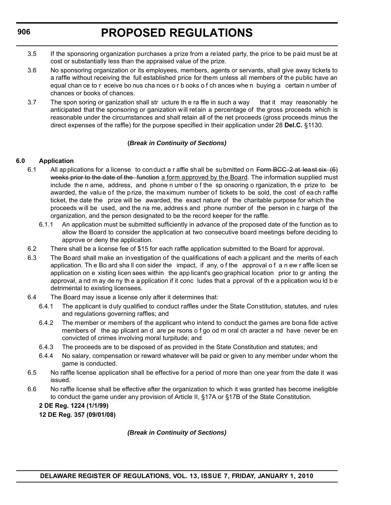- 3.5 If the sponsoring organization purchases a prize from a related party, the price to be paid must be at cost or substantially less than the appraised value of the prize.
- 3.6 No sponsoring organization or its employees, members, agents or servants, shall give away tickets to a raffle without receiving the full established price for them unless all members of the public have an equal chan ce to r eceive bo nus cha nces o r b ooks o f ch ances whe n buying a certain n umber of chances or books of chances.
- 3.7 The spon soring or ganization shall str ucture th e ra ffle in such a way that it may reasonably he anticipated that the sponsoring or ganization will retain a percentage of the gross proceeds which is reasonable under the circumstances and shall retain all of the net proceeds (gross proceeds minus the direct expenses of the raffle) for the purpose specified in their application under 28 **Del.C.** §1130.

#### **(***Break in Continuity of Sections)*

#### **6.0 Application**

- 6.1 All applications for a license to conduct a r affle shall be submitted on Form BCC 2 at least six  $(6)$ weeks prior to the date of the function a form approved by the Board. The information supplied must include the n ame, address, and phone n umber o f the sp onsoring o rganization, th e prize to be awarded, the value of the prize, the maximum number of tickets to be sold, the cost of each raffle ticket, the date the prize will be awarded, the exact nature of the charitable purpose for which the proceeds w ill be used, and the na me, addres s and phone number of the person in c harge of the organization, and the person designated to be the record keeper for the raffle.
	- 6.1.1 An application must be submitted sufficiently in advance of the proposed date of the function as to allow the Board to consider the application at two consecutive board meetings before deciding to approve or deny the application.
- 6.2 There shall be a license fee of \$15 for each raffle application submitted to the Board for approval.
- 6.3 The Board shall make an investigation of the qualifications of each a pplicant and the merits of each application. Th e Bo ard sha ll con sider the impact, if any, o f the approval o f a n ew r affle licen se application on e xisting licen sees within the app licant's geo graphical location prior to gr anting the approval, a nd m ay de ny th e a pplication if it conc ludes that a pproval of th e a pplication wou ld b e detrimental to existing licensees.
- 6.4 The Board may issue a license only after it determines that:
	- 6.4.1 The applicant is duly qualified to conduct raffles under the State Constitution, statutes, and rules and regulations governing raffles; and
	- 6.4.2 The member or members of the applicant who intend to conduct the games are bona fide active members of the ap plicant an d are pe rsons o f go od m oral ch aracter a nd have never be en convicted of crimes involving moral turpitude; and
	- 6.4.3 The proceeds are to be disposed of as provided in the State Constitution and statutes; and
	- 6.4.4 No salary, compensation or reward whatever will be paid or given to any member under whom the game is conducted.
- 6.5 No raffle license application shall be effective for a period of more than one year from the date it was issued.
- 6.6 No raffle license shall be effective after the organization to which it was granted has become ineligible to conduct the game under any provision of Article II, §17A or §17B of the State Constitution.

#### **2 DE Reg. 1224 (1/1/99)**

**12 DE Reg. 357 (09/01/08)**

*(Break in Continuity of Sections)*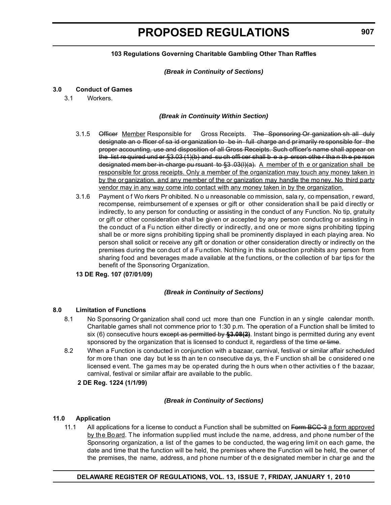## **103 Regulations Governing Charitable Gambling Other Than Raffles**

### *(Break in Continuity of Sections)*

### **3.0 Conduct of Games**

3.1 Workers.

### *(Break in Continuity Within Section)*

- 3.1.5 **Officer** Member Responsible for Gross Receipts. The Sponsoring Or ganization sh all duly designate an o fficer of sa id or ganization to be in full charge an d pr imarily re sponsible for the proper accounting, use and disposition of all Gross Receipts. Such officer's name shall appear on the list re quired und er §3.03 (1)(b) and su ch offi cer shall b e a p erson othe r tha n th e pe rson designated mem ber-in-charge pu rsuant to §3.03(l)(a). A member of the or ganization shall be responsible for gross receipts. Only a member of the organization may touch any money taken in by the or ganization, and any member of the or ganization may handle the mo ney. No third party vendor may in any way come into contact with any money taken in by the organization.
- 3.1.6 Payment o f Wo rkers Pr ohibited. N o u nreasonable co mmission, sala ry, co mpensation, r eward, recompense, reimbursement of e xpenses or gift or other consideration shall be paid directly or indirectly, to any person for conducting or assisting in the conduct of any Function. No tip, gratuity or gift or other consideration shall be given or accepted by any person conducting or assisting in the conduct of a Fu nction either directly or indirectly, and one or more signs prohibiting tipping shall be or more signs prohibiting tipping shall be prominently displayed in each playing area. No person shall solicit or receive any gift or donation or other consideration directly or indirectly on the premises during the con duct of a Fu nction. Nothing in this subsection prohibits any person from sharing food and beverages made available at the functions, or the collection of bar tips for the benefit of the Sponsoring Organization.
- **13 DE Reg. 107 (07/01/09)**

#### *(Break in Continuity of Sections)*

#### **8.0 Limitation of Functions**

- 8.1 No Sponsoring Or ganization shall cond uct more than one Function in an y single calendar month. Charitable games shall not commence prior to 1:30 p.m. The operation of a Function shall be limited to six (6) consecutive hours except as permitted by **§3.08(2)**. Instant bingo is permitted during any event sponsored by the organization that is licensed to conduct it, regardless of the time or time.
- 8.2 When a Function is conducted in conjunction with a bazaar, carnival, festival or similar affair scheduled for m ore t han one day but le ss th an te n co nsecutive da ys, th e F unction sh all be c onsidered o ne licensed e vent. The games may be operated during the h ours when o ther activities o f the b azaar, carnival, festival or similar affair are available to the public.

### **2 DE Reg. 1224 (1/1/99)**

#### *(Break in Continuity of Sections)*

### **11.0 Application**

11.1 All applications for a license to conduct a Function shall be submitted on Form BCC-3 a form approved by the Board. The information supplied must include the name, address, and phone number of the Sponsoring organization, a list of the games to be conducted, the wag ering limit on each game, the date and time that the function will be held, the premises where the Function will be held, the owner of the premises, the name, address, and phone number of th e designated member in char ge and the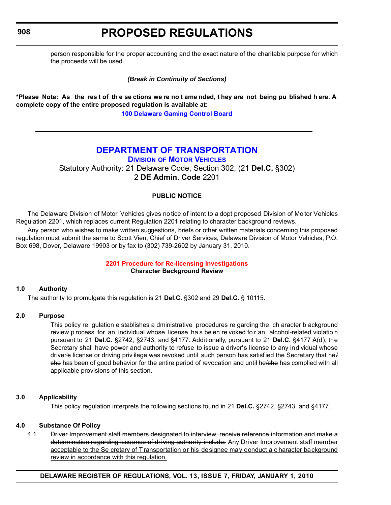**908**

# **PROPOSED REGULATIONS**

person responsible for the proper accounting and the exact nature of the charitable purpose for which the proceeds will be used.

*(Break in Continuity of Sections)*

**\*Please Note: As the res t of th e se ctions we re no t ame nded, t hey are not being pu blished h ere. A complete copy of the entire proposed regulation is available at:**

**[100 Delaware Gaming Control Board](http://regulations.delaware.gov/register/january2010/proposed/13 DE Reg 901a 01-01-10.htm
)**

# **[DEPARTMENT OF TRANSPORTATION](http://www.dmv.de.gov/)**

**DIVISION OF MOTOR VEHICLES**

Statutory Authority: 21 Delaware Code, Section 302, (21 **Del.C.** §302) 2 **DE Admin. Code** 2201

# **PUBLIC NOTICE**

The Delaware Division of Motor Vehicles gives no tice of intent to a dopt proposed Division of Mo tor Vehicles Regulation 2201, which replaces current Regulation 2201 relating to character background reviews.

Any person who wishes to make written suggestions, briefs or other written materials concerning this proposed regulation must submit the same to Scott Vien, Chief of Driver Services, Delaware Division of Motor Vehicles, P.O. Box 698, Dover, Delaware 19903 or by fax to (302) 739-2602 by January 31, 2010.

### **[2201 Procedure for Re-licensing Investigations](#page-3-0) Character Background Review**

### **1.0 Authority**

The authority to promulgate this regulation is 21 **Del.C.** §302 and 29 **Del.C.** § 10115.

## **2.0 Purpose**

This policy re gulation e stablishes a dministrative procedures re garding the ch aracter b ackground review p rocess for an individual whose license ha s be en re voked for an alcohol-related violation pursuant to 21 **Del.C.** §2742, §2743, and §4177. Additionally, pursuant to 21 **Del.C.** §4177 A(d), the Secretary shall have power and authority to refuse to issue a driver's license to any individual whose driver's license or driving priv ilege was revoked until such person has satisfied the Secretary that he $\ell$ she has been of good behavior for the entire period of revocation and until he/she has complied with all applicable provisions of this section.

### **3.0 Applicability**

This policy regulation interprets the following sections found in 21 **Del.C.** §2742, §2743, and §4177.

### **4.0 Substance Of Policy**

4.1 Driver Improvement staff members designated to interview, receive reference information and make a determination regarding issuance of dri ving authority include: Any Driver Improvement staff member acceptable to the Se cretary of T ransportation or his designee may conduct a c haracter background review in accordance with this regulation.

**DELAWARE REGISTER OF REGULATIONS, VOL. 13, ISSUE 7, FRIDAY, JANUARY 1, 2010**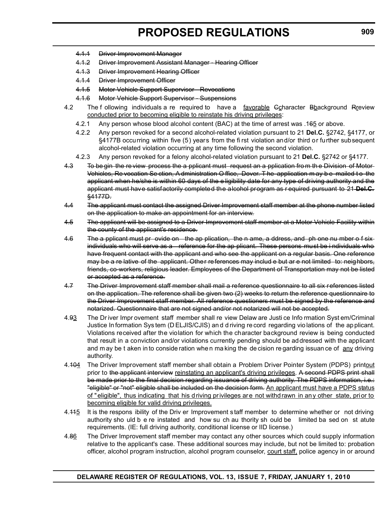- 4.1.1 Driver Improvement Manager
- 4.1.2 Driver Improvement Assistant Manager Hearing Officer
- 4.1.3 Driver Improvement Hearing Officer
- 4.1.4 Driver Improvement Officer
- 4.1.5 Motor Vehicle Support Supervisor Revocations
- 4.1.6 Motor Vehicle Support Supervisor Suspensions
- 4.2 The f ollowing individuals a re required to have a favorable Ccharacter Bbackground Rreview conducted prior to becoming eligible to reinstate his driving privileges:
	- 4.2.1 Any person whose blood alcohol content (BAC) at the time of arrest was .165 or above.
	- 4.2.2 Any person revoked for a second alcohol-related violation pursuant to 21 **Del.C.** §2742, §4177, or §4177B occurring within five (5) years from the first violation and/or third or further subsequent alcohol-related violation occurring at any time following the second violation.
- 4.2.3 Any person revoked for a felony alcohol-related violation pursuant to 21 **Del.C.** §2742 or §4177.
- 4.3 To be gin the re view process the a pplicant must request an a pplication from the Division of Motor-Vehicles, Re vocation Se ction, A dministration O ffice, Dover. T he application m ay b e mailed t o the applicant when he/she is within 60 days of the e ligibility date for any type of driving authority and the applicant must have satisfactorily completed the alcohol program as r equired pursuant to 21 **Del.C.**  §4177D.
- 4.4 The applicant must contact the assigned Driver Improvement staff member at the phone number listed on the application to make an appointment for an interview.
- 4.5 The applicant will be assigned to a Driver Improvement staff member at a Motor Vehicle Facility within the county of the applicant's residence.
- 4.6 The a pplicant must pr ovide on the ap plication, the n ame, a ddress, and ph one nu mber o f sixindividuals who will serve as a reference for the ap plicant. These persons must be i ndividuals who have frequent contact with the applicant and who see the applicant on a regular basis. One reference may be a re lative of the applicant. Other references may includ e but ar e not limited to: neighbors, friends, co-workers, religious leader. Employees of the Department of Transportation may not be listed or accepted as a reference.
- 4.7 The Driver Improvement staff member shall mail a reference questionnaire to all six references listed on the application. The reference shall be given two (2) weeks to return the reference questionnaire to the Driver Improvement staff member. All reference questioners must be signed by the reference and notarized. Questionnaire that are not signed and/or not notarized will not be accepted.
- 4.93 The Dr iver Impr ovement staff member shall re view Delaw are Justi ce Info rmation Syst em/Criminal Justice In formation Sys tem (D ELJIS/CJIS) an d d riving re cord regarding vio lations of the ap plicant. Violations received after the violation for which the character background review is being conducted that result in a conviction and/or violations currently pending should be addressed with the applicant and m ay be t aken in to conside ration whe n ma king the de cision re garding issuan ce of any driving authority.
- 4.404 The Driver Improvement staff member shall obtain a Problem Driver Pointer System (PDPS) printout prior to the applicant interview reinstating an applicant's driving privileges. A second PDPS print shall be made prior to the final decision regarding issuance of driving authority. The PDPS information, i.e.: "eligible" or "not" eligible shall be included on the decision form. An applicant must have a PDPS status of "eligible", thus indicating that his driving privileges are not withdrawn in any other state, prior to becoming eligible for valid driving privileges.
- 4.115 It is the respons ibility of the Driv er Improvement s taff member to determine whether or not driving authority sho uld b e re instated and how su ch au thority sh ould be limited ba sed on st atute requirements. (IE: full driving authority, conditional license or IID license.)
- 4.86 The Driver Improvement staff member may contact any other sources which could supply information relative to the applicant's case. These additional sources may include, but not be limited to: probation officer, alcohol program instruction, alcohol program counselor, court staff, police agency in or around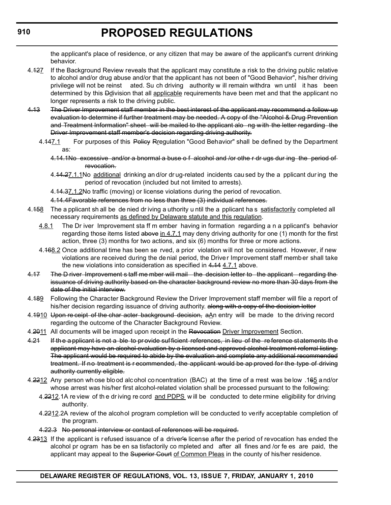the applicant's place of residence, or any citizen that may be aware of the applicant's current drinking behavior.

- 4.427 If the Background Review reveals that the applicant may constitute a risk to the driving public relative to alcohol and/or drug abuse and/or that the applicant has not been of "Good Behavior", his/her driving privilege will not be reinst ated. Su ch driving authority w ill remain withdra wn until it has been determined by this Ddivision that all applicable requirements have been met and that the applicant no longer represents a risk to the driving public.
- 4.13 The Driver Improvement staff member in the best interest of the applicant may recommend a follow-up evaluation to determine if further treatment may be needed. A copy of the "Alcohol & Drug Prevention and Treatment Information" sheet will be mailed to the applicant alo ng with the letter regarding the Driver Improvement staff member's decision regarding driving authority.
	- 4.447.1 For purposes of this Policy Rregulation "Good Behavior" shall be defined by the Department as:
		- 4.14.1No excessive and/or a bnormal a buse o f alcohol and /or othe r dr ugs dur ing the period of revocation.
		- 4.14.27.1.1No additional drinking an d/or dr ug-related incidents cau sed by the a pplicant dur ing the period of revocation (included but not limited to arrests).
		- 4.14.37.1.2No traffic (moving) or license violations during the period of revocation.

### 4.14.4Favorable references from no less than three (3) individual references.

- 4.458 The a pplicant sh all be de nied dr iving a uthority u ntil the a pplicant ha s satisfactorily completed all necessary requirements as defined by Delaware statute and this regulation.
	- 4.8.1 The Dr iver Improvement sta ff m ember having in formation regarding a n a pplicant's behavior regarding those items listed above in 4.7.1 may deny driving authority for one (1) month for the first action, three (3) months for two actions, and six (6) months for three or more actions.
	- 4.468.2 Once additional time has been se rved, a prior violation will not be considered. However, if new violations are received during the denial period, the Driver Improvement staff member shall take the new violations into consideration as specified in 4.14 4.7.1 above.
- 4.17 The D river Improvement s taff me mber will mail the decision letter to the applicant regarding the issuance of driving authority based on the character background review no more than 30 days from the date of the initial interview.
- 4.489 Following the Character Background Review the Driver Improvement staff member will file a report of his/her decision regarding issuance of driving authority. along with a copy of the decision letter
- 4.4910 Upon re ceipt of the char acter background decision, aAn entry will be made to the driving record regarding the outcome of the Character Background Review.
- 4.2011 All documents will be imaged upon receipt in the Revocation Driver Improvement Section.
- 4.21 If the a pplicant is not a ble to provide sufficient references, in lieu of the reference statements the applicant may have an alcohol evaluation by a licensed and approved alcohol treatment referral listing. The applicant would be required to abide by the evaluation and complete any additional recommended treatment. If no treatment is r ecommended, the applicant would be ap proved for the type of driving authority currently eligible.
- 4.2212 Any person wh ose blo od alc ohol co ncentration (BAC) at the time of a rrest was be low .165 a nd/or whose arrest was his/her first alcohol-related violation shall be processed pursuant to the following:
	- 4.2212.1A re view of the dr iving re cord and PDPS will be conducted to dete rmine eligibility for driving authority.
	- 4.2212.2A review of the alcohol program completion will be conducted to verify acceptable completion of the program.
	- 4.22.3 No personal interview or contact of references will be required.
- 4.2313 If the applicant is refused issuance of a driver's license after the period of revocation has ended the alcohol pr ogram has be en sa tisfactorily co mpleted and after all fines and /or fe es are paid, the applicant may appeal to the Superior Court of Common Pleas in the county of his/her residence.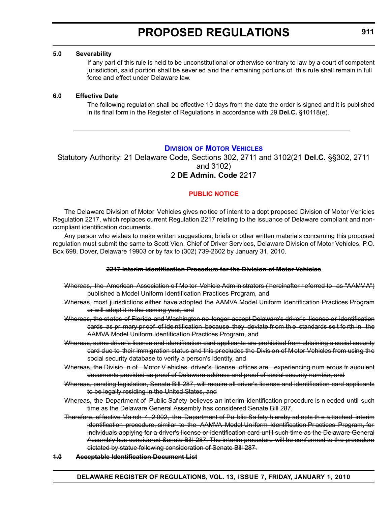#### **5.0 Severability**

If any part of this rule is held to be unconstitutional or otherwise contrary to law by a court of competent jurisdiction, said portion shall be sever ed and the r emaining portions of this rule shall remain in full force and effect under Delaware law.

## **6.0 Effective Date**

The following regulation shall be effective 10 days from the date the order is signed and it is published in its final form in the Register of Regulations in accordance with 29 **Del.C.** §10118(e).

# **DIVISION [OF MOTOR VEHICLES](http://www.dmv.de.gov/)**

Statutory Authority: 21 Delaware Code, Sections 302, 2711 and 3102(21 **Del.C.** §§302, 2711 and 3102) 2 **DE Admin. Code** 2217

# **[PUBLIC NOTICE](#page-3-0)**

The Delaware Division of Motor Vehicles gives no tice of intent to a dopt proposed Division of Mo tor Vehicles Regulation 2217, which replaces current Regulation 2217 relating to the issuance of Delaware compliant and noncompliant identification documents.

Any person who wishes to make written suggestions, briefs or other written materials concerning this proposed regulation must submit the same to Scott Vien, Chief of Driver Services, Delaware Division of Motor Vehicles, P.O. Box 698, Dover, Delaware 19903 or by fax to (302) 739-2602 by January 31, 2010.

### **2217 Interim Identification Procedure for the Division of Motor Vehicles**

- Whereas, the American Association o f Mo tor Vehicle Adm inistrators ( hereinafter r eferred to as "AAMVA") published a Model Uniform Identification Practices Program, and
- Whereas, most jurisdictions either have adopted the AAMVA Model Uniform Identification Practices Program or will adopt it in the coming year, and
- Whereas, the states of Florida and Washington no longer accept Delaware's driver's license or identification cards as pri mary pr oof of ide ntification because they deviate fr om th e standards se t fo rth in the AAMVA Model Uniform Identification Practices Program, and
- Whereas, some driver's license and identification card applicants are prohibited from obtaining a social security card due to their immigration status and this precludes the Division of Motor Vehicles from using the social security database to verify a person's identity, and
- Whereas, the Divisio n of Motor V ehicles driver's license offices are experiencing num erous fr audulent documents provided as proof of Delaware address and proof of social security number, and
- Whereas, pending legislation, Senate Bill 287, will require all driver's license and identification card applicants to be legally residing in the United States, and
- Whereas, the Department of Public Safety believes an interim identification procedure is n eeded until such time as the Delaware General Assembly has considered Senate Bill 287,
- Therefore, ef fective Ma rch 4, 2 002, the Department of Pu blic Sa fety h ereby ad opts th e a ttached interim identification procedure, similar to the AAMVA Model Un iform Identification Pr actices Program, for individuals applying for a driver's license or identification card until such time as the Delaware General Assembly has considered Senate Bill 287. The interim procedure will be conformed to the procedure dictated by statue following consideration of Senate Bill 287.

#### **1.0 Acceptable Identification Document List**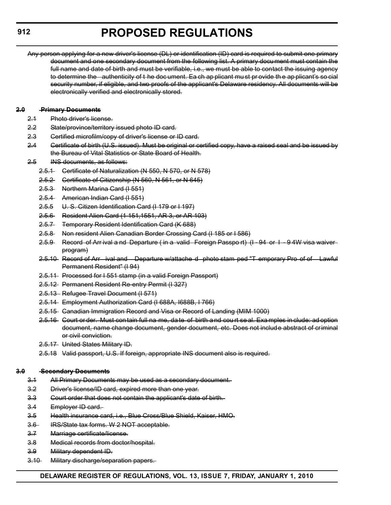Any person applying for a new driver's license (DL) or identification (ID) card is required to submit one primary document and one secondary document from the following list. A primary docu ment must contain the full name and date of birth and must be verifiable, i.e., we must be able to contact the issuing agency to determine the authenticity of t he doc ument. Ea ch ap plicant mu st pr ovide the ap plicant's so cial security number, if eligible, and two proofs of the applicant's Delaware residency. All documents will be electronically verified and electronically stored.

### **2.0 Primary Documents**

- 2.1 Photo driver's license.
- 2.2 State/province/territory issued photo ID card.
- 2.3 Certified microfilm/copy of driver's license or ID card.
- 2.4 Certificate of birth (U.S. issued). Must be original or certified copy, have a raised seal and be issued by the Bureau of Vital Statistics or State Board of Health.
- 2.5 INS documents, as follows:
	- 2.5.1 Certificate of Naturalization (N 550, N 570, or N 578)
	- 2.5.2 Certificate of Citizenship (N 560, N 561, or N 645)
	- 2.5.3 Northern Marina Card (I 551)
	- 2.5.4 American Indian Card (I 551)
	- 2.5.5 U. S. Citizen Identification Card (I 179 or I 197)
	- 2.5.6 Resident Alien Card (1 151,1551, AR 3, or AR 103)
	- 2.5.7 Temporary Resident Identification Card (K 688)
	- 2.5.8 Non resident Alien Canadian Border Crossing Card (I 185 or I 586)
	- 2.5.9 Record of Arr ival a nd Departure (in a valid Foreign Passpo rt) (I 94 or I 9 4W visa waiverprogram)
	- 2.5.10 Record of Arr ival and Departure w/attache d photo stam ped "T emporary Pro of of Lawful Permanent Resident" (I 94)
	- 2.5.11 Processed for I 551 stamp (in a valid Foreign Passport)
	- 2.5.12 Permanent Resident Re-entry Permit (I 327)
	- 2.5.13 Refugee Travel Document (I 571)
	- 2.5.14 Employment Authorization Card (I 688A, I688B, I 766)
	- 2.5.15 Canadian Immigration Record and Visa or Record of Landing (MIM 1000)
	- 2.5.16 Court or der. Must con tain full na me, da te of birth a nd cou rt se al. Exa mples in clude: ad option document, name change document, gender document, etc. Does not include abstract of criminal or civil conviction.
	- 2.5.17 United States Military ID.
	- 2.5.18 Valid passport, U.S. If foreign, appropriate INS document also is required.

#### **3.0 Secondary Documents**

- 3.1 All Primary Documents may be used as a secondary document.
- 3.2 Driver's license/ID card, expired more than one year.
- 3.3 Court order that does not contain the applicant's date of birth.
- 3.4 Employer ID card.
- 3.5 Health insurance card, i.e., Blue Cross/Blue Shield, Kaiser, HMO.
- 3.6 IRS/State tax forms. W 2 NOT acceptable.
- 3.7 Marriage certificate/license.
- 3.8 Medical records from doctor/hospital.
- 3.9 Military dependent ID.
- 3.10 Military discharge/separation papers.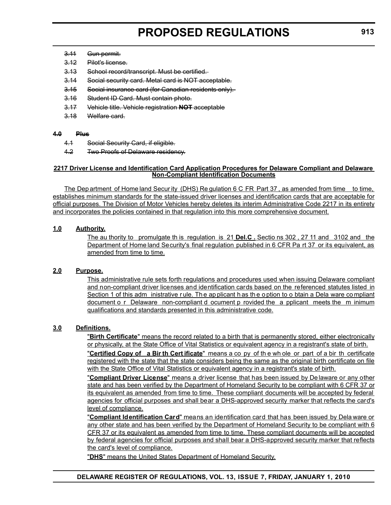- 3.11 Gun permit.
- 3.12 Pilot's license.
- 3.13 School record/transcript. Must be certified.
- 3.14 Social security card. Metal card is NOT acceptable.
- 3.15 Social insurance card (for Canadian residents only).
- 3.16 Student ID Card. Must contain photo.
- 3.17 Vehicle title. Vehicle registration **NOT** acceptable
- 3.18 Welfare card.

## **4.0 Plus**

- 4.1 Social Security Card, if eligible.
- 4.2 Two Proofs of Delaware residency.

#### **2217 Driver License and Identification Card Application Procedures for Delaware Compliant and Delaware Non-Compliant Identification Documents**

The Dep artment of Home land Secur ity (DHS) Re gulation 6 C FR Part 37, as amended from time to time, establishes minimum standards for the state-issued driver licenses and identification cards that are acceptable for official purposes. The Division of Motor Vehicles hereby deletes its interim Administrative Code 2217 in its entirety and incorporates the policies contained in that regulation into this more comprehensive document.

### **1.0 Authority.**

The au thority to promulgate th is regulation is 21 **Del.C .** Sectio ns 302 , 27 11 and 3102 and the Department of Home land Security's final regulation published in 6 CFR Pa rt 37 or its equivalent, as amended from time to time.

### **2.0 Purpose.**

This administrative rule sets forth regulations and procedures used when issuing Delaware compliant and non-compliant driver licenses and identification cards based on the referenced statutes listed in Section 1 of this adm inistrative rule. The ap plicant h as the option to o btain a Dela ware compliant document o r Delaware non-compliant d ocument p rovided the a pplicant meets the m inimum qualifications and standards presented in this administrative code.

### **3.0 Definitions.**

"**Birth Certificate**" means the record related to a birth that is permanently stored, either electronically or physically, at the State Office of Vital Statistics or equivalent agency in a registrant's state of birth.

"**Certified Copy of a Bir th Cert ificate**" means a co py of th e wh ole or part of a bir th certificate registered with the state that the state considers being the same as the original birth certificate on file with the State Office of Vital Statistics or equivalent agency in a registrant's state of birth.

"**Compliant Driver License**" means a driver license that has been issued by Delaware or any other state and has been verified by the Department of Homeland Security to be compliant with 6 CFR 37 or its equivalent as amended from time to time. These compliant documents will be accepted by federal agencies for official purposes and shall bear a DHS-approved security marker that reflects the card's level of compliance.

"**Compliant Identification Card**" means an identification card that has been issued by Dela ware or any other state and has been verified by the Department of Homeland Security to be compliant with 6 CFR 37 or its equivalent as amended from time to time. These compliant documents will be accepted by federal agencies for official purposes and shall bear a DHS-approved security marker that reflects the card's level of compliance.

"**DHS**" means the United States Department of Homeland Security.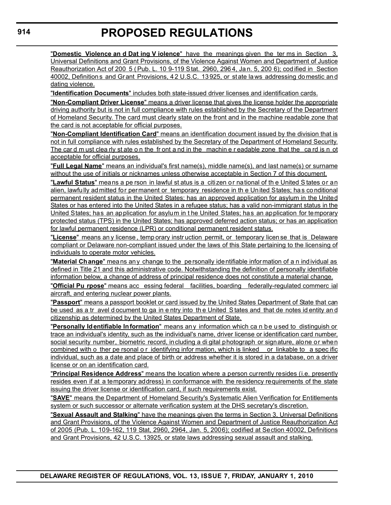"**Domestic Violence an d Dat ing V iolence**" have the meanings given the ter ms in Section 3, Universal Definitions and Grant Provisions, of the Violence Against Women and Department of Justice Reauthorization Act of 200 5 ( Pub. L. 10 9-119 Stat. 2960, 296 4, Ja n. 5, 200 6); cod ified in Section 40002, Definition s and Gr ant Provisions, 4 2 U.S.C. 13 925, or state la ws addressing do mestic an d dating violence.

"**Identification Documents**" includes both state-issued driver licenses and identification cards.

"**Non-Compliant Driver License**" means a driver license that gives the license holder the appropriate driving authority but is not in full compliance with rules established by the Secretary of the Department of Homeland Security. The card must clearly state on the front and in the machine readable zone that the card is not acceptable for official purposes.

"**Non-Compliant Identification Card**" means an identification document issued by the division that is not in full compliance with rules established by the Secretary of the Department of Homeland Security. The card m ust clea rly st ate on the fr ont a nd in the machin e r eadable zone that the card is n ot acceptable for official purposes.

"**Full Legal Name**" means an individual's first name(s), middle name(s), and last name(s) or surname without the use of initials or nicknames unless otherwise acceptable in Section 7 of this document.

"**Lawful Status**" means a pe rson in lawful st atus is a citizen or national of th e United S tates or an alien, lawfully admitted for permanent or temporary residence in th e Un ited States; ha s co nditional permanent resident status in the United States; has an approved application for asylum in the United States or has entered into the United States in a refugee status; has a valid non-immigrant status in the United States; has an application for asylum in t he United States; has an application for temporary protected status (TPS) in the United States; has approved deferred action status; or has an application for lawful permanent residence (LPR) or conditional permanent resident status.

"**License**" means an y license , temp orary instr uction permit, or temporary licen se that is Delaware compliant or Delaware non-compliant issued under the laws of this State pertaining to the licensing of individuals to operate motor vehicles.

"**Material Change**" means any change to the personally identifiable information of a n individual as defined in Title 21 and this administrative code. Notwithstanding the definition of personally identifiable information below, a change of address of principal residence does not constitute a material change.

"**Official Pu rpose**" means acc essing federal facilities, boarding federally-regulated commerc ial aircraft, and entering nuclear power plants.

"**Passport**" means a passport booklet or card issued by the United States Department of State that can be used as a tr avel d ocument to ga in e ntry into th e United S tates and that de notes id entity an d citizenship as determined by the United States Department of State.

"**Personally Identifiable Information**" means an y information which ca n b e u sed to distinguish or trace an individual's identity, such as the individual's name, driver license or identification card number, social security number, biometric record, including a di gital photograph or signature, alone or when combined with o ther pe rsonal o r identifying infor mation, which is linked or linkable to a spec ific individual, such as a date and place of birth or address whether it is stored in a database, on a driver license or on an identification card.

"**Principal Residence Address**" means the location where a person currently resides (i.e. presently resides even if at a temporary address) in conformance with the residency requirements of the state issuing the driver license or identification card, if such requirements exist.

"**SAVE**" means the Department of Homeland Security's Systematic Alien Verification for Entitlements system or such successor or alternate verification system at the DHS secretary's discretion.

"**Sexual Assault and Stalking**" have the meanings given the terms in Section 3, Universal Definitions and Grant Provisions, of the Violence Against Women and Department of Justice Reauthorization Act of 2005 (Pub. L. 109-162, 119 Stat, 2960, 2964, Jan. 5, 2006); codified at Section 40002, Definitions and Grant Provisions, 42 U.S.C. 13925, or state laws addressing sexual assault and stalking.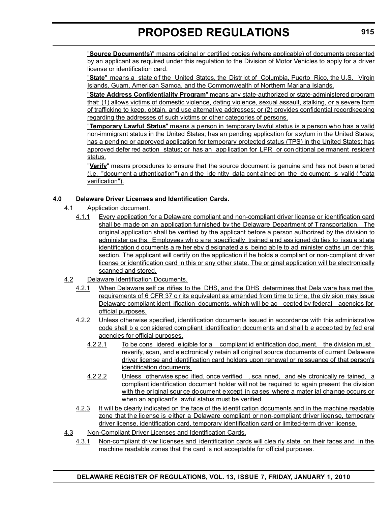"**Source Document(s)**" means original or certified copies (where applicable) of documents presented by an applicant as required under this regulation to the Division of Motor Vehicles to apply for a driver license or identification card.

"State" means a state of the United States, the District of Columbia, Puerto Rico, the U.S. Virgin Islands, Guam, American Samoa, and the Commonwealth of Northern Mariana Islands.

"**State Address Confidentiality Program**" means any state-authorized or state-administered program that: (1) allows victims of domestic violence, dating violence, sexual assault, stalking, or a severe form of trafficking to keep, obtain, and use alternative addresses; or (2) provides confidential recordkeeping regarding the addresses of such victims or other categories of persons.

"**Temporary Lawful Status**" means a p erson in temporary lawful status is a person who has a valid non-immigrant status in the United States; has an pending application for asylum in the United States; has a pending or approved application for temporary protected status (TPS) in the United States; has approved defer red action status; or has an app lication for LPR or con ditional pe rmanent resident status.

"**Verify**" means procedures to ensure that the source document is genuine and has not been altered (i.e. "document a uthentication") an d the ide ntity data cont ained on the do cument is valid ( "data verification").

# **4.0 Delaware Driver Licenses and Identification Cards.**

- 4.1 Application document.
	- 4.1.1 Every application for a Delaware compliant and non-compliant driver license or identification card shall be made on an application furnished by the Delaware Department of T ransportation. The original application shall be verified by the applicant before a person authorized by the division to administer oa ths. Employees wh o a re specifically trained a nd ass igned du ties to issu e st ate identification d ocuments a re her eby d esignated a s being ab le to ad minister oaths un der this section. The applicant will certify on the application if he holds a compliant or non-compliant driver license or identification card in this or any other state. The original application will be electronically scanned and stored.
- 4.2 Delaware Identification Documents.
	- 4.2.1 When Delaware self ce rtifies to the DHS, and the DHS determines that Dela ware has met the requirements of 6 CFR 37 o r its equivalent as amended from time to time, the division may issue Delaware compliant ident ification documents, which will be ac cepted by federal agencies for official purposes.
	- 4.2.2 Unless otherwise specified, identification documents issued in accordance with this administrative code shall b e con sidered com pliant identification docum ents an d shall b e accep ted by fed eral agencies for official purposes.
		- 4.2.2.1 To be cons idered eligible for a compliant id entification document, the division must reverify, scan, and electronically retain all original source documents of current Delaware driver license and identification card holders upon renewal or reissuance of that person's identification documents.
		- 4.2.2.2 Unless otherwise spec ified, once verified , sca nned, and ele ctronically re tained, a compliant identification document holder will not be required to again present the division with the original source do cument except in cases where a mater ial change occurs or when an applicant's lawful status must be verified.
	- 4.2.3 It will be clearly indicated on the face of the identification documents and in the machine readable zone that the license is either a Delaware compliant or non-compliant driver license, temporary driver license, identification card, temporary identification card or limited-term driver license.
- 4.3 Non-Compliant Driver Licenses and Identification Cards.
	- 4.3.1 Non-compliant driver licenses and identification cards will clea rly state on their faces and in the machine readable zones that the card is not acceptable for official purposes.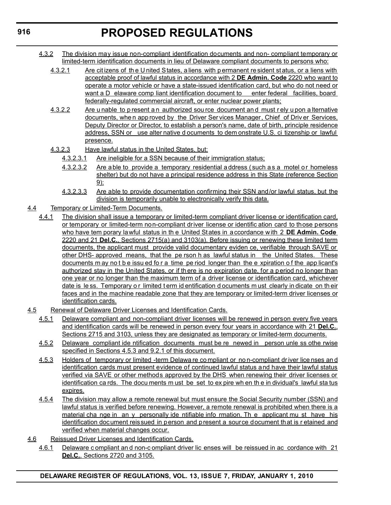- 4.3.2 The division may issue non-compliant identification documents and non- compliant temporary or limited-term identification documents in lieu of Delaware compliant documents to persons who:
	- 4.3.2.1 Are citizens of the U nited States, a liens with p ermanent resident status, or a liens with acceptable proof of lawful status in accordance with 2 **DE Admin. Code** 2220 who want to operate a motor vehicle or have a state-issued identification card, but who do not need or want a D elaware comp liant identification document to enter federal facilities, board federally-regulated commercial aircraft, or enter nuclear power plants;
	- 4.3.2.2 Are u nable to p resent a n authorized sou rce document an d must r ely u pon a lternative documents, whe n app roved by the Driver Ser vices Manager, Chief of Driv er Services, Deputy Director or Director, to establish a person's name, date of birth, principle residence address, SSN or use alter native d ocuments to dem onstrate U.S. ci tizenship or lawful presence.
	- 4.3.2.3 Have lawful status in the United States, but:
		- 4.3.2.3.1 Are ineligible for a SSN because of their immigration status;
		- 4.3.2.3.2 Are able to provide a temporary residential address (such as a motel or homeless shelter) but do not have a principal residence address in this State (reference Section 9);
		- 4.3.2.3.3 Are able to provide documentation confirming their SSN and/or lawful status, but the division is temporarily unable to electronically verify this data.
- 4.4 Temporary or Limited-Term Documents.
	- 4.4.1 The division shall issue a temporary or limited-term compliant driver license or identification card, or temporary or limited-term non-compliant driver license or identific ation card to those persons who have tem porary lawful status in th e United States in accordance with 2 **DE Admin. Code** 2220 and 21 **Del.C.**, Sections 2715(a) and 3103(a). Before issuing or renewing these limited term documents, the applicant must provide valid documentary eviden ce, verifiable through SAVE or other DHS- approved means, that the pe rson h as lawful status in the United States. These documents m ay no t b e issu ed for a time pe riod longer than the e xpiration of the app licant's authorized stay in the United States, or if there is no expiration date, for a period no longer than one year or no longer than the maximum term of a driver license or identification card, whichever date is le ss. Temporary o r limited t erm id entification d ocuments m ust clearly in dicate on th eir faces and in the machine readable zone that they are temporary or limited-term driver licenses or identification cards.
- 4.5 Renewal of Delaware Driver Licenses and Identification Cards.
	- 4.5.1 Delaware compliant and non-compliant driver licenses will be renewed in person every five years and identification cards will be renewed in person every four years in accordance with 21 **Del.C.**, Sections 2715 and 3103, unless they are designated as temporary or limited-term documents.
	- 4.5.2 Delaware compliant ide ntification documents must be re newed in person unle ss othe rwise specified in Sections 4.5.3 and 9.2.1 of this document.
	- 4.5.3 Holders of temporary or limited -term Delawa re co mpliant or no n-compliant dr iver lice nses an d identification cards must present evidence of continued lawful status and have their lawful status verified via SAVE or other methods approved by the DHS when renewing their driver licenses or identification ca rds. The docu ments m ust be set to ex pire wh en th e in dividual's lawful sta tus expires.
	- 4.5.4 The division may allow a remote renewal but must ensure the Social Security number (SSN) and lawful status is verified before renewing. However, a remote renewal is prohibited when there is a material cha nge in an y personally ide ntifiable info rmation. Th e applicant mu st have his identification document reissued in person and present a source document that is r etained and verified when material changes occur.
- 4.6 Reissued Driver Licenses and Identification Cards.
	- 4.6.1 Delaware c ompliant an d non-c ompliant driver lic enses will be reissued in ac cordance with 21 **Del.C.**, Sections 2720 and 3105.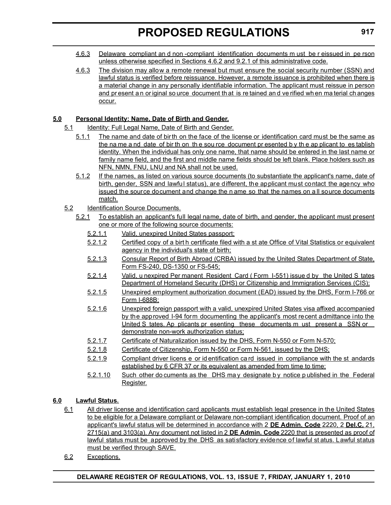- 4.6.3 Delaware compliant an d non -compliant identification documents m ust be r eissued in pe rson unless otherwise specified in Sections 4.6.2 and 9.2.1 of this administrative code.
- 4.6.3 The division may allow a remote renewal but must ensure the social security number (SSN) and lawful status is verified before reissuance. However, a remote issuance is prohibited when there is a material change in any personally identifiable information. The applicant must reissue in person and pr esent a n or iginal so urce document th at is re tained an d ve rified wh en ma terial ch anges occur.

# **5.0 Personal Identity: Name, Date of Birth and Gender.**

- 5.1 Identity: Full Legal Name, Date of Birth and Gender.
	- 5.1.1 The name and date of bir th on the face of the license or identification card must be the same as the na me a nd date of bir th on th e sou rce document pr esented b y th e ap plicant to es tablish identity. When the individual has only one name, that name should be entered in the last name or family name field, and the first and middle name fields should be left blank. Place holders such as NFN, NMN, FNU, LNU and NA shall not be used.
	- 5.1.2 If the names, as listed on various source documents (to substantiate the applicant's name, date of birth, gender, SSN and lawful status), are different, the applicant must contact the agency who issued the source document and change the n ame so that the names on a ll source documents match.
- 5.2 Identification Source Documents.
	- 5.2.1 To establish an applicant's full legal name, date of birth, and gender, the applicant must present one or more of the following source documents:
		- 5.2.1.1 Valid, unexpired United States passport;
		- 5.2.1.2 Certified copy of a birt h certificate filed with a st ate Office of Vital Statistics or equivalent agency in the individual's state of birth;
		- 5.2.1.3 Consular Report of Birth Abroad (CRBA) issued by the United States Department of State, Form FS-240, DS-1350 or FS-545;
		- 5.2.1.4 Valid, u nexpired Per manent Resident Card ( Form I-551) issue d by the United S tates Department of Homeland Security (DHS) or Citizenship and Immigration Services (CIS);
		- 5.2.1.5 Unexpired employment authorization document (EAD) issued by the DHS, Form I-766 or Form I-688B;
		- 5.2.1.6 Unexpired foreign passport with a valid, unexpired United States visa affixed accompanied by the approved I-94 form documenting the applicant's most recent admittance into the United S tates. Ap plicants pr esenting these documents m ust present a SSN or demonstrate non-work authorization status;
		- 5.2.1.7 Certificate of Naturalization issued by the DHS, Form N-550 or Form N-570;
		- 5.2.1.8 Certificate of Citizenship, Form N-550 or Form N-561, issued by the DHS;
		- 5.2.1.9 Compliant driver licens e or id entification ca rd issued in compliance with the st andards established by 6 CFR 37 or its equivalent as amended from time to time;
		- 5.2.1.10 Such other do cuments as the DHS may designate by notice published in the Federal Register.

# **6.0 Lawful Status.**

- 6.1 All driver license and identification card applicants must establish legal presence in the United States to be eligible for a Delaware compliant or Delaware non-compliant identification document. Proof of an applicant's lawful status will be determined in accordance with 2 **DE Admin. Code** 2220, 2 **Del.C.** 21, 2715(a) and 3103(a). Any document not listed in 2 **DE Admin. Code** 2220 that is presented as proof of lawful status must be approved by the DHS as satisfactory evidence of lawful st atus. Lawful status must be verified through SAVE.
- 6.2 Exceptions.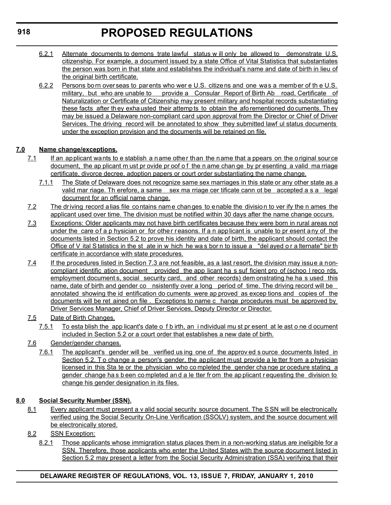- 6.2.1 Alternate documents to demons trate lawful status w ill only be allowed to demonstrate U.S. citizenship. For example, a document issued by a state Office of Vital Statistics that substantiates the person was born in that state and establishes the individual's name and date of birth in lieu of the original birth certificate.
- 6.2.2 Persons born overseas to parents who wer e U.S. citizens and one was a member of th e U.S. military, but who are unable to provide a Consular Report of Birth Ab road, Certificate of Naturalization or Certificate of Citizenship may present military and hospital records substantiating these facts after th ey exha usted their attemp ts to obtain the afo rementioned do cuments. Th ey may be issued a Delaware non-compliant card upon approval from the Director or Chief of Driver Services. The driving record will be annotated to show they submitted lawf ul status documents under the exception provision and the documents will be retained on file.

# **7.0 Name change/exceptions.**

- 7.1 If an applicant wants to e stablish a name other than the name that a ppears on the original source document, the ap plicant m ust pr ovide pr oof o f the n ame chan ge by pr esenting a valid ma rriage certificate, divorce decree, adoption papers or court order substantiating the name change.
	- 7.1.1 The State of Delaware does not recognize same sex marriages in this state or any other state as a valid mar riage. Th erefore, a same sex ma rriage cer tificate cann ot be accepted a s a legal document for an official name change.
- 7.2 The driving record alias file contains name changes to enable the division to ver ify the n ames the applicant used over time. The division must be notified within 30 days after the name change occurs.
- 7.3 Exceptions: Older applicants may not have birth certificates because they were born in rural areas not under the care of a p hysician or for othe r reasons. If a n app licant is unable to pr esent a ny of the documents listed in Section 5.2 to prove his identity and date of birth, the applicant should contact the Office of V ital S tatistics in the st ate in w hich he was born to issue a "del ayed or a lternate" bir the certificate in accordance with state procedures.
- 7.4 If the procedures listed in Section 7.3 are not feasible, as a last resort, the division may issue a noncompliant identific ation document provided the app licant ha s suf ficient pro of (schoo l reco rds, employment document s, social security card, and other records) dem onstrating he ha s used this name, date of birth and gender co nsistently over a long period of time. The driving record will be annotated showing the id entification do cuments were ap proved as excep tions and copies of the documents will be ret ained on file . Exceptions to name c hange procedures must be approved by Driver Services Manager, Chief of Driver Services, Deputy Director or Director.
- 7.5 Date of Birth Changes.
	- 7.5.1 To esta blish the app licant's date o f b irth, an i ndividual mu st pr esent at le ast o ne d ocument included in Section 5.2 or a court order that establishes a new date of birth.
- 7.6 Gender/gender changes.
	- 7.6.1 The applicant's gender will be verified us ing one of the approv ed s ource documents listed in Section 5.2. T o change a person's gender, the applicant must provide a le tter from a physician licensed in this Sta te or the physician who completed the gender change procedure stating a gender change ha s b een co mpleted an d a le tter fr om the ap plicant r equesting the division to change his gender designation in its files.

# **8.0 Social Security Number (SSN).**

- 8.1 Every applicant must present a v alid social security source document. The S SN will be electronically verified using the Social Security On-Line Verification (SSOLV) system, and the source document will be electronically stored.
- 8.2 SSN Exception:
	- 8.2.1 Those applicants whose immigration status places them in a non-working status are ineligible for a SSN. Therefore, those applicants who enter the United States with the source document listed in Section 5.2 may present a letter from the Social Security Administration (SSA) verifying that their

# **DELAWARE REGISTER OF REGULATIONS, VOL. 13, ISSUE 7, FRIDAY, JANUARY 1, 2010**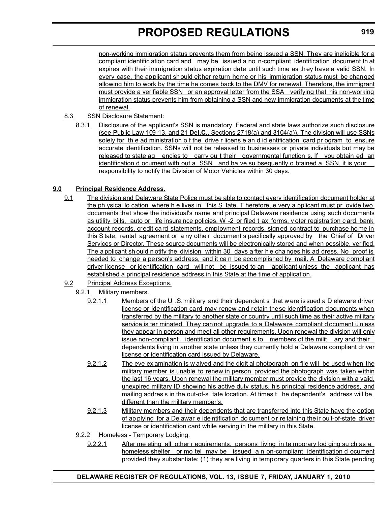non-working immigration status prevents them from being issued a SSN. They are ineligible for a compliant identific ation card and may be issued a no n-compliant identification document th at expires with their immigration status expiration date until such time as they have a valid SSN. In every case, the applicant should either return home or his immigration status must be changed allowing him to work by the time he comes back to the DMV for renewal. Therefore, the immigrant must provide a verifiable SSN or an approval letter from the SSA verifying that his non-working immigration status prevents him from obtaining a SSN and new immigration documents at the time of renewal.

- 8.3 SSN Disclosure Statement:
	- 8.3.1 Disclosure of the applicant's SSN is mandatory. Federal and state laws authorize such disclosure (see Public Law 109-13, and 21 **Del.C.**, Sections 2718(a) and 3104(a)). The division will use SSNs solely for the ad ministration of the drive r licens e an d id entification card pr ogram to ensure accurate identification. SSNs will not be released to businesses or private individuals but may be released to state ag encies to carry ou t their governmental function s. If you obtain ed an identification d ocument with out a SSN and ha ve su bsequently o btained a SSN, it is your responsibility to notify the Division of Motor Vehicles within 30 days.

## **9.0 Principal Residence Address.**

- 9.1 The division and Delaware State Police must be able to contact every identification document holder at the ph ysical lo cation where h e lives in this S tate. T herefore, e very a pplicant must pr ovide two documents that show the individual's name and principal Delaware residence using such documents as utility bills, auto or life insura nce policies, W -2 or filed t ax forms, v oter registra tion c ard, bank account records, credit card statements, employment records, signed contract to purchase home in this S tate, rental agreement or a ny othe r document s pecifically approved by the Chief of Driver Services or Director. These source documents will be electronically stored and when possible, verified. The a pplicant sh ould n otify the division within 30 days a fter h e changes his ad dress. No proof is needed to change a person's address, and it ca n be accomplished by mail. A Delaware compliant driver license or identification card will not be issued to an applicant unless the applicant has established a principal residence address in this State at the time of application.
- 9.2 Principal Address Exceptions.
	- 9.2.1 Military members.
		- 9.2.1.1 Members of the U .S. military and their dependent s that were issued a D elaware driver license or identification card may renew and retain these identification documents when transferred by the military to another state or country until such time as their active military service is ter minated. Th ey can not upgrade to a Delawa re compliant d ocument u nless they appear in person and meet all other requirements. Upon renewal the division will only issue non-compliant identification document s to members of the milit ary and their dependents living in another state unless they currently hold a Delaware compliant driver license or identification card issued by Delaware.
		- 9.2.1.2 The eye ex amination is w aived and the digit al photograph on file will be used w hen the military member is unable to renew in person provided the photograph was taken within the last 16 years. Upon renewal the military member must provide the division with a valid, unexpired military ID showing his active duty status, his principal residence address, and mailing addres s in the out-of-s tate location. At times t he dependent's address will be different than the military member's.
		- 9.2.1.3 Military members and their dependents that are transferred into this State have the option of ap plying for a Delawar e ide ntification do cument o r re taining the ir ou t-of-state driver license or identification card while serving in the military in this State.
	- 9.2.2 Homeless Temporary Lodging.
		- 9.2.2.1 After me eting all other r equirements, persons living in te mporary lod ging su ch as a homeless shelter or mo tel may be issued a n on-compliant identification d ocument provided they substantiate: (1) they are living in temporary quarters in this State pending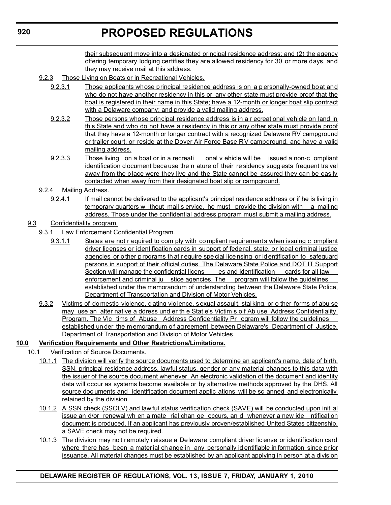their subsequent move into a designated principal residence address; and (2) the agency offering temporary lodging certifies they are allowed residency for 30 or more days, and they may receive mail at this address.

- 9.2.3 Those Living on Boats or in Recreational Vehicles.
	- 9.2.3.1 Those applicants whose principal residence address is on a p ersonally-owned boat and who do not have another residency in this or any other state must provide proof that the boat is registered in their name in this State; have a 12-month or longer boat slip contract with a Delaware company; and provide a valid mailing address.
	- 9.2.3.2 Those persons whose principal residence address is in a r ecreational vehicle on land in this State and who do not have a residency in this or any other state must provide proof that they have a 12-month or longer contract with a recognized Delaware RV campground or trailer court, or reside at the Dover Air Force Base RV campground, and have a valid mailing address.
	- 9.2.3.3 Those living on a boat or in a recreati onal v ehicle will be issued a non-c ompliant identification d ocument beca use the n ature of their re sidency sugg ests frequent tra vel away from the place were they live and the State cannot be assured they can be easily contacted when away from their designated boat slip or campground.
- 9.2.4 Mailing Address.
	- 9.2.4.1 If mail cannot be delivered to the applicant's principal residence address or if he is living in temporary quarters w ithout mail s ervice, he must provide the division with a mailing address. Those under the confidential address program must submit a mailing address.
- 9.3 Confidentiality program.
	- 9.3.1 Law Enforcement Confidential Program.
		- 9.3.1.1 States a re not r equired to com ply with compliant requirements when issuing c ompliant driver licenses or identification cards in support of fede ral, state, or local criminal justice agencies or o ther p rograms th at r equire spe cial lice nsing or id entification to safeguard persons in support of their official duties. The Delaware State Police and DOT IT Support Section will manage the confidential licens es and identification cards for all law enforcement and criminal ju stice agencies. The program will follow the guidelines established under the memorandum of understanding between the Delaware State Police, Department of Transportation and Division of Motor Vehicles.
	- 9.3.2 Victims of domestic violence, dating violence, s exual assault, stalking, or o ther forms of abu se may use an alter native a ddress und er th e Stat e's Victim s o f Ab use Address Confidentiality Program. The Vic tims of Abuse Address Confidentiality Pr ogram will follow the guidelines established under the m emorandum of ag reement between Delaware's Department of Justice, Department of Transportation and Division of Motor Vehicles.

# **10.0 Verification Requirements and Other Restrictions/Limitations.**

- 10.1 Verification of Source Documents.
	- 10.1.1 The division will verify the source documents used to determine an applicant's name, date of birth, SSN, principal residence address, lawful status, gender or any material changes to this data with the issuer of the source document whenever. An electronic validation of the document and identity data will occur as systems become available or by alternative methods approved by the DHS. All source doc uments and identification document applic ations will be sc anned and electronically retained by the division.
	- 10.1.2 A SSN check (SSOLV) and law ful status verification check (SAVE) will be conducted upon initi al issue an d/or renewal wh en a mate rial chan ge occurs, an d whenever a new ide ntification document is produced. If an applicant has previously proven/established United States citizenship, a SAVE check may not be required.
	- 10.1.3 The division may no t remotely reissue a Delaware compliant driver lic ense or identification card where there has been a mater ial ch ange in any personally id entifiable in formation since pr ior issuance. All material changes must be established by an applicant applying in person at a division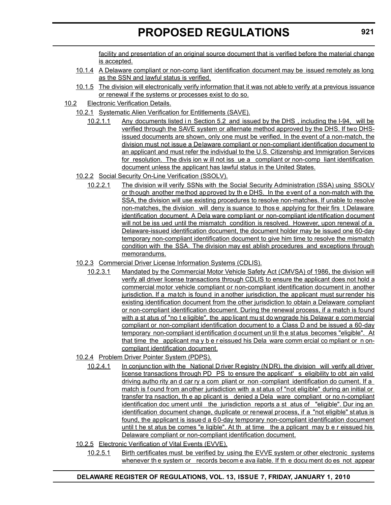facility and presentation of an original source document that is verified before the material change is accepted.

- 10.1.4 A Delaware compliant or non-comp liant identification document may be issued remotely as long as the SSN and lawful status is verified.
- 10.1.5 The division will electronically verify information that it was not able to verify at a previous issuance or renewal if the systems or processes exist to do so.
- 10.2 Electronic Verification Details.
	- 10.2.1 Systematic Alien Verification for Entitlements (SAVE).
		- 10.2.1.1 Any documents listed i n Section 5.2 and issued by the DHS , including the I-94, will be verified through the SAVE system or alternate method approved by the DHS. If two DHSissued documents are shown, only one must be verified. In the event of a non-match, the division must not issue a Delaware compliant or non-compliant identification document to an applicant and must refer the individual to the U.S. Citizenship and Immigration Services for resolution. The divis ion w ill not iss ue a compliant or non-comp liant identification document unless the applicant has lawful status in the United States.
	- 10.2.2 Social Security On-Line Verification (SSOLV).
		- 10.2.2.1 The division will verify SSNs with the Social Security Administration (SSA) using SSOLV or though another method approved by th e DHS. In the event of a non-match with the SSA, the division will use existing procedures to resolve non-matches. If unable to resolve non-matches, the division will deny is suance to thos e applying for their firs t Delaware identification document. A Dela ware compliant or non-compliant identification document will not be iss ued until the mismatch condition is resolved. However, upon renewal of a Delaware-issued identification document, the document holder may be issued one 60-day temporary non-compliant identification document to give him time to resolve the mismatch condition with the SSA. The division may est ablish procedures and exceptions through memorandums.
	- 10.2.3 Commercial Driver License Information Systems (CDLIS).
		- 10.2.3.1 Mandated by the Commercial Motor Vehicle Safety Act (CMVSA) of 1986, the division will verify all driver license transactions through CDLIS to ensure the applicant does not hold a commercial motor vehicle compliant or non-compliant identification document in another jurisdiction. If a match is found in another jurisdiction, the applicant must surrender his existing identification document from the other jurisdiction to obtain a Delaware compliant or non-compliant identification document. During the renewal process, if a match is found with a st atus of "no t e ligible", the app licant mu st do wngrade his Delawar e com mercial compliant or non-compliant identification document to a Class D and be issued a 60-day temporary non-compliant id entification d ocument un til the st atus becomes "eligible". At that time the applicant ma y b e r eissued his Dela ware comm ercial co mpliant or n oncompliant identification document.
	- 10.2.4 Problem Driver Pointer System (PDPS).
		- 10.2.4.1 In conjunc tion with the National D river R egistry (N DR), the division will verify all driver license transactions through PD PS to ensure the applicant' s eligibility to obt ain valid driving autho rity an d car ry a com pliant or non -compliant identification do cument. If a match is f ound from another jurisdiction with a st atus of "not eligible" during an initial or transfer tra nsaction, th e ap plicant is denied a Dela ware compliant or no n-compliant identification doc ument until the jurisdiction reports a st atus of "eligible". Dur ing an identification document change, duplicate or renewal process, if a "not eligible" st atus is found, the applicant is issued a 60-day temporary non-compliant identification document until t he st atus be comes "e ligible". At th at time the a pplicant may b e r eissued his Delaware compliant or non-compliant identification document.
	- 10.2.5 Electronic Verification of Vital Events (EVVE).
		- 10.2.5.1 Birth certificates must be verified by using the EVVE system or other electronic systems whenever th e system or records becom e ava ilable. If th e docu ment do es not appear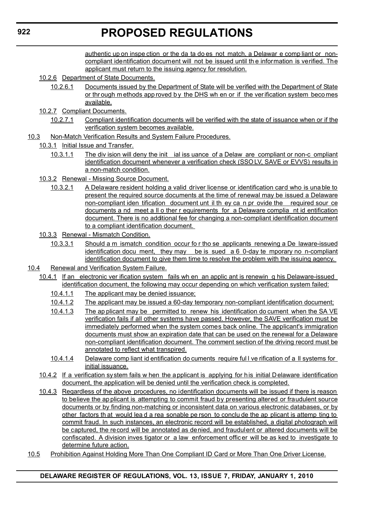authentic up on inspe ction or the da ta do es not match, a Delawar e comp liant or noncompliant identification document will not be issued until th e information is verified. The applicant must return to the issuing agency for resolution.

- 10.2.6 Department of State Documents.
	- 10.2.6.1 Documents issued by the Department of State will be verified with the Department of State or thr ough m ethods app roved by the DHS wh en or if the verification system becomes available.
- 10.2.7 Compliant Documents.
	- 10.2.7.1 Compliant identification documents will be verified with the state of issuance when or if the verification system becomes available.
- 10.3 Non-Match Verification Results and System Failure Procedures.
	- 10.3.1 Initial Issue and Transfer.
		- 10.3.1.1 The div ision will deny the init ial iss uance of a Delaw are compliant or non-c ompliant identification document whenever a verification check (SSOLV, SAVE or EVVS) results in a non-match condition.
		- 10.3.2 Renewal Missing Source Document.
			- 10.3.2.1 A Delaware resident holding a valid driver license or identification card who is una ble to present the required source documents at the time of renewal may be issued a Delaware non-compliant iden tification document unt il th ey ca n pr ovide the required sour ce documents a nd meet a ll o ther r equirements for a Delaware complia nt id entification document. There is no additional fee for changing a non-compliant identification document to a compliant identification document.
		- 10.3.3 Renewal Mismatch Condition.
			- 10.3.3.1 Should a m ismatch condition occur fo r tho se applicants renewing a De laware-issued identification docu ment, they may be is sued a 6 0-day te mporary no n-compliant identification document to give them time to resolve the problem with the issuing agency.
- 10.4 Renewal and Verification System Failure.
	- 10.4.1 If an electronic ver ification system fails wh en an applic ant is renewin g his Delaware-issued identification document, the following may occur depending on which verification system failed:
		- 10.4.1.1 The applicant may be denied issuance;
		- 10.4.1.2 The applicant may be issued a 60-day temporary non-compliant identification document;
		- 10.4.1.3 The ap plicant may be permitted to renew his identification do cument when the SA VE verification fails if all other systems have passed. However, the SAVE verification must be immediately performed when the system comes back online. The applicant's immigration documents must show an expiration date that can be used on the renewal for a Delaware non-compliant identification document. The comment section of the driving record must be annotated to reflect what transpired.
		- 10.4.1.4 Delaware comp liant id entification do cuments require ful l ve rification of a ll systems for initial issuance.
	- 10.4.2 If a verification system fails w hen the applicant is applying for his initial Delaware identification document, the application will be denied until the verification check is completed.
	- 10.4.3 Regardless of the above procedures, no identification documents will be issued if there is reason to believe the ap plicant is attempting to commit fraud by presenting altered or fraudulent source documents or by finding non-matching or inconsistent data on various electronic databases, or by other factors th at would lea d a rea sonable pe rson to conclu de the ap plicant is attemp ting to commit fraud. In such instances, an electronic record will be established, a digital photograph will be captured, the record will be annotated as denied, and fraudulent or altered documents will be confiscated. A division inves tigator or a law enforcement offic er will be as ked to investigate to determine future action.
- 10.5 Prohibition Against Holding More Than One Compliant ID Card or More Than One Driver License.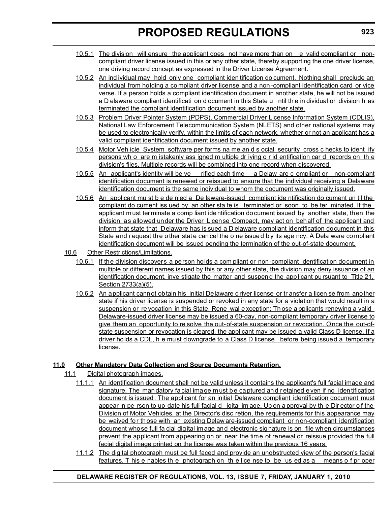- 10.5.1 The division will ensure the applicant does not have more than on e valid compliant or noncompliant driver license issued in this or any other state, thereby supporting the one driver license, one driving record concept as expressed in the Driver License Agreement.
- 10.5.2 An ind ividual may hold only one compliant iden tification do cument. Nothing shall preclude an individual from holding a co mpliant driver license and a non -compliant identification card or vice verse. If a person holds a compliant identification document in another state, he will not be issued a D elaware compliant identificati on d ocument in this State u ntil th e in dividual or division h as terminated the compliant identification document issued by another state.
- 10.5.3 Problem Driver Pointer System (PDPS), Commercial Driver License Information System (CDLIS), National Law Enforcement Telecommunication System (NLETS) and other national systems may be used to electronically verify, within the limits of each network, whether or not an applicant has a valid compliant identification document issued by another state.
- 10.5.4 Motor Veh icle System software per forms na me an d s ocial security cross c hecks to ident ify persons wh o are m istakenly ass igned m ultiple dr iving o r id entification car d records on the division's files. Multiple records will be combined into one record when discovered.
- 10.5.5 An applicant's identity will be ve rified each time a Delaw are c ompliant or non-compliant identification document is renewed or reissued to ensure that the individual receiving a Delaware identification document is the same individual to whom the document was originally issued.
- 10.5.6 An applicant mu st b e de nied a De laware-issued compliant ide ntification do cument un til the compliant do cument iss ued by an other sta te is terminated or soon to be ter minated. If the applicant must terminate a comp liant identification document issued by another state, then the division, as allowed under the Driver License Compact, may act on behalf of the applicant and inform that state that Delaware has is sued a D elaware compliant identification document in this State a nd r equest the o ther state can cel the o ne issued by its age ncy. A Dela ware compliant identification document will be issued pending the termination of the out-of-state document.
- 10.6 Other Restrictions/Limitations.
	- 10.6.1 If the division discovers a person holds a com pliant or non-compliant identification document in multiple or different names issued by this or any other state, the division may deny issuance of an identification document, inve stigate the matter and suspend the app licant pursuant to Title 21, Section 2733(a)(5).
	- 10.6.2 An applicant cannot obtain his initial Delaware driver license or tr ansfer a licen se from another state if his driver license is suspended or revoked in any state for a violation that would result in a suspension or re vocation in this State. Rene wal exception: Th ose a pplicants renewing a valid Delaware-issued driver license may be issued a 60-day, non-compliant temporary driver license to give them an opportunity to re solve the out-of-state suspension or revocation. Once the out-ofstate suspension or revocation is cleared, the applicant may be issued a valid Class D license. If a driver holds a CDL, h e must downgrade to a Class D license before being issued a temporary license.

# **11.0 Other Mandatory Data Collection and Source Documents Retention.**

- 11.1 Digital photograph images.
	- 11.1.1 An identification document shall not be valid unless it contains the applicant's full facial image and signature. The man datory fa cial ima ge must be captured and retained even if no iden tification document is issued. The applicant for an initial Delaware compliant identification document must appear in pe rson to up date his full facial d igital im age. Up on a pproval by th e Dir ector o f the Division of Motor Vehicles, at the Director's disc retion, the requirements for this appearance may be waived for those with an existing Delaw are-issued compliant or non-compliant identification document whose full fa cial digital image and electronic signature is on file when circumstances prevent the applicant from appearing on or near the time of renewal or reissue provided the full facial digital image printed on the license was taken within the previous 16 years.
	- 11.1.2 The digital photograph must be full faced and provide an unobstructed view of the person's facial features. T his e nables th e photograph on th e lice nse to be us ed as a means o f pr oper

# **DELAWARE REGISTER OF REGULATIONS, VOL. 13, ISSUE 7, FRIDAY, JANUARY 1, 2010**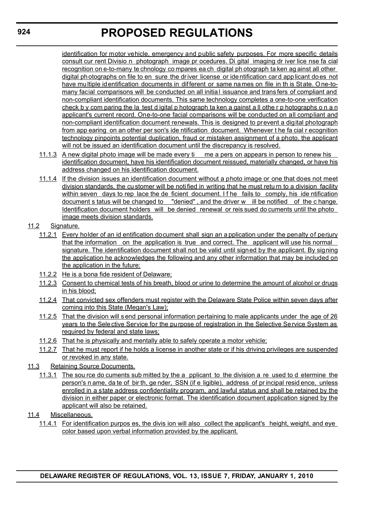identification for motor vehicle, emergency and public safety purposes. For more specific details consult cur rent Divisio n photograph image pr ocedures. Di gital imaging dr iver lice nse fa cial recognition on e-to-many te chnology co mpares ea ch digital ph otograph ta ken ag ainst all other digital photographs on file to en sure the driver license or identification card applicant does not have multiple identification documents in different or same names on file in th is State. One-tomany facial comparisons will be conducted on all initia l issuance and trans fers of compliant and non-compliant identification documents. This same technology completes a one-to-one verification check b y com paring the la test d igital p hotograph ta ken a gainst a ll othe r p hotographs o n a n applicant's current record. One-to-one facial comparisons will be conducted on all compliant and non-compliant identification document renewals. This is designed to prevent a digital photograph from app earing on an other per son's ide ntification document. Whenever t he fa cial r ecognition technology pinpoints potential duplication, fraud or mistaken assignment of a photo, the applicant will not be issued an identification document until the discrepancy is resolved.

- 11.1.3 A new digital photo image will be made every ti me a pers on appears in person to renew his identification document, have his identification document reissued, materially changed, or have his address changed on his identification document.
- 11.1.4 If the division issues an identification document without a photo image or one that does not meet division standards, the cu stomer will be noti fied in writing that he must retu rn to a division facility within seven days to rep lace the de ficient document. I f he fails to comply, his ide ntification document s tatus will be changed to "denied", and the driver w ill be notified of the c hange. Identification document holders will be denied renewal or reis sued do cuments until the photo image meets division standards.

## 11.2 Signature.

- 11.2.1 Every holder of an id entification document shall sign an a pplication under the penalty of perjury that the information on the application is true and correct. The applicant will use his normal signature. The identification document shall not be valid until signed by the applicant. By signing the application he acknowledges the following and any other information that may be included on the application in the future:
- 11.2.2 He is a bona fide resident of Delaware;
- 11.2.3 Consent to chemical tests of his breath, blood or urine to determine the amount of alcohol or drugs in his blood;
- 11.2.4 That convicted sex offenders must register with the Delaware State Police within seven days after coming into this State (Megan's Law);
- 11.2.5 That the division will s end personal information pertaining to male applicants under the age of 26 years to the Selective Service for the purpose of registration in the Selective Service System as required by federal and state laws;
- 11.2.6 That he is physically and mentally able to safely operate a motor vehicle;
- 11.2.7 That he must report if he holds a license in another state or if his driving privileges are suspended or revoked in any state.
- 11.3 Retaining Source Documents.
	- 11.3.1 The sou rce do cuments sub mitted by the a pplicant to the division a re used to d etermine the person's n ame, da te of bir th, ge nder, SSN (if e ligible), address of pr incipal resid ence, unless enrolled in a state address confidentiality program, and lawful status and shall be retained by the division in either paper or electronic format. The identification document application signed by the applicant will also be retained.
- 11.4 Miscellaneous.
	- 11.4.1 For identification purpos es, the divis ion will also collect the applicant's height, weight, and eye color based upon verbal information provided by the applicant.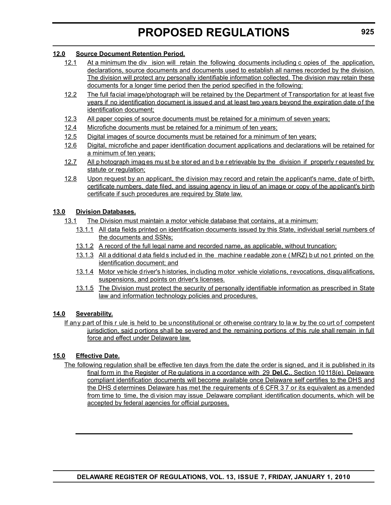## **12.0 Source Document Retention Period.**

- 12.1 At a minimum the div ision will retain the following documents including c opies of the application, declarations, source documents and documents used to establish all names recorded by the division. The division will protect any personally identifiable information collected. The division may retain these documents for a longer time period then the period specified in the following:
- 12.2 The full facial image/photograph will be retained by the Department of Transportation for at least five years if no identification document is issued and at least two years beyond the expiration date of the identification document;
- 12.3 All paper copies of source documents must be retained for a minimum of seven years;
- 12.4 Microfiche documents must be retained for a minimum of ten years;
- 12.5 Digital images of source documents must be retained for a minimum of ten years;
- 12.6 Digital, microfiche and paper identification document applications and declarations will be retained for a minimum of ten years;
- 12.7 All p hotograph images mu st be stored and be r etrievable by the division if properly r equested by statute or regulation;
- 12.8 Upon request by an applicant, the division may record and retain the applicant's name, date of birth, certificate numbers, date filed, and issuing agency in lieu of an image or copy of the applicant's birth certificate if such procedures are required by State law.

# **13.0 Division Databases.**

- 13.1 The Division must maintain a motor vehicle database that contains, at a minimum:
	- 13.1.1 All data fields printed on identification documents issued by this State, individual serial numbers of the documents and SSNs;
	- 13.1.2 A record of the full legal name and recorded name, as applicable, without truncation;
	- 13.1.3 All a dditional d ata field s includ ed in the machine r eadable zon e (MRZ) but not printed on the identification document; and
	- 13.1.4 Motor vehicle driver's histories, including motor vehicle violations, revocations, disqualifications, suspensions, and points on driver's licenses.
	- 13.1.5 The Division must protect the security of personally identifiable information as prescribed in State law and information technology policies and procedures.

# **14.0 Severability.**

If any part of this r ule is held to be unconstitutional or otherwise contrary to la w by the co urt of competent jurisdiction, said p ortions shall be severed and the remaining portions of this rule shall remain in full force and effect under Delaware law.

# **15.0 Effective Date.**

The following regulation shall be effective ten days from the date the order is signed, and it is published in its final form in the Register of Re gulations in a ccordance with 29 **Del.C.**, Section 10118(e). Delaware compliant identification documents will become available once Delaware self certifies to the DHS and the DHS d etermines Delaware has met the requirements of 6 CFR 3 7 or its equivalent as a mended from time to time, the di vision may issue Delaware compliant identification documents, which will be accepted by federal agencies for official purposes.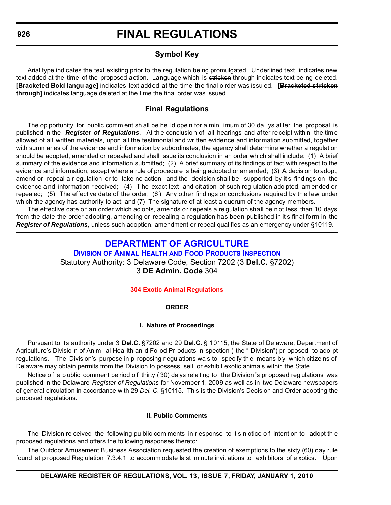# **Symbol Key**

Arial type indicates the text existing prior to the regulation being promulgated. Underlined text indicates new text added at the time of the proposed action. Language which is stricken through indicates text being deleted. **[Bracketed Bold langu age]** indicates text added at the time the final o rder was issu ed. **[Bracketed stricken through]** indicates language deleted at the time the final order was issued.

# **Final Regulations**

The op portunity for public comm ent sh all be he ld ope n for a min imum of 30 da ys af ter the proposal is published in the *Register of Regulations*. At the conclusion of all hearings and after receipt within the time allowed of all written materials, upon all the testimonial and written evidence and information submitted, together with summaries of the evidence and information by subordinates, the agency shall determine whether a regulation should be adopted, amended or repealed and shall issue its conclusion in an order which shall include: (1) A brief summary of the evidence and information submitted; (2) A brief summary of its findings of fact with respect to the evidence and information, except where a rule of procedure is being adopted or amended; (3) A decision to adopt, amend or repeal a r equlation or to take no action and the decision shall be supported by its findings on the evidence a nd information r eceived; (4) T he exact text and cit ation of such reg ulation ado pted, am ended or repealed; (5) The effective date of the order; (6 ) Any other findings or conclusions required by th e law under which the agency has authority to act; and (7) The signature of at least a quorum of the agency members.

The effective date o f an order which ad opts, amends or repeals a re gulation shall be n ot less than 10 days from the date the order adopting, amending or repealing a regulation has been published in it s final form in the *Register of Regulations*, unless such adoption, amendment or repeal qualifies as an emergency under §10119.

# **[DEPARTMENT OF AGRICULTURE](http://dda.delaware.gov/foodprod/index.shtml)**

**DIVISION OF ANIMAL HEALTH AND FOOD PRODUCTS INSPECTION** Statutory Authority: 3 Delaware Code, Section 7202 (3 **Del.C.** §7202) 3 **DE Admin. Code** 304

# **[304 Exotic Animal Regulations](#page-3-0)**

### **ORDER**

### **I. Nature of Proceedings**

Pursuant to its authority under 3 **Del.C.** §7202 and 29 **Del.C.** § 10115, the State of Delaware, Department of Agriculture's Divisio n of Anim al Hea lth an d Fo od Pr oducts In spection ( the " Division") pr oposed to ado pt regulations. The Division's purpose in p roposing r egulations wa s to specify th e means b y which citize ns of Delaware may obtain permits from the Division to possess, sell, or exhibit exotic animals within the State.

Notice of a p ublic comment pe riod of thirty (30) da ys relating to the Division's proposed regulations was published in the Delaware *Register of Regulations* for November 1, 2009 as well as in two Delaware newspapers of general circulation in accordance with 29 *Del. C.* §10115. This is the Division's Decision and Order adopting the proposed regulations.

#### **II. Public Comments**

The Division re ceived the following pu blic com ments in r esponse to it s n otice o f intention to adopt th e proposed regulations and offers the following responses thereto:

The Outdoor Amusement Business Association requested the creation of exemptions to the sixty (60) day rule found at p roposed Reg ulation 7.3.4.1 to accomm odate la st minute invit ations to exhibitors of e xotics. Upon

### **DELAWARE REGISTER OF REGULATIONS, VOL. 13, ISSUE 7, FRIDAY, JANUARY 1, 2010**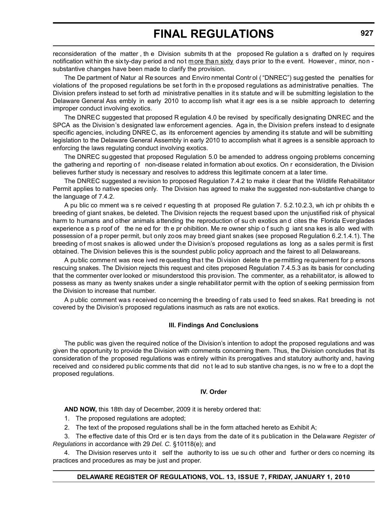reconsideration of the matter , th e Division submits th at the proposed Re gulation a s drafted on ly requires notification within the six ty-day period and not more than sixty days prior to the event. However, minor, nonsubstantive changes have been made to clarify the provision.

The De partment of Natur al Re sources and Enviro nmental Contr ol ( "DNREC") sug gested the penalties for violations of the proposed regulations be set forth in th e proposed regulations as administrative penalties. The Division prefers instead to set forth ad ministrative penalties in it s statute and w ill be submitting legislation to the Delaware General Ass embly in early 2010 to accomp lish what it agr ees is a se nsible approach to deterring improper conduct involving exotics.

The DNREC suggested that proposed R egulation 4.0 be revised by specifically designating DNREC and the SPCA as the Division's designated law enforcement agencies. Aga in, the Division prefers instead to d esignate specific agencies, including DNRE C, as its enforcement agencies by amending its statute and will be submitting legislation to the Delaware General Assembly in early 2010 to accomplish what it agrees is a sensible approach to enforcing the laws regulating conduct involving exotics.

The DNREC suggested that proposed Regulation 5.0 be amended to address ongoing problems concerning the gathering and reporting of non-disease related information about exotics. On r econsideration, the Division believes further study is necessary and resolves to address this legitimate concern at a later time.

The DNREC suggested a revision to proposed Regulation 7.4.2 to make it clear that the Wildlife Rehabilitator Permit applies to native species only. The Division has agreed to make the suggested non-substantive change to the language of 7.4.2.

A pu blic co mment wa s re ceived r equesting th at proposed Re gulation 7. 5.2.10.2.3, wh ich pr ohibits th e breeding of giant snakes, be deleted. The Division rejects the request based upon the unjustified risk of physical harm to humans and other animals attending the reproduction of su ch exotics an d cites the Florida Everglades experience a s p roof of the ne ed for th e pr ohibition. Me re owner ship o f such g iant sna kes is allo wed with possession of a p roper permit, but only zoos may breed giant snakes (see proposed Regulation 6.2.1.4.1). The breeding of most snakes is allowed under the Division's proposed regulations as long as a sales permit is first obtained. The Division believes this is the soundest public policy approach and the fairest to all Delawareans.

A public comment was rece ived requesting that the Di vision delete th e pe rmitting re quirement for p ersons rescuing snakes. The Division rejects this request and cites proposed Regulation 7.4.5.3 as its basis for concluding that the commenter over looked or misunderstood this provision. The commenter, as a rehabilitator, is allowed to possess as many as twenty snakes under a single rehabilitator permit with the option of seeking permission from the Division to increase that number.

A p ublic comment was received concerning the breeding of rats used to feed snakes. Rat breeding is not covered by the Division's proposed regulations inasmuch as rats are not exotics.

### **III. Findings And Conclusions**

The public was given the required notice of the Division's intention to adopt the proposed regulations and was given the opportunity to provide the Division with comments concerning them. Thus, the Division concludes that its consideration of the proposed regulations was e ntirely within its prerogatives and statutory authority and, having received and co nsidered pu blic comme nts that did no t le ad to sub stantive cha nges, is no w fre e to a dopt the proposed regulations.

### **IV. Order**

**AND NOW,** this 18th day of December, 2009 it is hereby ordered that:

- 1. The proposed regulations are adopted;
- 2. The text of the proposed regulations shall be in the form attached hereto as Exhibit A;

3. The effective date of this Ord er is ten days from the date of it s publication in the Delaware *Register of Regulations* in accordance with 29 *Del. C.* §10118(e); and

4. The Division reserves unto it self the authority to iss ue su ch other and further or ders co ncerning its practices and procedures as may be just and proper.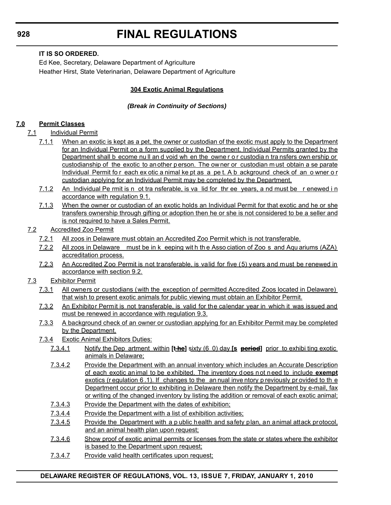# **IT IS SO ORDERED.**

Ed Kee, Secretary, Delaware Department of Agriculture Heather Hirst, State Veterinarian, Delaware Department of Agriculture

# **304 Exotic Animal Regulations**

# *(Break in Continuity of Sections)*

# **7.0 Permit Classes**

- 7.1 Individual Permit
	- 7.1.1 When an exotic is kept as a pet, the owner or custodian of the exotic must apply to the Department for an Individual Permit on a form supplied by the Department. Individual Permits granted by the Department shall b ecome nu ll an d void wh en the owne r o r custodia n tra nsfers own ership or custodianship of the exotic to an other p erson. The ow ner or custodian m ust obtain a se parate Individual Permit fo r each ex otic a nimal ke pt as a pe t. A b ackground check of an o wner o r custodian applying for an Individual Permit may be completed by the Department.
	- 7.1.2 An Individual Pe rmit is n ot tra nsferable, is va lid for thr ee years, a nd must be r enewed in accordance with regulation 9.1.
	- 7.1.3 When the owner or custodian of an exotic holds an Individual Permit for that exotic and he or she transfers ownership through gifting or adoption then he or she is not considered to be a seller and is not required to have a Sales Permit.
- 7.2 Accredited Zoo Permit
	- 7.2.1 All zoos in Delaware must obtain an Accredited Zoo Permit which is not transferable.
	- 7.2.2 All zoos in Delaware must be in k eeping with the Asso ciation of Zoo s and Aqu ariums (AZA) accreditation process.
	- 7.2.3 An Accredited Zoo Permit is not transferable, is valid for five (5) years and must be renewed in accordance with section 9.2.

# 7.3 Exhibitor Permit

- 7.3.1 All owners or custodians (with the exception of permitted Accredited Zoos located in Delaware) that wish to present exotic animals for public viewing must obtain an Exhibitor Permit.
- 7.3.2 An Exhibitor Permit is not transferable, is valid for the calendar year in which it was issued and must be renewed in accordance with regulation 9.3.
- 7.3.3 A background check of an owner or custodian applying for an Exhibitor Permit may be completed by the Department.
- 7.3.4 Exotic Animal Exhibitors Duties:
	- 7.3.4.1 Notify the Dep artment within **[t he]** sixty (6 0) day **[s period]** prior to exhibi ting exotic animals in Delaware;
	- 7.3.4.2 Provide the Department with an annual inventory which includes an Accurate Description of each exotic animal to be exhibited. The inventory does not need to include **exempt** exotics (r egulation 6.1). If changes to the an nual inventory p reviously provided to the Department occur prior to exhibiting in Delaware then notify the Department by e-mail, fax or writing of the changed inventory by listing the addition or removal of each exotic animal;
	- 7.3.4.3 Provide the Department with the dates of exhibition;
	- 7.3.4.4 Provide the Department with a list of exhibition activities;
	- 7.3.4.5 Provide the Department with a p ublic health and safety plan, an animal attack protocol, and an animal health plan upon request;
	- 7.3.4.6 Show proof of exotic animal permits or licenses from the state or states where the exhibitor is based to the Department upon request;
	- 7.3.4.7 Provide valid health certificates upon request;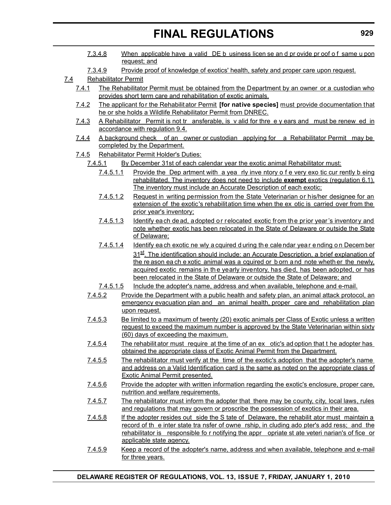- 7.3.4.8 When applicable have a valid DE b usiness licen se and pr ovide pr oof of same u pon request; and
- 7.3.4.9 Provide proof of knowledge of exotics' health, safety and proper care upon request.

# 7.4 Rehabilitator Permit

- 7.4.1 The Rehabilitator Permit must be obtained from the Department by an owner or a custodian who provides short term care and rehabilitation of exotic animals.
- 7.4.2 The applicant for the Rehabilitator Permit **[for native species]** must provide documentation that he or she holds a Wildlife Rehabilitator Permit from DNREC.
- 7.4.3 A Rehabilitator Permit is not tr ansferable, is v alid for thre e y ears and must be renew ed in accordance with regulation 9.4.
- 7.4.4 A background check of an owner or custodian applying for a Rehabilitator Permit may be completed by the Department.

## 7.4.5 Rehabilitator Permit Holder's Duties:

- 7.4.5.1 By December 31st of each calendar year the exotic animal Rehabilitator must:
	- 7.4.5.1.1 Provide the Dep artment with a yea rly inve ntory o f e very exo tic cur rently b eing rehabilitated. The inventory does not need to include **exempt** exotics (regulation 6.1). The inventory must include an Accurate Description of each exotic;
	- 7.4.5.1.2 Request in writing permission from the State Veterinarian or his/her designee for an extension of the exotic's rehabilitation time when the ex otic is carried over from the prior year's inventory;
	- 7.4.5.1.3 Identify each dead, adopted or relocated exotic from the prior year 's inventory and note whether exotic has been relocated in the State of Delaware or outside the State of Delaware;
	- 7.4.5.1.4 Identify ea ch exotic ne wly a cquired d uring the cale ndar year ending on December  $31<sup>st</sup>$ . The identification should include: an Accurate Description, a brief explanation of the re ason ea ch e xotic animal was a cquired or b orn a nd note wheth er the newly, acquired exotic remains in the yearly inventory, has died, has been adopted, or has been relocated in the State of Delaware or outside the State of Delaware; and
	- 7.4.5.1.5 Include the adopter's name, address and when available, telephone and e-mail.
- 7.4.5.2 Provide the Department with a public health and safety plan, an animal attack protocol, an emergency evacuation plan and an animal health, proper care and rehabilitation plan upon request.
- 7.4.5.3 Be limited to a maximum of twenty (20) exotic animals per Class of Exotic unless a written request to exceed the maximum number is approved by the State Veterinarian within sixty (60) days of exceeding the maximum.
- 7.4.5.4 The rehabilit ator must require at the time of an ex otic's ad option that t he adopter has obtained the appropriate class of Exotic Animal Permit from the Department.
- 7.4.5.5 The rehabilitator must verify at the time of the exotic's adoption that the adopter's name and address on a Valid Identification card is the same as noted on the appropriate class of Exotic Animal Permit presented.
- 7.4.5.6 Provide the adopter with written information regarding the exotic's enclosure, proper care, nutrition and welfare requirements.
- 7.4.5.7 The rehabilitator must inform the adopter that there may be county, city, local laws, rules and regulations that may govern or proscribe the possession of exotics in their area.
- 7.4.5.8 If the adopter resides out side the S tate of Delaware, the rehabilit ator must maintain a record of th e inter state tra nsfer of owne rship, in cluding ado pter's add ress; and the rehabilitator is responsible fo r notifying the appr opriate st ate veteri narian's of fice or applicable state agency.
- 7.4.5.9 Keep a record of the adopter's name, address and when available, telephone and e-mail for three years.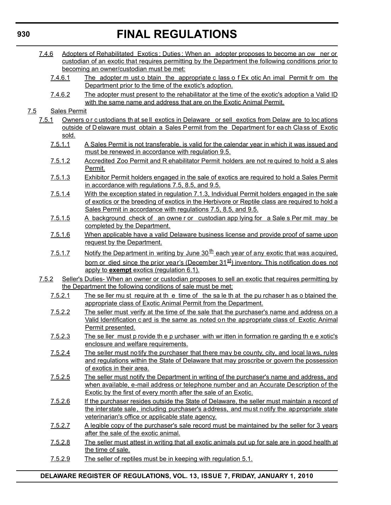- 7.4.6 Adopters of Rehabilitated Exotics ; Duties : When an adopter proposes to become an ow ner or custodian of an exotic that requires permitting by the Department the following conditions prior to becoming an owner/custodian must be met:
	- 7.4.6.1 The adopter m ust o btain the appropriate c lass o f Ex otic An imal Permit fr om the Department prior to the time of the exotic's adoption.
	- 7.4.6.2 The adopter must present to the rehabilitator at the time of the exotic's adoption a Valid ID with the same name and address that are on the Exotic Animal Permit.

## 7.5 Sales Permit

- 7.5.1 Owners or c ustodians that sell exotics in Delaware or sell exotics from Delaw are to loc ations outside of Delaware must obtain a Sales Permit from the Department for each Class of Exotic sold.
	- 7.5.1.1 A Sales Permit is not transferable, is valid for the calendar year in which it was issued and must be renewed in accordance with regulation 9.5.
	- 7.5.1.2 Accredited Zoo Permit and R ehabilitator Permit holders are not re quired to hold a S ales Permit.
	- 7.5.1.3 Exhibitor Permit holders engaged in the sale of exotics are required to hold a Sales Permit in accordance with regulations 7.5, 8.5, and 9.5.
	- 7.5.1.4 With the exception stated in regulation 7.1.3, Individual Permit holders engaged in the sale of exotics or the breeding of exotics in the Herbivore or Reptile class are required to hold a Sales Permit in accordance with regulations 7.5, 8.5, and 9.5.
	- 7.5.1.5 A background check of an owne r or custodian app lying for a Sale s Per mit may be completed by the Department.
	- 7.5.1.6 When applicable have a valid Delaware business license and provide proof of same upon request by the Department.
	- 7.5.1.7 Notify the Department in writing by June  $30<sup>th</sup>$  each year of any exotic that was acquired, born or died since the prior year's (December  $31<sup>st</sup>$ ) inventory. This notification does not apply to **exempt** exotics (regulation 6.1).
- 7.5.2 Seller's Duties- When an owner or custodian proposes to sell an exotic that requires permitting by the Department the following conditions of sale must be met:
	- 7.5.2.1 The se ller mu st require at th e time of the sa le th at the pu rchaser h as o btained the appropriate class of Exotic Animal Permit from the Department.
	- 7.5.2.2 The seller must verify at the time of the sale that the purchaser's name and address on a Valid Identification c ard is the same as noted on the appropriate class of Exotic Animal Permit presented.
	- 7.5.2.3 The se ller must p rovide th e p urchaser with wr itten in formation re garding th e e xotic's enclosure and welfare requirements.
	- 7.5.2.4 The seller must notify the purchaser that there may be county, city, and local laws, rules and regulations within the State of Delaware that may proscribe or govern the possession of exotics in their area.
	- 7.5.2.5 The seller must notify the Department in writing of the purchaser's name and address, and when available, e-mail address or telephone number and an Accurate Description of the Exotic by the first of every month after the sale of an Exotic.
	- 7.5.2.6 If the purchaser resides outside the State of Delaware, the seller must maintain a record of the interstate sale, including purchaser's address, and must notify the appropriate state veterinarian's office or applicable state agency.
	- 7.5.2.7 A legible copy of the purchaser's sale record must be maintained by the seller for 3 years after the sale of the exotic animal.
	- 7.5.2.8 The seller must attest in writing that all exotic animals put up for sale are in good health at the time of sale.
	- 7.5.2.9 The seller of reptiles must be in keeping with regulation 5.1.

# **DELAWARE REGISTER OF REGULATIONS, VOL. 13, ISSUE 7, FRIDAY, JANUARY 1, 2010**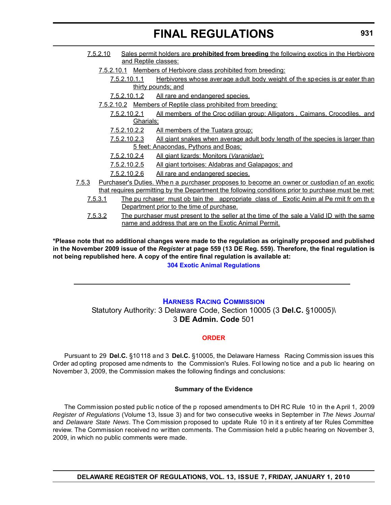- 7.5.2.10 Sales permit holders are **prohibited from breeding** the following exotics in the Herbivore and Reptile classes:
	- 7.5.2.10.1 Members of Herbivore class prohibited from breeding:
		- 7.5.2.10.1.1 Herbivores whose average adult body weight of the species is gr eater than thirty pounds; and
		- 7.5.2.10.1.2 All rare and endangered species.
	- 7.5.2.10.2 Members of Reptile class prohibited from breeding:
		- 7.5.2.10.2.1 All members of the Croc odilian group: Alligators , Caimans, Crocodiles, and Gharials;
		- 7.5.2.10.2.2 All members of the Tuatara group;
		- 7.5.2.10.2.3 All giant snakes when average adult body length of the species is larger than 5 feet: Anacondas, Pythons and Boas;
		- 7.5.2.10.2.4 All giant lizards: Monitors (*Varanidae*);
		- 7.5.2.10.2.5 All giant tortoises: Aldabras and Galapagos; and
		- 7.5.2.10.2.6 All rare and endangered species.
- 7.5.3 Purchaser's Duties. Whe n a purchaser proposes to become an owner or custodian of an exotic that requires permitting by the Department the following conditions prior to purchase must be met:
	- 7.5.3.1 The pu rchaser must ob tain the appropriate class of Exotic Anim al Pe rmit fr om th e Department prior to the time of purchase.
	- 7.5.3.2 The purchaser must present to the seller at the time of the sale a Valid ID with the same name and address that are on the Exotic Animal Permit.

**\*Please note that no additional changes were made to the regulation as originally proposed and published in the November 2009 issue of the** *Register* **at page 559 (13 DE Reg. 559). Therefore, the final regulation is not being republished here. A copy of the entire final regulation is available at:**

#### **[304 Exotic Animal Regulations](http://regulations.delaware.gov/register/january2010/final/13 DE Reg 926 01-01-10.htm)**

### **[HARNESS RACING COMMISSION](http://dda.delaware.gov/harness/index.shtml)**

Statutory Authority: 3 Delaware Code, Section 10005 (3 **Del.C.** §10005)\ 3 **DE Admin. Code** 501

### **[ORDER](#page-3-1)**

Pursuant to 29 **Del.C.** §10118 and 3 **Del.C.** §10005, the Delaware Harness Racing Commission issues this Order ad opting proposed ame ndments to the Commission's Rules. Fol lowing no tice and a pub lic hearing on November 3, 2009, the Commission makes the following findings and conclusions:

#### **Summary of the Evidence**

The Commission posted public notice of the p roposed amendments to DH RC Rule 10 in the April 1, 2009 *Register of Regulations* (Volume 13, Issue 3) and for two consecutive weeks in September in *The News Journal* and *Delaware State News*. The Commission proposed to update Rule 10 in it s entirety af ter Rules Committee review. The Commission received no written comments. The Commission held a public hearing on November 3, 2009, in which no public comments were made.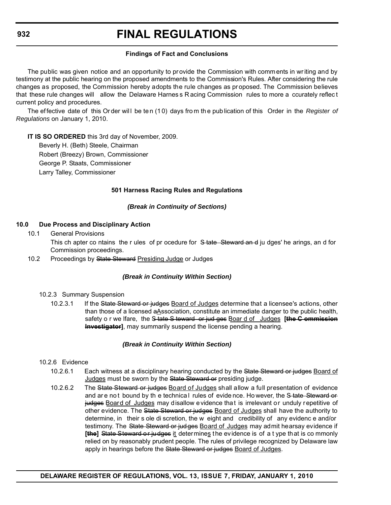## **Findings of Fact and Conclusions**

The public was given notice and an opportunity to provide the Commission with comments in writing and by testimony at the public hearing on the proposed amendments to the Commission's Rules. After considering the rule changes as proposed, the Commission hereby adopts the rule changes as pr oposed. The Commission believes that these rule changes will allow the Delaware Harnes s R acing Commission rules to more a ccurately reflec t current policy and procedures.

The effective date of this Or der wil l be te n (1 0) days fro m th e pub lication of this Order in the *Register of Regulations* on January 1, 2010.

### **IT IS SO ORDERED** this 3rd day of November, 2009.

Beverly H. (Beth) Steele, Chairman Robert (Breezy) Brown, Commissioner George P. Staats, Commissioner Larry Talley, Commissioner

## **501 Harness Racing Rules and Regulations**

## *(Break in Continuity of Sections)*

## **10.0 Due Process and Disciplinary Action**

10.1 General Provisions

This ch apter co ntains the r ules of pr ocedure for State Steward and ju dges' he arings, and for Commission proceedings.

10.2 Proceedings by State Steward Presiding Judge or Judges

# *(Break in Continuity Within Section)*

### 10.2.3 Summary Suspension

10.2.3.1 If the State Steward or judges Board of Judges determine that a licensee's actions, other than those of a licensed aAssociation, constitute an immediate danger to the public health, safety o r we lfare, the S tate S teward or jud ges Boar d of Judges **[the C ommission Investigator]**, may summarily suspend the license pending a hearing.

# *(Break in Continuity Within Section)*

### 10.2.6 Evidence

- 10.2.6.1 Each witness at a disciplinary hearing conducted by the State Steward or judges Board of Judges must be sworn by the State Steward or presiding judge.
- 10.2.6.2 The State Steward or judges Board of Judges shall allow a full presentation of evidence and are not bound by th e technical rules of evide nce. Ho wever, the State Steward or judges Board of Judges may disallow evidence that is irrelevant or unduly repetitive of other evidence. The State Steward or judges Board of Judges shall have the authority to determine, in their s ole di scretion, the w eight and credibility of any evidenc e and/or testimony. The State Steward or judges Board of Judges may admit hearsay evidence if **[the]** State Steward or judges it determines the evidence is of a t ype that is co mmonly relied on by reasonably prudent people. The rules of privilege recognized by Delaware law apply in hearings before the State Steward or judges Board of Judges.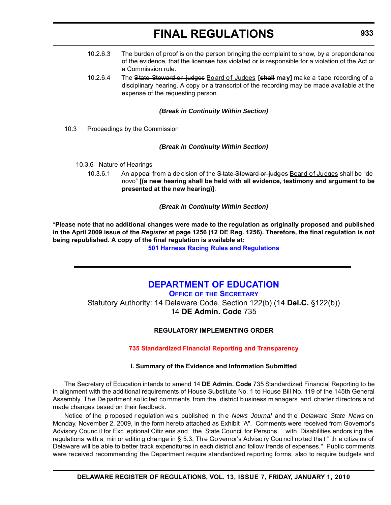- 10.2.6.3 The burden of proof is on the person bringing the complaint to show, by a preponderance of the evidence, that the licensee has violated or is responsible for a violation of the Act or a Commission rule.
- 10.2.6.4 The State Steward or judges Board of Judges **[shall may]** make a tape recording of a disciplinary hearing. A copy or a transcript of the recording may be made available at the expense of the requesting person.

### *(Break in Continuity Within Section)*

10.3 Proceedings by the Commission

### *(Break in Continuity Within Section)*

- 10.3.6 Nature of Hearings
	- 10.3.6.1 An appeal from a de cision of the State Steward or judges Board of Judges shall be "de novo" **[(a new hearing shall be held with all evidence, testimony and argument to be presented at the new hearing)]**.

### *(Break in Continuity Within Section)*

**\*Please note that no additional changes were made to the regulation as originally proposed and published in the April 2009 issue of the** *Register* **at page 1256 (12 DE Reg. 1256). Therefore, the final regulation is not being republished. A copy of the final regulation is available at:**

**[501 Harness Racing Rules and Regulations](http://regulations.delaware.gov/register/january2010/final/13 DE Reg 931 01-01-10.htm)**

# **[DEPARTMENT OF EDUCATION](http://www.doe.k12.de.us/)**

**OFFICE OF THE SECRETARY** Statutory Authority: 14 Delaware Code, Section 122(b) (14 **Del.C.** §122(b)) 14 **DE Admin. Code** 735

### **REGULATORY IMPLEMENTING ORDER**

### **[735 Standardized Financial Reporting and Transparency](#page-3-1)**

### **I. Summary of the Evidence and Information Submitted**

The Secretary of Education intends to amend 14 **DE Admin. Code** 735 Standardized Financial Reporting to be in alignment with the additional requirements of House Substitute No. 1 to House Bill No. 119 of the 145th General Assembly. Th e De partment so licited co mments from the district b usiness m anagers and charter d irectors a nd made changes based on their feedback.

Notice of the p roposed r egulation wa s published in th e *News Journal* and th e *Delaware State News* on Monday, November 2, 2009, in the form hereto attached as Exhibit "A". Comments were received from Governor's Advisory Counc il for Exc eptional Citiz ens and the State Council for Persons with Disabilities endors ing the regulations with a min or editin g cha nge in § 5.3. Th e Go vernor's Adviso ry Cou ncil no ted tha t " th e citize ns of Delaware will be able to better track expenditures in each district and follow trends of expenses." Public comments were received recommending the Department require standardized reporting forms, also to require budgets and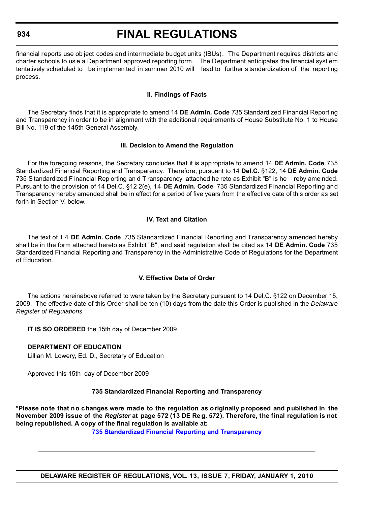### **934**

# **FINAL REGULATIONS**

financial reports use ob ject codes and intermediate budget units (IBUs). The Department requires districts and charter schools to us e a Dep artment approved reporting form. The Department anticipates the financial syst em tentatively scheduled to be implemen ted in summer 2010 will lead to further s tandardization of the reporting process.

### **II. Findings of Facts**

The Secretary finds that it is appropriate to amend 14 **DE Admin. Code** 735 Standardized Financial Reporting and Transparency in order to be in alignment with the additional requirements of House Substitute No. 1 to House Bill No. 119 of the 145th General Assembly.

## **III. Decision to Amend the Regulation**

For the foregoing reasons, the Secretary concludes that it is appropriate to amend 14 **DE Admin. Code** 735 Standardized Financial Reporting and Transparency. Therefore, pursuant to 14 **Del.C.** §122, 14 **DE Admin. Code** 735 S tandardized F inancial Rep orting an d T ransparency attached he reto as Exhibit "B" is he reby ame nded. Pursuant to the provision of 14 Del.C. §12 2(e), 14 **DE Admin. Code** 735 Standardized Financial Reporting and Transparency hereby amended shall be in effect for a period of five years from the effective date of this order as set forth in Section V. below

# **IV. Text and Citation**

The text of 1 4 **DE Admin. Code** 735 Standardized Financial Reporting and Transparency amended hereby shall be in the form attached hereto as Exhibit "B", and said regulation shall be cited as 14 **DE Admin. Code** 735 Standardized Financial Reporting and Transparency in the Administrative Code of Regulations for the Department of Education.

### **V. Effective Date of Order**

The actions hereinabove referred to were taken by the Secretary pursuant to 14 Del.C. §122 on December 15, 2009. The effective date of this Order shall be ten (10) days from the date this Order is published in the *Delaware Register of Regulations.*

**IT IS SO ORDERED** the 15th day of December 2009.

### **DEPARTMENT OF EDUCATION**

Lillian M. Lowery, Ed. D., Secretary of Education

Approved this 15th day of December 2009

### **735 Standardized Financial Reporting and Transparency**

**\*Please note that no changes were made to the regulation as originally proposed and published in the November 2009 issue of the** *Register* **at page 572 (13 DE Re g. 572). Therefore, the final regulation is not being republished. A copy of the final regulation is available at:**

**[735 Standardized Financial Reporting and Transparency](http://regulations.delaware.gov/register/january2010/final/13 DE Reg 933 01-01-10.htm)**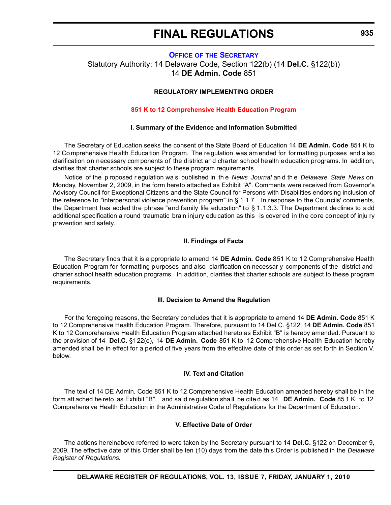### **OFFICE OF [THE SECRETARY](http://www.doe.k12.de.us/)**

Statutory Authority: 14 Delaware Code, Section 122(b) (14 **Del.C.** §122(b)) 14 **DE Admin. Code** 851

### **REGULATORY IMPLEMENTING ORDER**

### **[851 K to 12 Comprehensive Health Education Program](#page-3-0)**

#### **I. Summary of the Evidence and Information Submitted**

The Secretary of Education seeks the consent of the State Board of Education 14 **DE Admin. Code** 851 K to 12 Co mprehensive He alth Educa tion Pr ogram. The re gulation was am ended for for matting p urposes and a lso clarification on necessary components of the district and charter school health education programs. In addition, clarifies that charter schools are subject to these program requirements.

Notice of the p roposed r egulation wa s published in th e *News Journal* an d th e *Delaware State News* on Monday, November 2, 2009, in the form hereto attached as Exhibit "A". Comments were received from Governor's Advisory Council for Exceptional Citizens and the State Council for Persons with Disabilities endorsing inclusion of the reference to "interpersonal violence prevention program" in § 1.1.7.. In response to the Councils' comments, the Department has added the phrase "and family life education" to § 1.1.3.3. The Department declines to add additional specification a round traumatic brain injury edu cation as this is covered in the core concept of inju ry prevention and safety.

#### **II. Findings of Facts**

The Secretary finds that it is a ppropriate to amend 14 **DE Admin. Code** 851 K to 12 Comprehensive Health Education Program for for matting p urposes and also clarification on necessar y components of the district and charter school health education programs. In addition, clarifies that charter schools are subject to these program requirements.

#### **III. Decision to Amend the Regulation**

For the foregoing reasons, the Secretary concludes that it is appropriate to amend 14 **DE Admin. Code** 851 K to 12 Comprehensive Health Education Program. Therefore, pursuant to 14 Del.C. §122, 14 **DE Admin. Code** 851 K to 12 Comprehensive Health Education Program attached hereto as Exhibit "B" is hereby amended. Pursuant to the provision of 14 **Del.C.** §122(e), 14 **DE Admin. Code** 851 K to 12 Comprehensive Health Education hereby amended shall be in effect for a period of five years from the effective date of this order as set forth in Section V. below.

#### **IV. Text and Citation**

The text of 14 DE Admin. Code 851 K to 12 Comprehensive Health Education amended hereby shall be in the form att ached he reto as Exhibit "B", and sa id re gulation sha ll be cite d as 14 **DE Admin. Code** 85 1 K to 12 Comprehensive Health Education in the Administrative Code of Regulations for the Department of Education.

### **V. Effective Date of Order**

The actions hereinabove referred to were taken by the Secretary pursuant to 14 **Del.C.** §122 on December 9, 2009. The effective date of this Order shall be ten (10) days from the date this Order is published in the *Delaware Register of Regulations.*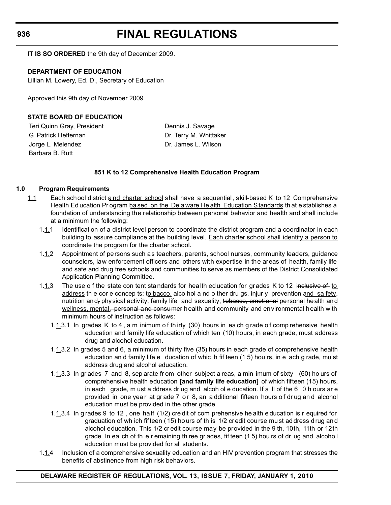**IT IS SO ORDERED** the 9th day of December 2009.

### **DEPARTMENT OF EDUCATION**

Lillian M. Lowery, Ed. D., Secretary of Education

Approved this 9th day of November 2009

### **STATE BOARD OF EDUCATION**

Teri Quinn Gray, President **Dennis J. Savage** G. Patrick Heffernan Dr. Terry M. Whittaker Jorge L. Melendez **Dr. James L. Wilson** Barbara B. Rutt

#### **851 K to 12 Comprehensive Health Education Program**

### **1.0 Program Requirements**

- 1.1 Each school district a nd charter school shall have a sequential, skill-based K to 12 Comprehensive Health Ed ucation Pr ogram ba sed on the Dela ware He alth Education Standards th at e stablishes a foundation of understanding the relationship between personal behavior and health and shall include at a minimum the following:
	- 1.1.1 Identification of a district level person to coordinate the district program and a coordinator in each building to assure compliance at the building level. Each charter school shall identify a person to coordinate the program for the charter school.
	- 1.1.2 Appointment of persons such as teachers, parents, school nurses, community leaders, guidance counselors, law enforcement officers and others with expertise in the areas of health, family life and safe and drug free schools and communities to serve as members of the District Consolidated Application Planning Committee.
	- 1.1.3 The use of the state con tent standards for health ed ucation for grades K to 12 inclusive of to address th e cor e concep ts: to bacco, alco hol a nd o ther dru gs, injur y prevention and sa fety, nutrition and<sub>r</sub> physical activity, family life and sexuality, to bacco, emotional personal health and wellness, mental, personal and consumer health and community and environmental health with minimum hours of instruction as follows:
		- 1.1.3.1 In grades K to 4, a m inimum of thirty (30) hours in each grade of comp rehensive health education and family life education of which ten (10) hours, in each grade, must address drug and alcohol education.
		- 1.1.3.2 In grades 5 and 6, a minimum of thirty five (35) hours in each grade of comprehensive health education an d family life e ducation of whic h fif teen (1 5) hou rs, in e ach g rade, mu st address drug and alcohol education.
		- 1.1.3.3 In gr ades 7 and 8, sep arate fr om other subject a reas, a min imum of sixty (60) ho urs of comprehensive health education **[and family life education]** of which fifteen (15) hours, in each grade, m ust a ddress dr ug and alcoh ol e ducation. If a ll of the 6 0 h ours ar e provided in one year at grade 7 or 8, an additional fifteen hours of drug and alcohol education must be provided in the other grade.
		- 1.1.3.4 In g rades 9 to 12 , one ha lf (1/2) cre dit of com prehensive he alth e ducation is r equired for graduation of wh ich fifteen ( 15) ho urs of th is 1/2 credit course must address drug and alcohol education. This 1/2 cr edit course may be provided in the 9 th, 10th, 11th or 12th grade. In ea ch of th e r emaining th ree gr ades, fif teen (1 5) hou rs of dr ug and alcoho l education must be provided for all students.
	- 1.1.4 Inclusion of a comprehensive sexuality education and an HIV prevention program that stresses the benefits of abstinence from high risk behaviors.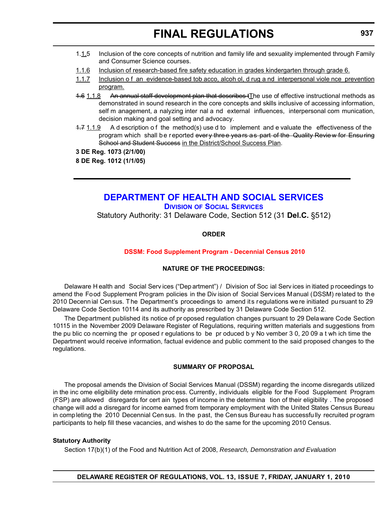- 1.1.5 Inclusion of the core concepts of nutrition and family life and sexuality implemented through Family and Consumer Science courses.
- 1.1.6 Inclusion of research-based fire safety education in grades kindergarten through grade 6.
- 1.1.7 Inclusion o f an evidence-based tob acco, alcoh ol, d rug a nd interpersonal viole nce prevention program.
- 1.6 1.1.8 An annual staff development plan that describes tThe use of effective instructional methods as demonstrated in sound research in the core concepts and skills inclusive of accessing information, self m anagement, a nalyzing inter nal a nd external influences, interpersonal com munication, decision making and goal setting and advocacy.
- 1.7 1.1.9 A d escription o f the method(s) use d to implement and e valuate the effectiveness of the program which shall be reported every three yea rs as part of the Quality Review for Ensuring School and Student Success in the District/School Success Plan.

**3 DE Reg. 1073 (2/1/00)**

**8 DE Reg. 1012 (1/1/05)**

# **[DEPARTMENT OF HEALTH AND SOCIAL SERVICES](http://www.dhss.delaware.gov/dhss/dss/index.html) DIVISION OF SOCIAL SERVICES**

Statutory Authority: 31 Delaware Code, Section 512 (31 **Del.C.** §512)

### **ORDER**

### **[DSSM: Food Supplement Program - Decennial Census 2010](#page-3-0)**

### **NATURE OF THE PROCEEDINGS:**

Delaware H ealth and Social Serv ices ("Dep artment") / Division of Soc ial Serv ices in itiated p roceedings to amend the Food Supplement Program policies in the Div ision of Social Services Manual (DSSM) related to the 2010 Decennial Census. The Department's proceedings to amend its regulations were initiated pursuant to 29 Delaware Code Section 10114 and its authority as prescribed by 31 Delaware Code Section 512.

The Department published its notice of pr oposed regulation changes pursuant to 29 Delaware Code Section 10115 in the November 2009 Delaware Register of Regulations, requiring written materials and suggestions from the pu blic co ncerning the pr oposed r egulations to be pr oduced b y No vember 3 0, 20 09 a t wh ich time the Department would receive information, factual evidence and public comment to the said proposed changes to the regulations.

#### **SUMMARY OF PROPOSAL**

The proposal amends the Division of Social Services Manual (DSSM) regarding the income disregards utilized in the inc ome eligibility dete rmination proc ess. Currently, individuals eligible for the Food Supplement Program (FSP) are allowed disregards for cert ain types of income in the determina tion of their eligibility . The proposed change will add a disregard for income earned from temporary employment with the United States Census Bureau in completing the 2010 Decennial Census. In the past, the Census Bureau has successfully recruited program participants to help fill these vacancies, and wishes to do the same for the upcoming 2010 Census.

#### **Statutory Authority**

Section 17(b)(1) of the Food and Nutrition Act of 2008, *Research, Demonstration and Evaluation*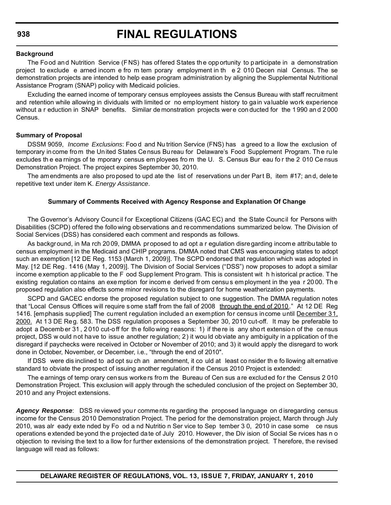#### **Background**

The Fo od an d Nutrition Service (FNS) has offered States the opportunity to participate in a demonstration project to exclude e arned incom e fro m tem porary employment in th e 2 010 Decen nial Census. The se demonstration projects are intended to help ease program administration by aligning the Supplemental Nutritional Assistance Program (SNAP) policy with Medicaid policies.

Excluding the earned income of temporary census employees assists the Census Bureau with staff recruitment and retention while allowing in dividuals with limited or no employment history to gain valuable work experience without a r eduction in SNAP benefits. Similar de monstration projects were conducted for the 1990 and 2000 **Census** 

#### **Summary of Proposal**

DSSM 9059, *Income Exclusions*: Foo d and Nu trition Service (FNS) has a greed to a llow the exclusion of temporary income from the United States Census Bureau for Delaware's Food Supplement Program. The rule excludes th e ea rnings of te mporary census em ployees fro m the U. S. Census Bur eau fo r the 2 010 Ce nsus Demonstration Project. The project expires September 30, 2010.

The amendments are also proposed to upd ate the list of reservations under Part B, item #17; and, delete repetitive text under item K. *Energy Assistance*.

#### **Summary of Comments Received with Agency Response and Explanation Of Change**

The Governor's Advisory Council for Exceptional Citizens (GAC EC) and the State Council for Persons with Disabilities (SCPD) offered the follo wing observations and recommendations summarized below. The Division of Social Services (DSS) has considered each comment and responds as follows.

As background, in Ma rch 2009, DMMA proposed to ad opt a r egulation disregarding income attributable to census employment in the Medicaid and CHIP programs. DMMA noted that CMS was encouraging states to adopt such an exemption [12 DE Reg. 1153 (March 1, 2009)]. The SCPD endorsed that regulation which was adopted in May. [12 DE Reg. 1416 (May 1, 2009)]. The Division of Social Services ("DSS") now proposes to adopt a similar income exemption applicable to the F ood Supplement Program. This is consistent wit h h istorical pr actice. T he existing regulation contains an exemption for income derived from census employment in the yea r 2000. The proposed regulation also effects some minor revisions to the disregard for home weatherization payments.

SCPD and GACEC endorse the proposed regulation subject to one suggestion. The DMMA regulation notes that "Local Census Offices will require some staff from the fall of 2008 through the end of 2010." At 12 DE Reg 1416. [emphasis supplied] The current regulation included an exemption for census income until December 31, 2000. At 13 DE Reg. 583. The DSS regulation proposes a September 30, 2010 cut-off. It may be preferable to adopt a Decemb er 31, 2010 cut-off for the follo wing reasons: 1) if the re is any short extension of the census project, DSS w ould not have to issue another regulation; 2) it wou ld obviate any ambiguity in a pplication of the disregard if paychecks were received in October or November of 2010; and 3) it would apply the disregard to work done in October, November, or December, i.e., "through the end of 2010".

If DSS were dis inclined to ad opt su ch an amendment, it co uld at least co nsider th e fo llowing alt ernative standard to obviate the prospect of issuing another regulation if the Census 2010 Project is extended:

The earnings of temp orary census workers from the Bureau of Cen sus are excluded for the Census 2 010 Demonstration Project. This exclusion will apply through the scheduled conclusion of the project on September 30, 2010 and any Project extensions.

Agency Response: DSS reviewed your comments regarding the proposed language on disregarding census income for the Census 2010 Demonstration Project. The period for the demonstration project, March through July 2010, was alr eady exte nded by Fo od a nd Nutritio n Ser vice to Sep tember 3 0, 2010 in case some ce nsus operations extended beyond the projected date of July 2010. However, the Div ision of Social Se rvices has n o objection to revising the text to a llow for further extensions of the demonstration project. T herefore, the revised language will read as follows: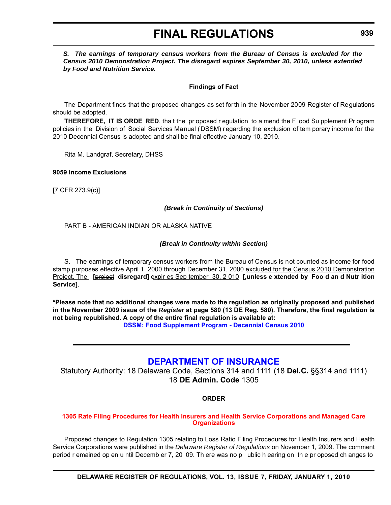#### *S. The earnings of temporary census workers from the Bureau of Census is excluded for the Census 2010 Demonstration Project. The disregard expires September 30, 2010, unless extended by Food and Nutrition Service.*

### **Findings of Fact**

The Department finds that the proposed changes as set forth in the November 2009 Register of Regulations should be adopted.

**THEREFORE, IT IS ORDE RED**, tha t the pr oposed r egulation to a mend the F ood Su pplement Pr ogram policies in the Division of Social Services Manual (DSSM) regarding the exclusion of tem porary income for the 2010 Decennial Census is adopted and shall be final effective January 10, 2010.

Rita M. Landgraf, Secretary, DHSS

### **9059 Income Exclusions**

[7 CFR 273.9(c)]

### *(Break in Continuity of Sections)*

PART B - AMERICAN INDIAN OR ALASKA NATIVE

### *(Break in Continuity within Section)*

S. The earnings of temporary census workers from the Bureau of Census is not counted as income for food stamp purposes effective April 1, 2000 through December 31, 2000 excluded for the Census 2010 Demonstration Project. The **[**project **disregard]** expir es Sep tember 30, 2 010 **[,unless e xtended by Foo d an d Nutr ition Service]**.

**\*Please note that no additional changes were made to the regulation as originally proposed and published in the November 2009 issue of the** *Register* **at page 580 (13 DE Reg. 580). Therefore, the final regulation is not being republished. A copy of the entire final regulation is available at:**

**[DSSM: Food Supplement Program - Decennial Census 2010](http://regulations.delaware.gov/register/january2010/final/13 DE Reg 937 01-01-10.htm)**

# **[DEPARTMENT OF INSURANCE](http://www.delawareinsurance.gov/)**

Statutory Authority: 18 Delaware Code, Sections 314 and 1111 (18 **Del.C.** §§314 and 1111) 18 **DE Admin. Code** 1305

### **ORDER**

#### **[1305 Rate Filing Procedures for Health Insurers and Health Service Corporations and Managed Care](#page-4-0)  Organizations**

Proposed changes to Regulation 1305 relating to Loss Ratio Filing Procedures for Health Insurers and Health Service Corporations were published in the *Delaware Register of Regulations* on November 1, 2009. The comment period r emained op en u ntil Decemb er 7, 20 09. Th ere was no p ublic h earing on th e pr oposed ch anges to

**DELAWARE REGISTER OF REGULATIONS, VOL. 13, ISSUE 7, FRIDAY, JANUARY 1, 2010**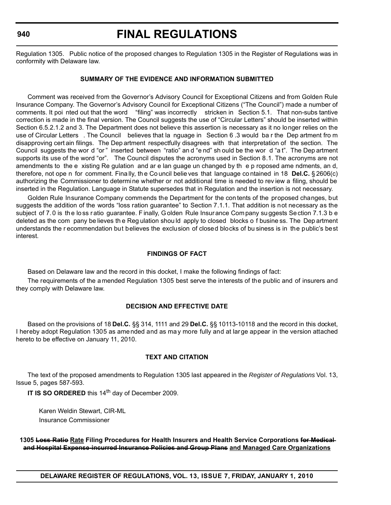#### **940**

# **FINAL REGULATIONS**

Regulation 1305. Public notice of the proposed changes to Regulation 1305 in the Register of Regulations was in conformity with Delaware law.

### **SUMMARY OF THE EVIDENCE AND INFORMATION SUBMITTED**

Comment was received from the Governor's Advisory Council for Exceptional Citizens and from Golden Rule Insurance Company. The Governor's Advisory Council for Exceptional Citizens ("The Council") made a number of comments. It poi nted out that the word "filing" was incorrectly stricken in Section 5.1. That non-subs tantive correction is made in the final version. The Council suggests the use of "Circular Letters" should be inserted within Section 6.5.2.1.2 and 3. The Department does not believe this assertion is necessary as it no longer relies on the use of Circular Letters . The Council believes that la nguage in Section 6 .3 would ba r the Dep artment fro m disapproving cert ain filings. The Dep artment respectfully disagrees with that interpretation of the section. The Council suggests the wor d "or " inserted between "ratio" an d "e nd" sh ould be the wor d "a t". The Dep artment supports its use of the word "or". The Council disputes the acronyms used in Section 8.1. The acronyms are not amendments to the e xisting Re gulation and ar e lan guage un changed by th e p roposed ame ndments, an d, therefore, not ope n for comment. Fina lly, th e Co uncil belie ves that language co ntained in 18 **Del.C.** § 2606(c) authorizing the Commissioner to determine whether or not additional time is needed to rev iew a filing, should be inserted in the Regulation. Language in Statute supersedes that in Regulation and the insertion is not necessary.

Golden Rule Insurance Company commends the Department for the con tents of the proposed changes, but suggests the addition of the words "loss ration guarantee" to Section 7.1.1. That addition is not necessary as the subject of 7.0 is the loss ratio guarantee. Finally, Golden Rule Insurance Company suggests Section 7.1.3 b e deleted as the com pany be lieves th e Reg ulation shou ld apply to closed blocks o f busine ss. The Dep artment understands the r ecommendation but believes the exclusion of closed blocks of bu siness is in the public's best interest.

### **FINDINGS OF FACT**

Based on Delaware law and the record in this docket, I make the following findings of fact:

The requirements of the a mended Regulation 1305 best serve the interests of the public and of insurers and they comply with Delaware law.

## **DECISION AND EFFECTIVE DATE**

Based on the provisions of 18 **Del.C.** §§ 314, 1111 and 29 **Del.C.** §§ 10113-10118 and the record in this docket, I hereby adopt Regulation 1305 as amended and as may more fully and at large appear in the version attached hereto to be effective on January 11, 2010.

## **TEXT AND CITATION**

The text of the proposed amendments to Regulation 1305 last appeared in the *Register of Regulations* Vol. 13, Issue 5, pages 587-593.

**IT IS SO ORDERED** this 14<sup>th</sup> day of December 2009.

Karen Weldin Stewart, CIR-ML Insurance Commissioner

**1305 Loss Ratio Rate Filing Procedures for Health Insurers and Health Service Corporations for Medical and Hospital Expense-incurred Insurance Policies and Group Plans and Managed Care Organizations**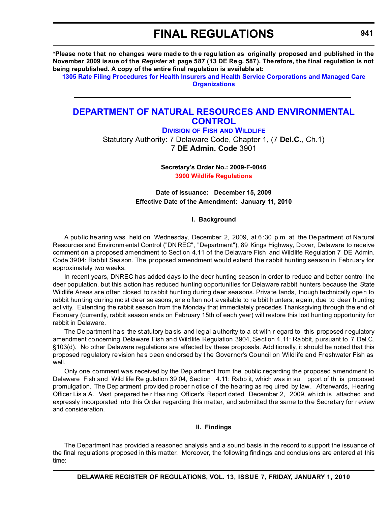**\*Please note that no changes were made to th e regulation as originally proposed and published in the November 2009 issue of the** *Register* **at page 587 (13 DE Re g. 587). Therefore, the final regulation is not being republished. A copy of the entire final regulation is available at:**

**[1305 Rate Filing Procedures for Health Insurers and Health Service Corporations and Managed Care](http://regulations.delaware.gov/register/january2010/final/13 DE Reg 939 01-01-10.htm)  Organizations**

# **[DEPARTMENT OF NATURAL RESOURCES AND ENVIRONMENTAL](http://www.fw.delaware.gov/Pages/FWPortal.aspx)  CONTROL**

**DIVISION OF FISH AND WILDLIFE**

Statutory Authority: 7 Delaware Code, Chapter 1, (7 **Del.C.**, Ch.1) 7 **DE Admin. Code** 3901

> **Secretary's Order No.: 2009-F-0046 [3900 Wildlife Regulations](#page-4-0)**

**Date of Issuance: December 15, 2009 Effective Date of the Amendment: January 11, 2010**

#### **I. Background**

A pub lic he aring was held on Wednesday, December 2, 2009, at 6 :30 p.m. at the De partment of Na tural Resources and Environm ental Control ("DN REC", "Department"), 89 Kings Highway, Dover, Delaware to receive comment on a proposed amendment to Section 4.11 of the Delaware Fish and Wildlife Regulation 7 DE Admin. Code 3904: Rabbit Season. The proposed amendment would extend the rabbit hunting season in February for approximately two weeks.

In recent years, DNREC has added days to the deer hunting season in order to reduce and better control the deer population, but this action has reduced hunting opportunities for Delaware rabbit hunters because the State Wildlife Areas are often closed to rabbit hunting during deer seasons. Private lands, though technically open to rabbit hun ting du ring mo st de er se asons, are often not a vailable to ra bbit h unters, a gain, due to deer h unting activity. Extending the rabbit season from the Monday that immediately precedes Thanksgiving through the end of February (currently, rabbit season ends on February 15th of each year) will restore this lost hunting opportunity for rabbit in Delaware.

The De partment ha s the st atutory ba sis and leg al a uthority to a ct with r egard to this proposed r egulatory amendment concerning Delaware Fish and Wildlife Regulation 3904, Section 4.11: Rabbit, pursuant to 7 Del.C. §103(d). No other Delaware regulations are affected by these proposals. Additionally, it should be noted that this proposed regulatory revision has been endorsed by t he Governor's Council on Wildlife and Freshwater Fish as well.

Only one comment was received by the Dep artment from the public regarding the proposed amendment to Delaware Fish and Wild life Re gulation 39 04, Section 4.11: Rabb it, which was in su pport of th is proposed promulgation. The Department provided p roper n otice of the he aring as req uired by law. Afterwards, Hearing Officer Lis a A. Vest prepared he r Hea ring Officer's Report dated December 2, 2009, wh ich is attached and expressly incorporated into this Order regarding this matter, and submitted the same to the Secretary for review and consideration.

### **II. Findings**

The Department has provided a reasoned analysis and a sound basis in the record to support the issuance of the final regulations proposed in this matter. Moreover, the following findings and conclusions are entered at this time: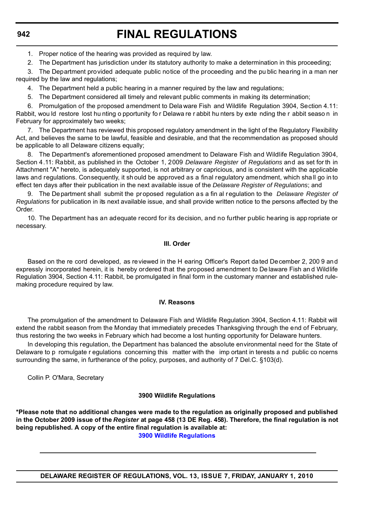#### **942**

# **FINAL REGULATIONS**

1. Proper notice of the hearing was provided as required by law.

2. The Department has jurisdiction under its statutory authority to make a determination in this proceeding;

3. The Department provided adequate public notice of the proceeding and the pu blic hearing in a man ner required by the law and regulations;

4. The Department held a public hearing in a manner required by the law and regulations;

5. The Department considered all timely and relevant public comments in making its determination;

6. Promulgation of the proposed amendment to Dela ware Fish and Wildlife Regulation 3904, Section 4.11: Rabbit, wou ld restore lost hu nting o pportunity fo r Delawa re r abbit hu nters by exte nding the r abbit seaso n in February for approximately two weeks;

7. The Department has reviewed this proposed regulatory amendment in the light of the Regulatory Flexibility Act, and believes the same to be lawful, feasible and desirable, and that the recommendation as proposed should be applicable to all Delaware citizens equally;

8. The Department's aforementioned proposed amendment to Delaware Fish and Wildlife Regulation 3904, Section 4.11: Rabbit, as published in the October 1, 2009 *Delaware Register of Regulations* and as set for th in Attachment "A" hereto, is adequately supported, is not arbitrary or capricious, and is consistent with the applicable laws and regulations. Consequently, it sh ould be approved as a final regulatory amendment, which sha ll go in to effect ten days after their publication in the next available issue of the *Delaware Register of Regulations*; and

9. The Department shall submit the proposed regulation as a fin al regulation to the *Delaware Register of Regulations* for publication in its next available issue, and shall provide written notice to the persons affected by the Order.

10. The Department has an adequate record for its decision, and no further public hearing is app ropriate or necessary.

### **III. Order**

Based on the re cord developed, as reviewed in the H earing Officer's Report dated December 2, 200 9 and expressly incorporated herein, it is hereby ordered that the proposed amendment to De laware Fish an d Wildlife Regulation 3904, Section 4.11: Rabbit, be promulgated in final form in the customary manner and established rulemaking procedure required by law.

### **IV. Reasons**

The promulgation of the amendment to Delaware Fish and Wildlife Regulation 3904, Section 4.11: Rabbit will extend the rabbit season from the Monday that immediately precedes Thanksgiving through the end of February, thus restoring the two weeks in February which had become a lost hunting opportunity for Delaware hunters.

In developing this regulation, the Department has balanced the absolute environmental need for the State of Delaware to p romulgate r egulations concerning this matter with the imp ortant in terests a nd public co ncerns surrounding the same, in furtherance of the policy, purposes, and authority of 7 Del.C. §103(d).

Collin P. O'Mara, Secretary

#### **3900 Wildlife Regulations**

**\*Please note that no additional changes were made to the regulation as originally proposed and published in the October 2009 issue of the** *Register* **at page 458 (13 DE Reg. 458). Therefore, the final regulation is not being republished. A copy of the entire final regulation is available at:**

**[3900 Wildlife Regulations](http://regulations.delaware.gov/register/january2010/final/13 DE Reg 941 01-01-10.htm)**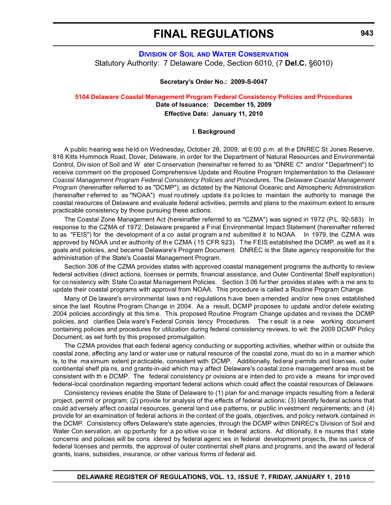**DIVISION OF SOIL [AND WATER CONSERVATION](http://www.swc.dnrec.delaware.gov/Pages/default.aspx)** Statutory Authority: 7 Delaware Code, Section 6010, (7 **Del.C.** §6010)

#### **Secretary's Order No.: 2009-S-0047**

#### **[5104 Delaware Coastal Management Program Federal Consistency Policies and Procedures](#page-4-0) Date of Issuance: December 15, 2009 Effective Date: January 11, 2010**

#### **I. Background**

A public hearing was held on Wednesday, October 28, 2009, at 6:00 p.m. at th e DNREC St Jones Reserve, 818 Kitts Hummock Road, Dover, Delaware, in order for the Department of Natural Resources and Environmental Control, Div ision of Soil and W ater C onservation (hereinaf ter re ferred to as "DNRE C" and/or " Department") to receive comment on the proposed Comprehensive Update and Routine Program Implementation to the *Delaware Coastal Management Program Federal Consistency Policies and Procedure*s. The *Delaware Coastal Management Program* (hereinafter referred to as "DCMP"), as dictated by the National Oceanic and Atmospheric Administration (hereinafter r eferred to as "NOAA") must ro utinely update it s po licies to maintain the authority to manage the coastal resources of Delaware and evaluate federal activities, permits and plans to the maximum extent to ensure practicable consistency by those pursuing these actions.

The Coastal Zone Management Act (hereinafter referred to as "CZMA") was signed in 1972 (P.L. 92-583). In response to the CZMA of 1972, Delaware prepared a Final Environmental Impact Statement (hereinafter referred to as "FEIS") for the development of a co astal pr ogram a nd submitted it to NOAA. In 1979, the CZM A was approved by NOAA und er authority of the CZMA (15 CFR 923). The FEIS established the DCMP, as well as it s goals and policies, and became Delaware's Program Document. DNREC is the State agency responsible for the administration of the State's Coastal Management Program.

Section 306 of the CZMA provides states with approved coastal management programs the authority to review federal activities (direct actions, licenses or permits, financial assistance, and Outer Continental Shelf exploration) for consistency with State Coastal Management Policies. Section 3 06 further provides states with a me ans to update their coastal programs with approval from NOAA. This procedure is called a Routine Program Change.

Many of De laware's environmental laws and regulations have been amended and/or new ones established since the last Routine Program Change in 2004. As a result, DCMP proposes to update and/or delete existing 2004 policies accordingly at this tim e. This proposed Routine Program Change updates and revises the DCMP policies, and clarifies Dela ware's Federal Consis tency Procedures. The r esult is a new working document containing policies and procedures for utilization during federal consistency reviews, to wit: the 2009 DCMP Policy Document, as set forth by this proposed promulgation.

The CZMA provides that each federal agency conducting or supporting activities, whether within or outside the coastal zone, affecting any land or water use or natural resource of the coastal zone, must do so in a manner which is, to the maximum extent practicable, consistent with DCMP. Additionally, federal permits and licenses, outer continental shelf pla ns, and grants-in-aid which ma y affect Delaware's coastal zone management area must be consistent with the DCMP. The federal consistency pr ovisions are inten ded to pro vide a means for improved federal-local coordination regarding important federal actions which could affect the coastal resources of Delaware.

Consistency reviews enable the State of Delaware to (1) plan for and manage impacts resulting from a federal project, permit or program; (2) provide for analysis of the effects of federal actions; (3) Identify federal actions that could adversely affect coastal resources, general land use patterns, or public investment requirements; and (4) provide for an examination of federal actions in the context of the goals, objectives, and policy network contained in the DCMP. Consistency offers Delaware's state agencies, through the DCMP within DNREC's Division of Soil and Water Con servation, an op portunity for a po sitive vo ice in federal actions. Ad ditionally, it e nsures that state concerns and policies will be cons idered by federal agenc ies in federal development projec ts, the iss uance of federal licenses and permits, the approval of outer continental shelf plans and programs, and the award of federal grants, loans, subsidies, insurance, or other various forms of federal aid.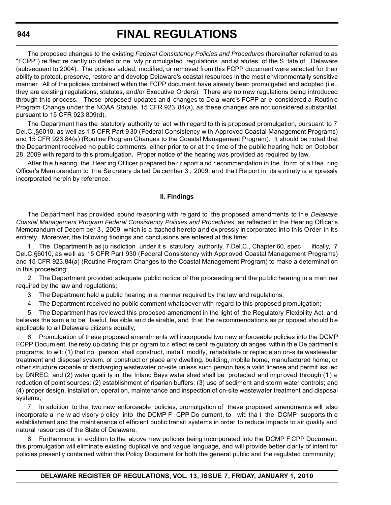#### **944**

# **FINAL REGULATIONS**

The proposed changes to the existing *Federal Consistency Policies and Procedures* (hereinafter referred to as "FCPP") re flect re cently up dated or ne wly pr omulgated regulations and st atutes of the S tate of Delaware (subsequent to 2004). The policies added, modified, or removed from this FCPP document were selected for their ability to protect, preserve, restore and develop Delaware's coastal resources in the most environmentally sensitive manner. All of the policies contained within the FCPP document have already been promulgated and adopted (i.e., they are existing regulations, statutes, and/or Executive Orders). There are no new regulations being introduced through th is pr ocess. These proposed updates an d changes to Dela ware's FCPP ar e considered a Routin e Program Change under the NOAA Statute, 15 CFR 923 .84(a), as these changes are not considered substantial, pursuant to 15 CFR 923.809(d).

The Department has the statutory authority to act with regard to th is proposed promulgation, pursuant to 7 Del.C.,§6010, as well as 1 5 CFR Part 9 30 (Federal Consistency with Approved Coastal Management Programs) and 15 CFR 923.84(a) (Routine Program Changes to the Coastal Management Program). It should be noted that the Department received no public comments, either prior to or at the time of the public hearing held on October 28, 2009 with regard to this promulgation. Proper notice of the hearing was provided as required by law.

After th e h earing, the Hear ing Of ficer p repared he r r eport a nd r ecommendation in the fo rm of a Hea ring Officer's Mem orandum to th e Se cretary da ted De cember 3 , 2009, an d tha t Re port in its e ntirety is e xpressly incorporated herein by reference.

#### **II. Findings**

The Department has provided sound reasoning with re gard to the proposed amendments to the *Delaware Coastal Management Program Federal Consistency Policies and Procedures*, as reflected in the Hearing Officer's Memorandum of Decem ber 3, 2009, which is a ttached hereto and expressly in corporated into this Order in its entirety. Moreover, the following findings and conclusions are entered at this time:

1. The Department h as ju risdiction under it s statutory authority, 7 Del.C., Chapter 60, spec ifically, 7 Del.C.§6010, as we ll as 15 CFR Part 930 (Federal Consistency with Appr oved Coastal Management Programs) and 15 CFR 923.84(a) (Routine Program Changes to the Coastal Management Program) to make a determination in this proceeding;

2. The Department provided adequate public notice of the proceeding and the pu blic hearing in a man ner required by the law and regulations;

3. The Department held a public hearing in a manner required by the law and regulations;

4. The Department received no public comment whatsoever with regard to this proposed promulgation;

5. The Department has reviewed this proposed amendment in the light of the Regulatory Flexibility Act, and believes the sam e to be lawful, feasible and desirable, and that the recommendations as pr oposed should be applicable to all Delaware citizens equally;

6. Promulgation of these proposed amendments will incorporate two new enforceable policies into the DCMP FCPP Docum ent, the reby up dating this pr ogram to r eflect re cent re gulatory ch anges within th e De partment's programs, to wit: (1) that no person shall construct, install, modify, rehabilitate or replac e an on-s ite wastewater treatment and disposal system, or construct or place any dwelling, building, mobile home, manufactured home, or other structure capable of discharging wastewater on-site unless such person has a valid license and permit issued by DNREC; and (2) water quali ty in the Inland Bays water shed shall be protected and improved through (1) a reduction of point sources; (2) establishment of riparian buffers; (3) use of sediment and storm water controls; and (4) proper design, installation, operation, maintenance and inspection of on-site wastewater treatment and disposal systems;

7. In addition to the two new enforceable policies, promulgation of these proposed amendments will also incorporate a ne w ad visory p olicy into the DCMP F CPP Do cument, to wit: tha t the DCMP supports th e establishment and the maintenance of efficient public transit systems in order to reduce impacts to air quality and natural resources of the State of Delaware;

8. Furthermore, in a ddition to the above new policies being incorporated into the DCMP F CPP Document, this promulgation will eliminate existing duplicative and vague language, and will provide better clarity of intent for policies presently contained within this Policy Document for both the general public and the regulated community;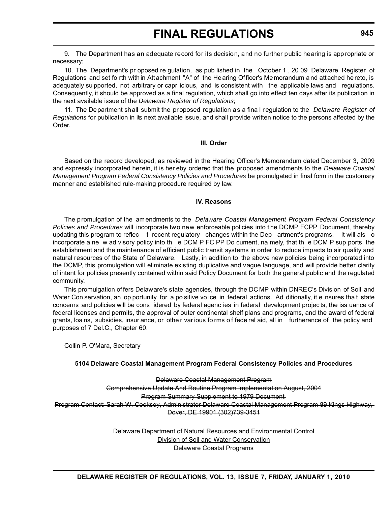9. The Department has an adequate record for its decision, and no further public hearing is app ropriate or necessary;

10. The Department's pr oposed re gulation, as pub lished in the October 1 , 20 09 Delaware Register of Regulations and set fo rth with in Attachment "A" of the Hearing Officer's Memorandum and attached hereto, is adequately su pported, not arbitrary or capr icious, and is consistent with the applicable laws and regulations. Consequently, it should be approved as a final regulation, which shall go into effect ten days after its publication in the next available issue of the *Delaware Register of Regulations*;

11. The Department shall submit the proposed regulation as a fina l regulation to the *Delaware Register of Regulations* for publication in its next available issue, and shall provide written notice to the persons affected by the Order.

#### **III. Order**

Based on the record developed, as reviewed in the Hearing Officer's Memorandum dated December 3, 2009 and expressly incorporated herein, it is her eby ordered that the proposed amendments to the *Delaware Coastal Management Program Federal Consistency Policies and Procedures* be promulgated in final form in the customary manner and established rule-making procedure required by law.

#### **IV. Reasons**

The promulgation of the amendments to the *Delaware Coastal Management Program Federal Consistency Policies and Procedures* will incorporate two new enforceable policies into t he DCMP FCPP Document, thereby updating this program to reflec t recent regulatory changes within the Dep artment's programs. It will als o incorporate a ne w ad visory policy into th e DCM P FC PP Do cument, na mely, that th e DCM P sup ports the establishment and the maintenance of efficient public transit systems in order to reduce impacts to air quality and natural resources of the State of Delaware. Lastly, in addition to the above new policies being incorporated into the DCMP, this promulgation will eliminate existing duplicative and vague language, and will provide better clarity of intent for policies presently contained within said Policy Document for both the general public and the regulated community.

This promulgation of fers Delaware's state agencies, through the DC MP within DNREC's Division of Soil and Water Con servation, an op portunity for a po sitive vo ice in federal actions. Ad ditionally, it e nsures that state concerns and policies will be cons idered by federal agenc ies in federal development projec ts, the iss uance of federal licenses and permits, the approval of outer continental shelf plans and programs, and the award of federal grants, loa ns, subsidies, insur ance, or othe r var ious forms of fede ral aid, all in furtherance of the policy and purposes of 7 Del.C., Chapter 60.

Collin P. O'Mara, Secretary

#### **5104 Delaware Coastal Management Program Federal Consistency Policies and Procedures**

Delaware Coastal Management Program Comprehensive Update And Routine Program Implementation August, 2004 Program Summary Supplement to 1979 Document Program Contact: Sarah W. Cooksey, Administrator Delaware Coastal Management Program 89 Kings Highway, Dover, DE 19901 (302)739-3451

> Delaware Department of Natural Resources and Environmental Control Division of Soil and Water Conservation Delaware Coastal Programs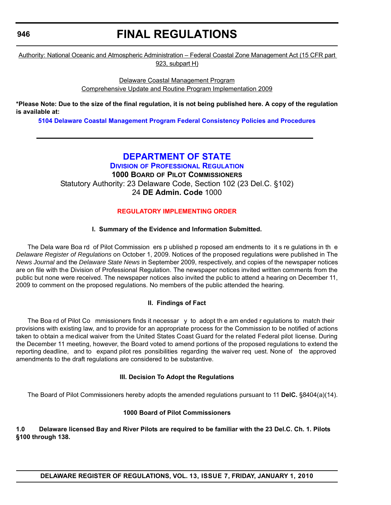Authority: National Oceanic and Atmospheric Administration – Federal Coastal Zone Management Act (15 CFR part 923, subpart H)

> Delaware Coastal Management Program Comprehensive Update and Routine Program Implementation 2009

**\*Please Note: Due to the size of the final regulation, it is not being published here. A copy of the regulation is available at:**

**[5104 Delaware Coastal Management Program Federal Consistency Policies and Procedures](http://regulations.delaware.gov/register/january2010/final/13 DE Reg 943 01-01-10.htm)**

### **[DEPARTMENT OF STATE](http://dpr.delaware.gov/default.shtml)**

**DIVISION OF PROFESSIONAL REGULATION 1000 BOARD OF PILOT COMMISSIONERS** Statutory Authority: 23 Delaware Code, Section 102 (23 Del.C. §102) 24 **DE Admin. Code** 1000

### **[REGULATORY IMPLEMENTING ORDER](#page-4-0)**

#### **I. Summary of the Evidence and Information Submitted.**

The Dela ware Boa rd of Pilot Commission ers p ublished p roposed am endments to it s re gulations in th e *Delaware Register of Regulations* on October 1, 2009. Notices of the proposed regulations were published in The *News Journal* and the *Delaware State News* in September 2009, respectively, and copies of the newspaper notices are on file with the Division of Professional Regulation. The newspaper notices invited written comments from the public but none were received. The newspaper notices also invited the public to attend a hearing on December 11, 2009 to comment on the proposed regulations. No members of the public attended the hearing.

#### **II. Findings of Fact**

The Boa rd of Pilot Co mmissioners finds it necessar  $\gamma$  to adopt the am ended r equiations to match their provisions with existing law, and to provide for an appropriate process for the Commission to be notified of actions taken to obtain a medical waiver from the United States Coast Guard for the related Federal pilot license. During the December 11 meeting, however, the Board voted to amend portions of the proposed regulations to extend the reporting deadline, and to expand pilot res ponsibilities regarding the waiver req uest. None of the approved amendments to the draft regulations are considered to be substantive.

#### **III. Decision To Adopt the Regulations**

The Board of Pilot Commissioners hereby adopts the amended regulations pursuant to 11 **DelC.** §8404(a)(14).

#### **1000 Board of Pilot Commissioners**

**1.0 Delaware licensed Bay and River Pilots are required to be familiar with the 23 Del.C. Ch. 1. Pilots §100 through 138.**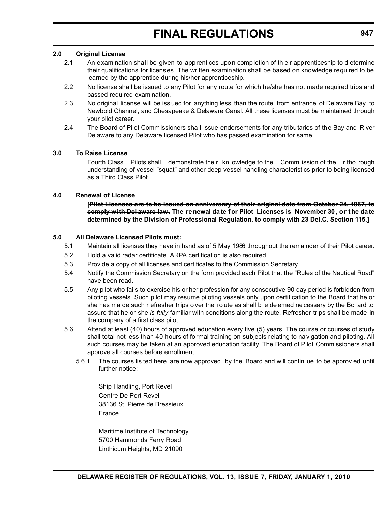#### **2.0 Original License**

- 2.1 An examination shall be given to apprentices upon completion of th eir apprenticeship to d etermine their qualifications for licenses. The written examination shall be based on knowledge required to be learned by the apprentice during his/her apprenticeship.
- 2.2 No license shall be issued to any Pilot for any route for which he/she has not made required trips and passed required examination.
- 2.3 No original license will be iss ued for anything less than the route from entrance of Delaware Bay to Newbold Channel, and Chesapeake & Delaware Canal. All these licenses must be maintained through your pilot career.
- 2.4 The Board of Pilot Commissioners shall issue endorsements for any tributaries of the Bay and River Delaware to any Delaware licensed Pilot who has passed examination for same.

#### **3.0 To Raise License**

Fourth Class Pilots shall demonstrate their kn owledge to the Comm ission of the ir tho rough understanding of vessel "squat" and other deep vessel handling characteristics prior to being licensed as a Third Class Pilot.

#### **4.0 Renewal of License**

**[Pilot Licenses are to be issued on anniversary of their original date from October 24, 1967, to comply with Delaware law.** The renewal date for Pilot Licenses is November 30, or the date **determined by the Division of Professional Regulation, to comply with 23 Del.C. Section 115.]**

#### **5.0 All Delaware Licensed Pilots must:**

- 5.1 Maintain all licenses they have in hand as of 5 May 1986 throughout the remainder of their Pilot career.
- 5.2 Hold a valid radar certificate. ARPA certification is also required.
- 5.3 Provide a copy of all licenses and certificates to the Commission Secretary.
- 5.4 Notify the Commission Secretary on the form provided each Pilot that the "Rules of the Nautical Road" have been read.
- 5.5 Any pilot who fails to exercise his or her profession for any consecutive 90-day period is forbidden from piloting vessels. Such pilot may resume piloting vessels only upon certification to the Board that he or she has ma de such r efresher tr ips o ver the ro ute as shall b e de emed ne cessary by the Bo ard to assure that he or she *is fully* familiar with conditions along the route. Refresher trips shall be made in the company of a first class pilot.
- 5.6 Attend at least (40) hours of approved education every five (5) years. The course or courses of study shall total not less than 40 hours of formal training on subjects relating to navigation and piloting. All such courses may be taken at an approved education facility. The Board of Pilot Commissioners shall approve all courses before enrollment.
	- 5.6.1 The courses lis ted here are now approved by the Board and will contin ue to be approv ed until further notice:

Ship Handling, Port Revel Centre De Port Revel 38136 St. Pierre de Bressieux France

Maritime Institute of Technology 5700 Hammonds Ferry Road Linthicum Heights, MD 21090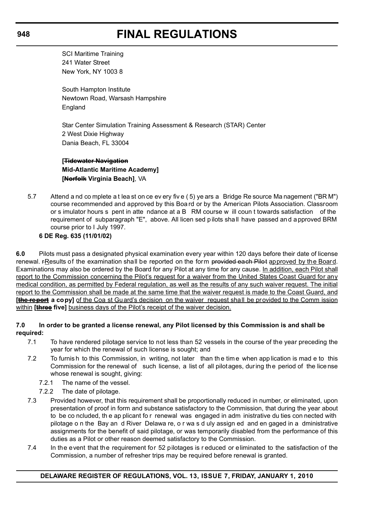SCI Maritime Training 241 Water Street New York, NY 1003 8

South Hampton Institute Newtown Road, Warsash Hampshire England

Star Center Simulation Training Assessment & Research (STAR) Center 2 West Dixie Highway Dania Beach, FL 33004

### **[Tidewater Navigation Mid-Atlantic Maritime Academy] [Norfolk Virginia Beach]**, VA

5.7 Attend a nd co mplete a t lea st on ce ev ery fiv e ( 5) ye ars a Bridge Re source Ma nagement ("BR M") course recommended and approved by this Boa rd or by the American Pilots Association. Classroom or s imulator hours s pent in atte ndance at a B RM course w ill coun t towards satisfaction of the requirement of subparagraph "E", above. All licen sed p ilots shall have passed and approved BRM course prior to I July 1997.

### **6 DE Reg. 635 (11/01/02)**

**6.0** Pilots must pass a designated physical examination every year within 120 days before their date of license renewal. FResults of the examination shall be reported on the form provided each Pilot approved by the Board. Examinations may also be ordered by the Board for any Pilot at any time for any cause. In addition, each Pilot shall report to the Commission concerning the Pilot's request for a waiver from the United States Coast Guard for any medical condition, as permitted by Federal regulation, as well as the results of any such waiver request. The initial report to the Commission shall be made at the same time that the waiver request is made to the Coast Guard, and **[the report a copy]** of the Coa st Guard's decision on the waiver request shall be provided to the Comm ission within **[three five]** business days of the Pilot's receipt of the waiver decision.

#### **7.0 In order to be granted a license renewal, any Pilot licensed by this Commission is and shall be required:**

- 7.1 To have rendered pilotage service to not less than 52 vessels in the course of the year preceding the year for which the renewal of such license is sought; and
- 7.2 To furnis h to this Commission, in writing, not later than th e tim e when app lication is mad e to this Commission for the renewal of such license, a list of all pilotages, during th e period of the lice nse whose renewal is sought, giving:
	- 7.2.1 The name of the vessel.
	- 7.2.2 The date of pilotage.
- 7.3 Provided however, that this requirement shall be proportionally reduced in number, or eliminated, upon presentation of proof in form and substance satisfactory to the Commission, that during the year about to be co ncluded, th e ap plicant fo r renewal was engaged in adm inistrative du ties con nected with pilotage o n the Bay an d River Delawa re, o r wa s d uly assign ed and en gaged in a dministrative assignments for the benefit of said pilotage, or was temporarily disabled from the performance of this duties as a Pilot or other reason deemed satisfactory to the Commission.
- 7.4 In the event that the requirement for 52 pilotages is r educed or eliminated to the satisfaction of the Commission, a number of refresher trips may be required before renewal is granted.

### **DELAWARE REGISTER OF REGULATIONS, VOL. 13, ISSUE 7, FRIDAY, JANUARY 1, 2010**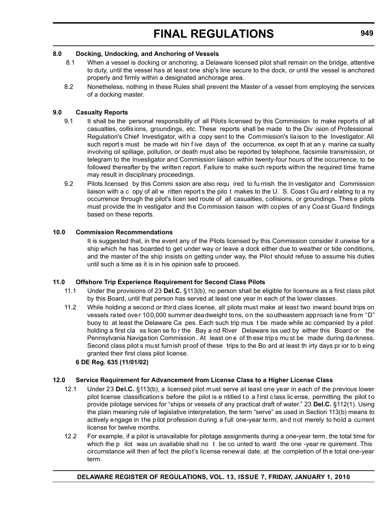#### **8.0 Docking, Undocking, and Anchoring of Vessels**

- 8.1 When a vessel is docking or anchoring, a Delaware licensed pilot shall remain on the bridge, attentive to duty, until the vessel has at least one ship's line secure to the dock, or until the vessel is anchored properly and firmly within a designated anchorage area.
- 8.2 Nonetheless, nothing in these Rules shall prevent the Master of a vessel from employing the services of a docking master.

#### **9.0 Casualty Reports**

- 9.1 It shall be the personal responsibility of all Pilots licensed by this Commission to make reports of all casualties, collis ions, groundings, etc. These reports shall be made to the Div ision of Professional Regulation's Chief Investigator, with a copy sent to the Commission's liaison to the Investigator. All such report s must be made wit hin five days of the occurrence, ex cept th at an y marine ca sualty involving oil spillage, pollution, or death must also be reported by telephone, facsimile transmission, or telegram to the Investigator and Commission liaison within twenty-four hours of the occurrence, to be followed thereafter by the written report. Failure to make such reports within the required time frame may result in disciplinary proceedings.
- 9.2 Pilots licensed by this Commi ssion are also requ ired to fu rnish the In vestigator and Commission liaison with a c opy of all w ritten report s the pilo t makes to the U. S. Coas t Gu ard r elating to a ny occurrence through the pilot's licen sed route of all casualties, collisions, or groundings. Thes e pilots must provide the In vestigator and the Commission liaison with copies of any Coast Guard findings based on these reports.

#### **10.0 Commission Recommendations**

It is suggested that, in the event any of the Pilots licensed by this Commission consider it unwise for a ship which he has boarded to get under way or leave a dock either due to weather or tide conditions, and the master of the ship insists on getting under way, the Pilot should refuse to assume his duties until such a time as it is in his opinion safe to proceed.

#### **11.0 Offshore Trip Experience Requirement for Second Class Pilots**

- 11.1 Under the provisions of 23 **Del.C.** §113(b), no person shall be eligible for licensure as a first class pilot by this Board, until that person has served at least one year in each of the lower classes.
- 11.2 While holding a second or third class license, all pilots must make at least two inward bound trips on vessels rated over 100,000 summer deadweight tons, on the southeastern approach lane from "D" buoy to at least the Delaware Ca pes. Each such trip mus t be made while ac companied by a pilot holding a first cla ss licen se for the Bay a nd River Delaware iss ued by either this Board or the Pennsylvania Naviga tion Commission . At least on e of th ese trip s mu st be made during da rkness. Second class pilot s must furnish proof of these trips to the Bo ard at least th irty days pr ior to b eing granted their first class pilot license.

#### **6 DE Reg. 635 (11/01/02)**

#### **12.0 Service Requirement for Advancement from License Class to a Higher License Class**

- 12.1 Under 23 **Del.C.** §113(b), a licensed pilot must serve at least one year in each of the previous lower pilot license classification s before the pilot is e ntitled to a first class license, permitting the pilot to provide pilotage services for "ships or vessels of any practical draft of water." 23 **Del.C.** §112(1). Using the plain meaning rule of legislative interpretation, the term "serve" as used in Section 113(b) means to actively engage in the pilot profession during a full one-year term, and not merely to hold a current license for twelve months.
- 12.2 For example, if a pilot is unavailable for pilotage assignments during a one-year term, the total time for which the p ilot was un available shall no t be co unted to ward the one -year re quirement. This circumstance will then af fect the pilot's license renewal date, at the completion of th e total one-year term.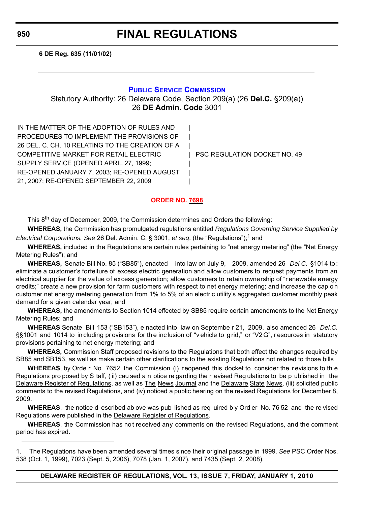**950**

# **FINAL REGULATIONS**

**6 DE Reg. 635 (11/01/02)**

#### **[PUBLIC SERVICE COMMISSION](http://depsc.delaware.gov/default.shtml)**

Statutory Authority: 26 Delaware Code, Section 209(a) (26 **Del.C.** §209(a)) 26 **DE Admin. Code** 3001

IN THE MATTER OF THE ADOPTION OF RULES AND PROCEDURES TO IMPLEMENT THE PROVISIONS OF 26 DEL. C. CH. 10 RELATING TO THE CREATION OF A | COMPETITIVE MARKET FOR RETAIL ELECTRIC | PSC REGULATION DOCKET NO. 49 SUPPLY SERVICE (OPENED APRIL 27, 1999; RE-OPENED JANUARY 7, 2003; RE-OPENED AUGUST 21, 2007; RE-OPENED SEPTEMBER 22, 2009 |

#### **[ORDER NO. 7698](#page-4-0)**

This  $8<sup>th</sup>$  day of December, 2009, the Commission determines and Orders the following:

**WHEREAS,** the Commission has promulgated regulations entitled *Regulations Governing Service Supplied by Electrical Corporations. See* 26 Del. Admin. C. § 3001, *et seq.* (the "Regulations");<sup>1</sup> and

**WHEREAS,** included in the Regulations are certain rules pertaining to "net energy metering" (the "Net Energy Metering Rules"); and

**WHEREAS,** Senate Bill No. 85 ("SB85"), enacted into law on July 9, 2009, amended 26 *Del.C.* §1014 to : eliminate a customer's forfeiture of excess electric generation and allow customers to request payments from an electrical supplier for the va lue of excess generation; allow customers to retain ownership of "r enewable energy credits;" create a new provision for farm customers with respect to net energy metering; and increase the cap on customer net energy metering generation from 1% to 5% of an electric utility's aggregated customer monthly peak demand for a given calendar year; and

**WHEREAS,** the amendments to Section 1014 effected by SB85 require certain amendments to the Net Energy Metering Rules; and

**WHEREAS** Senate Bill 153 ("SB153"), e nacted into law on Septembe r 21, 2009, also amended 26 *Del.C.* §§1001 and 1014 to in cluding pr ovisions for the inclusion of "vehicle to grid," or "V2G", resources in statutory provisions pertaining to net energy metering; and

**WHEREAS,** Commission Staff proposed revisions to the Regulations that both effect the changes required by SB85 and SB153, as well as make certain other clarifications to the existing Regulations not related to those bills

WHEREAS, by Orde r No. 7652, the Commission (i) reopened this docket to consider the revisions to the Regulations pro posed by S taff, ( ii) cau sed a n otice re garding the r evised Reg ulations to be p ublished in the Delaware Register of Regulations, as well as The News Journal and the Delaware State News, (iii) solicited public comments to the revised Regulations, and (iv) noticed a public hearing on the revised Regulations for December 8, 2009.

**WHEREAS**, the notice d escribed ab ove was pub lished as req uired b y Ord er No. 76 52 and the re vised Regulations were published in the Delaware Register of Regulations.

**WHEREAS**, the Commission has not received any comments on the revised Regulations, and the comment period has expired.

<sup>1.</sup> The Regulations have been amended several times since their original passage in 1999. *See* PSC Order Nos. 538 (Oct. 1, 1999), 7023 (Sept. 5, 2006), 7078 (Jan. 1, 2007), and 7435 (Sept. 2, 2008).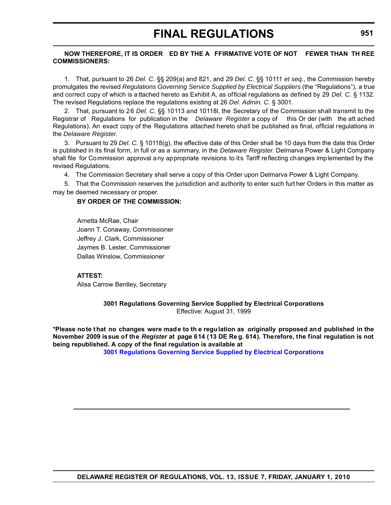#### **NOW THEREFORE, IT IS ORDER ED BY THE A FFIRMATIVE VOTE OF NOT FEWER THAN TH REE COMMISSIONERS:**

1. That, pursuant to 26 *Del. C.* §§ 209(a) and 821, and 29 *Del. C*. §§ 10111 *et seq.*, the Commission hereby promulgates the revised *Regulations Governing Service Supplied by Electrical Suppliers* (the "Regulations"), a true and correct copy of which is a ttached hereto as Exhibit A, as official regulations as defined by 29 *Del. C.* § 1132. The revised Regulations replace the regulations existing at 26 *Del. Admin. C.* § 3001.

2. That, pursuant to 26 *Del. C.* §§ 10113 and 10118l, the Secretary of the Commission shall transmit to the Registrar of Regulations for publication in the *Delaware Register* a copy of this Or der (with the att ached Regulations). An exact copy of the Regulations attached hereto shall be published as final, official regulations in the *Delaware Register*.

3. Pursuant to 29 *Del. C.* § 10118(g), the effective date of this Order shall be 10 days from the date this Order is published in its final form, in full or as a summary, in the *Delaware Register*. Delmarva Power & Light Company shall file for Commission approval any appropriate revisions to its Tariff reflecting changes implemented by the revised Regulations.

4. The Commission Secretary shall serve a copy of this Order upon Delmarva Power & Light Company.

5. That the Commission reserves the jurisdiction and authority to enter such furt her Orders in this matter as may be deemed necessary or proper.

#### **BY ORDER OF THE COMMISSION:**

Arnetta McRae, Chair Joann T. Conaway, Commissioner Jeffrey J. Clark, Commissioner Jaymes B. Lester, Commissioner Dallas Winslow, Commissioner

#### **ATTEST:**

Alisa Carrow Bentley, Secretary

**3001 Regulations Governing Service Supplied by Electrical Corporations** Effective: August 31, 1999

**\*Please note that no changes were made to th e regulation as originally proposed and published in the November 2009 issue of the** *Register* **at page 614 (13 DE Re g. 614). Therefore, the final regulation is not being republished. A copy of the final regulation is available at**

**[3001 Regulations Governing Service Supplied by Electrical Corporations](http://regulations.delaware.gov/register/january2010/final/13 DE Reg 950 01-01-10.htm)**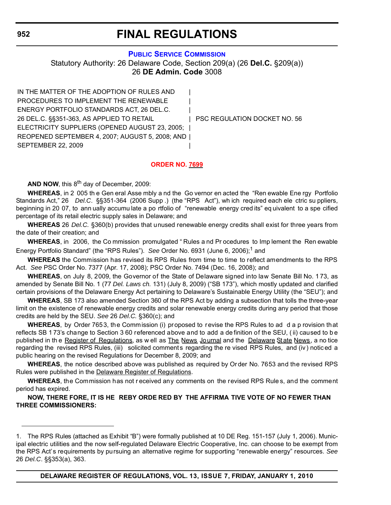#### **[PUBLIC SERVICE COMMISSION](http://depsc.delaware.gov/default.shtml)**

Statutory Authority: 26 Delaware Code, Section 209(a) (26 **Del.C.** §209(a)) 26 **DE Admin. Code** 3008

IN THE MATTER OF THE ADOPTION OF RULES AND PROCEDURES TO IMPLEMENT THE RENEWABLE ENERGY PORTFOLIO STANDARDS ACT, 26 DEL.C. | 26 DEL.C. §§351-363, AS APPLIED TO RETAIL | PSC REGULATION DOCKET NO. 56 ELECTRICITY SUPPLIERS (OPENED AUGUST 23, 2005; REOPENED SEPTEMBER 4, 2007; AUGUST 5, 2008; AND | SEPTEMBER 22, 2009

#### **[ORDER NO. 7699](#page-4-0)**

AND NOW, this 8<sup>th</sup> day of December, 2009:

**WHEREAS**, in 2 005 th e Gen eral Asse mbly a nd the Go vernor en acted the "Ren ewable Ene rgy Portfolio Standards Act," 26 *Del.C*. §§351-364 (2006 Supp .) (the "RPS Act"), wh ich required each ele ctric su ppliers, beginning in 20 07, to ann ually accumu late a po rtfolio of "renewable energy cred its" eq uivalent to a spe cified percentage of its retail electric supply sales in Delaware; and

**WHEREAS** 26 *Del.C.* §360(b) provides that unused renewable energy credits shall exist for three years from the date of their creation; and

**WHEREAS**, in 2006, the Co mmission promulgated " Rules a nd Pr ocedures to Imp lement the Ren ewable Energy Portfolio Standard" (the "RPS Rules"). *See* Order No. 6931 (June 6, 2006);<sup>1</sup> and

**WHEREAS** the Commission has revised its RPS Rules from time to time to reflect amendments to the RPS Act. *See* PSC Order No. 7377 (Apr. 17, 2008); PSC Order No. 7494 (Dec. 16, 2008); and

**WHEREAS**, on July 8, 2009, the Governor of the State of Delaware signed into law Senate Bill No. 1 73, as amended by Senate Bill No. 1 (77 *Del. Laws ch.* 131) (July 8, 2009) ("SB 173"), which mostly updated and clarified certain provisions of the Delaware Energy Act pertaining to Delaware's Sustainable Energy Utility (the "SEU"); and

**WHEREAS**, SB 173 also amended Section 360 of the RPS Act by adding a subsection that tolls the three-year limit on the existence of renewable energy credits and solar renewable energy credits during any period that those credits are held by the SEU. *See* 26 *Del.C.* §360(c); and

**WHEREAS**, by Order 7653, the Commission (i) proposed to revise the RPS Rules to ad d a p rovision that reflects SB 1 73's change to Section 3 60 referenced above and to add a de finition of the SEU, ( ii) caused to b e published in the Register of Regulations, as w ell as The News Journal and the Delaware State News, a no tice regarding the revised RPS Rules, (iii) solicited comments regarding the re vised RPS Rules, and (iv ) notic ed a public hearing on the revised Regulations for December 8, 2009; and

**WHEREAS**, the notice described above was published as required by Order No. 7653 and the revised RPS Rules were published in the Delaware Register of Regulations.

**WHEREAS**, the Commission has not r eceived any comments on the revised RPS Rule s, and the comment period has expired.

**NOW, THERE FORE, IT IS HE REBY ORDE RED BY THE AFFIRMA TIVE VOTE OF NO FEWER THAN THREE COMMISSIONERS:**

<sup>1.</sup> The RPS Rules (attached as Exhibit "B") were formally published at 10 DE Reg. 151-157 (July 1, 2006). Municipal electric utilities and the now self-regulated Delaware Electric Cooperative, Inc. can choose to be exempt from the RPS Act's requirements by pursuing an alternative regime for supporting "renewable energy" resources. *See* 26 *Del.C*. §§353(a), 363.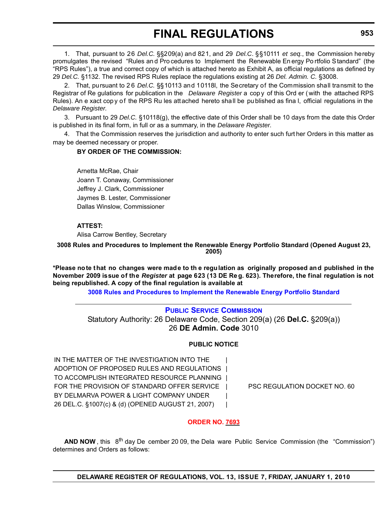1. That, pursuant to 26 *Del.C.* §§209(a) and 821, and 29 *Del.C*. §§10111 *et seq.*, the Commission hereby promulgates the revised "Rules an d Pro cedures to Implement the Renewable En ergy Po rtfolio Standard" (the "RPS Rules"), a true and correct copy of which is attached hereto as Exhibit A, as official regulations as defined by 29 *Del.C.* §1132. The revised RPS Rules replace the regulations existing at 26 *Del. Admin. C.* §3008.

2. That, pursuant to 2 6 *Del.C.* §§10113 and 10118l, the Secretary of the Commission shall transmit to the Registrar of Re gulations for publication in the *Delaware Register* a cop y of this Ord er ( with the attached RPS Rules). An e xact copy of the RPS Ru les attached hereto sha ll be pu blished as fina l, official regulations in the *Delaware Register*.

3. Pursuant to 29 *Del.C.* §10118(g), the effective date of this Order shall be 10 days from the date this Order is published in its final form, in full or as a summary, in the *Delaware Register*.

4. That the Commission reserves the jurisdiction and authority to enter such furt her Orders in this matter as may be deemed necessary or proper.

### **BY ORDER OF THE COMMISSION:**

Arnetta McRae, Chair Joann T. Conaway, Commissioner Jeffrey J. Clark, Commissioner Jaymes B. Lester, Commissioner Dallas Winslow, Commissioner

#### **ATTEST:**

Alisa Carrow Bentley, Secretary

**3008 Rules and Procedures to Implement the Renewable Energy Portfolio Standard (Opened August 23, 2005)**

**\*Please note that no changes were made to th e regulation as originally proposed and published in the November 2009 issue of the** *Register* **at page 623 (13 DE Re g. 623). Therefore, the final regulation is not being republished. A copy of the final regulation is available at**

**[3008 Rules and Procedures to Implement the Renewable Energy Portfolio Standard](http://regulations.delaware.gov/register/january2010/final/13 DE Reg 952 01-01-10.htm)**

### **[PUBLIC SERVICE COMMISSION](http://depsc.delaware.gov/default.shtml)**

Statutory Authority: 26 Delaware Code, Section 209(a) (26 **Del.C.** §209(a)) 26 **DE Admin. Code** 3010

#### **PUBLIC NOTICE**

IN THE MATTER OF THE INVESTIGATION INTO THE ADOPTION OF PROPOSED RULES AND REGULATIONS | TO ACCOMPLISH INTEGRATED RESOURCE PLANNING | FOR THE PROVISION OF STANDARD OFFER SERVICE | PSC REGULATION DOCKET NO. 60 BY DELMARVA POWER & LIGHT COMPANY UNDER 26 DEL.C. §1007(c) & (d) (OPENED AUGUST 21, 2007) |

#### **[ORDER NO. 7693](#page-4-0)**

**AND NOW**, this 8<sup>th</sup> day De cember 20 09, the Dela ware Public Service Commission (the "Commission") determines and Orders as follows: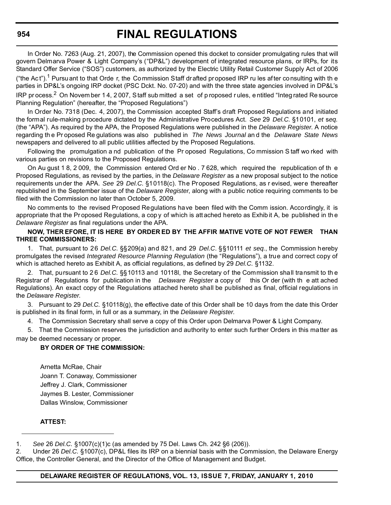In Order No. 7263 (Aug. 21, 2007), the Commission opened this docket to consider promulgating rules that will govern Delmarva Power & Light Company's ("DP&L") development of integrated resource plans, or IRPs, for its Standard Offer Service ("SOS") customers, as authorized by the Electric Utility Retail Customer Supply Act of 2006 ("the Act").<sup>1</sup> Pursuant to that Orde r, the Commission Staff drafted proposed IRP ru les after consulting with the parties in DP&L's ongoing IRP docket (PSC Dckt. No. 07-20) and with the three state agencies involved in DP&L's IRP pr ocess.<sup>2</sup> On Novem ber 14, 2007, Staff sub mitted a set of p roposed rules, e ntitled "Integ rated Re source" Planning Regulation" (hereafter, the "Proposed Regulations")

In Order No. 7318 (Dec. 4, 2007), the Commission accepted Staff's draft Proposed Regulations and initiated the formal rule-making procedure dictated by the Administrative Procedures Act. *See* 29 *Del.C.* §10101, *et* s*eq.* (the "APA"). As required by the APA, the Proposed Regulations were published in the *Delaware Register*. A notice regarding th e Pr oposed Re gulations was also published in *The News Journal* an d the *Delaware State News* newspapers and delivered to all public utilities affected by the Proposed Regulations.

Following the promulgation a nd publication of the Pr oposed Regulations, Co mmission S taff wo rked with various parties on revisions to the Proposed Regulations.

On Au gust 1 8, 2 009, the Commission entered Ord er No . 7 628, which required the republication of th e Proposed Regulations, as revised by the parties, in the *Delaware Register* as a new proposal subject to the notice requirements under the APA. *See* 29 *Del.C.* §10118(c). The Proposed Regulations, as r evised, were thereafter republished in the September issue of the *Delaware Register*, along with a public notice requiring comments to be filed with the Commission no later than October 5, 2009.

No comments to the revised Proposed Regulations have been filed with the Comm ission. Accordingly, it is appropriate that the Proposed Regulations, a copy of which is att ached hereto as Exhibit A, be published in the *Delaware Register* as final regulations under the APA.

#### **NOW, THER EFORE, IT IS HERE BY ORDER ED BY THE AFFIR MATIVE VOTE OF NOT FEWER THAN THREE COMMISSIONERS:**

1. That, pursuant to 26 *Del.C.* §§209(a) and 821, and 29 *Del.C*. §§10111 *et seq.*, the Commission hereby promulgates the revised *Integrated Resource Planning Regulation* (the "Regulations"), a true and correct copy of which is attached hereto as Exhibit A, as official regulations, as defined by 29 *Del.C.* §1132.

2. That, pursuant to 2 6 *Del.C.* §§10113 and 10118l, the Secretary of the Commission shall transmit to th e Registrar of Regulations for publication in the *Delaware Register* a copy of this Or der (with th e att ached Regulations). An exact copy of the Regulations attached hereto shall be published as final, official regulations in the *Delaware Register*.

3. Pursuant to 29 *Del.C.* §10118(g), the effective date of this Order shall be 10 days from the date this Order is published in its final form, in full or as a summary, in the *Delaware Register*.

4. The Commission Secretary shall serve a copy of this Order upon Delmarva Power & Light Company.

5. That the Commission reserves the jurisdiction and authority to enter such further Orders in this matter as may be deemed necessary or proper.

#### **BY ORDER OF THE COMMISSION:**

Arnetta McRae, Chair Joann T. Conaway, Commissioner Jeffrey J. Clark, Commissioner Jaymes B. Lester, Commissioner Dallas Winslow, Commissioner

#### **ATTEST:**

1. *See* 26 *Del.C.* §1007(c)(1)c (as amended by 75 Del. Laws Ch. 242 §6 (206)).

2. Under 26 *Del.C.* §1007(c), DP&L files its IRP on a biennial basis with the Commission, the Delaware Energy Office, the Controller General, and the Director of the Office of Management and Budget.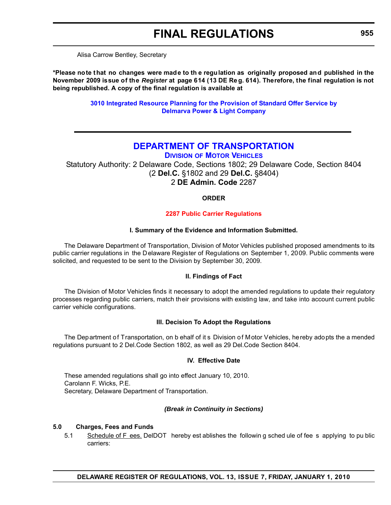Alisa Carrow Bentley, Secretary

**\*Please note that no changes were made to th e regulation as originally proposed and published in the November 2009 issue of the** *Register* **at page 614 (13 DE Re g. 614). Therefore, the final regulation is not being republished. A copy of the final regulation is available at**

> **[3010 Integrated Resource Planning for the Provision of Standard Offer Service by](http://regulations.delaware.gov/register/january2010/final/13 DE Reg 953 01-01-10.htm) Delmarva Power & Light Company**

### **[DEPARTMENT OF TRANSPORTATION](http://www.dmv.de.gov/)**

**DIVISION OF MOTOR VEHICLES**

Statutory Authority: 2 Delaware Code, Sections 1802; 29 Delaware Code, Section 8404 (2 **Del.C.** §1802 and 29 **Del.C.** §8404) 2 **DE Admin. Code** 2287

#### **ORDER**

#### **[2287 Public Carrier Regulations](#page-4-0)**

#### **I. Summary of the Evidence and Information Submitted.**

The Delaware Department of Transportation, Division of Motor Vehicles published proposed amendments to its public carrier regulations in the Delaware Register of Regulations on September 1, 2009. Public comments were solicited, and requested to be sent to the Division by September 30, 2009.

#### **II. Findings of Fact**

The Division of Motor Vehicles finds it necessary to adopt the amended regulations to update their regulatory processes regarding public carriers, match their provisions with existing law, and take into account current public carrier vehicle configurations.

#### **III. Decision To Adopt the Regulations**

The Department of Transportation, on b ehalf of it s Division of Motor Vehicles, hereby adopts the a mended regulations pursuant to 2 Del.Code Section 1802, as well as 29 Del.Code Section 8404.

#### **IV. Effective Date**

These amended regulations shall go into effect January 10, 2010. Carolann F. Wicks, P.E. Secretary, Delaware Department of Transportation.

#### *(Break in Continuity in Sections)*

#### **5.0 Charges, Fees and Funds**

5.1 Schedule of F ees. DelDOT hereby est ablishes the followin g sched ule of fee s applying to pu blic carriers: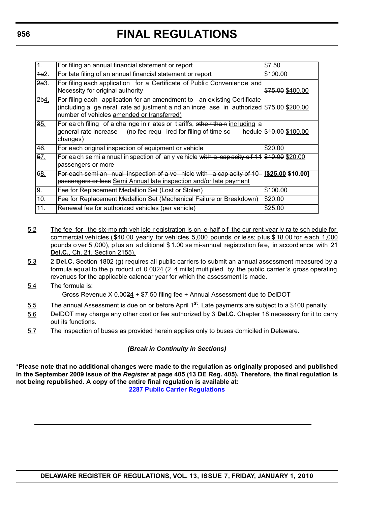| $\overline{1}$ . | For filing an annual financial statement or report                                       | \$7.50                      |
|------------------|------------------------------------------------------------------------------------------|-----------------------------|
| 1a2.             | For late filing of an annual financial statement or report                               | \$100.00                    |
| 2a3.             | For filing each application for a Certificate of Public Convenience and                  |                             |
|                  | Necessity for original authority                                                         | <del>\$75.00</del> \$400.00 |
| 2b4.             | For filing each application for an amendment to an existing Certificate                  |                             |
|                  | (including a general rate ad justment a nd an incre ase in authorized $$75.09$ \$200.00  |                             |
|                  | number of vehicles amended or transferred)                                               |                             |
| 35.              | For each filing of a change in r ates or tariffs, other than including a                 |                             |
|                  | general rate increase (no fee requ ired for filing of time sc hedule \$10.00 \$100.00    |                             |
|                  | changes)                                                                                 |                             |
| 46.              | For each original inspection of equipment or vehicle                                     | \$20.00                     |
| 57.              | For each se mi a nnual in spection of any ve hicle with a capacity of 11 \$10.00 \$20.00 |                             |
|                  | passengers or more                                                                       |                             |
| 68.              | For each semi an nual inspection of a ve hicle with a cap acity of 10                    | [\$26.00\$310.00]           |
|                  | passengers or less Semi Annual late inspection and/or late payment                       |                             |
| 9.               | Fee for Replacement Medallion Set (Lost or Stolen)                                       | \$100.00                    |
| 10.              | Fee for Replacement Medallion Set (Mechanical Failure or Breakdown)                      | \$20.00                     |
| 11.              | Renewal fee for authorized vehicles (per vehicle)                                        | \$25.00                     |

- 5.2 The fee for the six-mo nth veh icle r egistration is on e-half of the cur rent year ly ra te sch edule for commercial veh icles ( \$40.00 yearly for veh icles 5,000 pounds or le ss; p lus \$ 18.00 for e ach 1,000 pounds o ver 5 ,000), p lus an ad ditional \$ 1.00 se mi-annual registration fe e, in accord ance with 21 **Del.C.**, Ch. 21, Section 2155).
- 5.3 2 **Del.C.** Section 1802 (g) requires all public carriers to submit an annual assessment measured by a formula equal to the p roduct of  $0.0024$  (2-4 mills) multiplied by the public carrier 's gross operating revenues for the applicable calendar year for which the assessment is made.
- 5.4 The formula is: Gross Revenue X 0.0024 + \$7.50 filing fee + Annual Assessment due to DelDOT
- $5.5$  The annual Assessment is due on or before April 1<sup>st</sup>. Late payments are subject to a \$100 penalty.
- 5.6 DelDOT may charge any other cost or fee authorized by 3 **Del.C.** Chapter 18 necessary for it to carry out its functions.
- 5.7 The inspection of buses as provided herein applies only to buses domiciled in Delaware.

### *(Break in Continuity in Sections)*

**\*Please note that no additional changes were made to the regulation as originally proposed and published in the September 2009 issue of the** *Register* **at page 405 (13 DE Reg. 405). Therefore, the final regulation is not being republished. A copy of the entire final regulation is available at: [2287 Public Carrier Regulations](http://regulations.delaware.gov/register/january2010/final/13 DE Reg 955 01-01-10.htm)**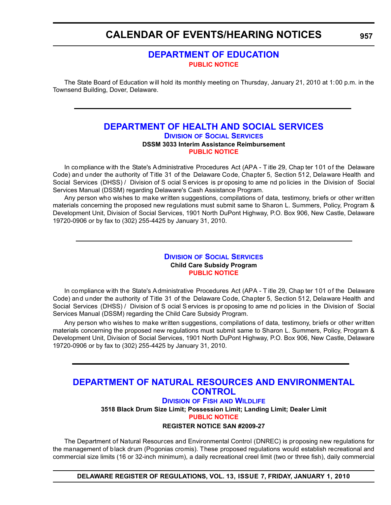### **CALENDAR OF EVENTS/HEARING NOTICES**

### **[DEPARTMENT OF EDUCATION](http://www.doe.k12.de.us/) [PUBLIC NOTICE](#page-4-0)**

The State Board of Education will hold its monthly meeting on Thursday, January 21, 2010 at 1:00 p.m. in the Townsend Building, Dover, Delaware.

### **[DEPARTMENT OF HEALTH AND SOCIAL SERVICES](http://www.dhss.delaware.gov/dhss/dss/index.html) DIVISION OF SOCIAL SERVICES DSSM 3033 Interim Assistance Reimbursement [PUBLIC NOTICE](#page-4-0)**

In compliance with the State's Administrative Procedures Act (APA - T itle 29, Chap ter 101 of the Delaware Code) and under the authority of Title 31 of the Delaware Code, Chapter 5, Section 512, Delaware Health and Social Services (DHSS) / Division of S ocial S ervices is pr oposing to ame nd po licies in the Division of Social Services Manual (DSSM) regarding Delaware's Cash Assistance Program.

Any person who wishes to make written suggestions, compilations of data, testimony, briefs or other written materials concerning the proposed new regulations must submit same to Sharon L. Summers, Policy, Program & Development Unit, Division of Social Services, 1901 North DuPont Highway, P.O. Box 906, New Castle, Delaware 19720-0906 or by fax to (302) 255-4425 by January 31, 2010.

#### **DIVISION [OF SOCIAL SERVICES](http://www.dhss.delaware.gov/dhss/dss/index.html) Child Care Subsidy Program [PUBLIC NOTICE](#page-4-0)**

In compliance with the State's Administrative Procedures Act (APA - T itle 29, Chap ter 101 of the Delaware Code) and under the authority of Title 31 of the Delaware Code, Chapter 5, Section 512, Delaware Health and Social Services (DHSS) / Division of S ocial S ervices is pr oposing to ame nd po licies in the Division of Social Services Manual (DSSM) regarding the Child Care Subsidy Program.

Any person who wishes to make written suggestions, compilations of data, testimony, briefs or other written materials concerning the proposed new regulations must submit same to Sharon L. Summers, Policy, Program & Development Unit, Division of Social Services, 1901 North DuPont Highway, P.O. Box 906, New Castle, Delaware 19720-0906 or by fax to (302) 255-4425 by January 31, 2010.

### **[DEPARTMENT OF NATURAL RESOURCES AND ENVIRONMENTAL](http://www.fw.delaware.gov/Pages/FWPortal.aspx)  CONTROL**

**DIVISION OF FISH AND WILDLIFE**

**3518 Black Drum Size Limit; Possession Limit; Landing Limit; Dealer Limit [PUBLIC NOTICE](#page-4-0)**

### **REGISTER NOTICE SAN #2009-27**

The Department of Natural Resources and Environmental Control (DNREC) is proposing new regulations for the management of black drum (Pogonias cromis). These proposed regulations would establish recreational and commercial size limits (16 or 32-inch minimum), a daily recreational creel limit (two or three fish), daily commercial

**DELAWARE REGISTER OF REGULATIONS, VOL. 13, ISSUE 7, FRIDAY, JANUARY 1, 2010**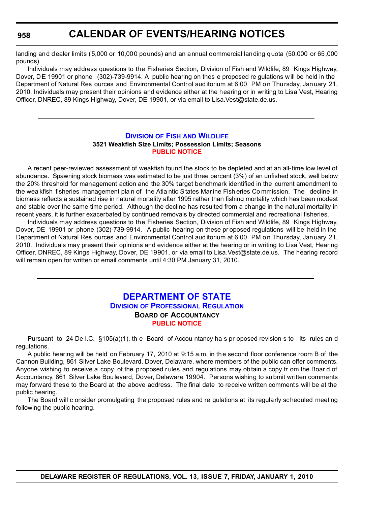### **CALENDAR OF EVENTS/HEARING NOTICES**

landing and dealer limits (5,000 or 10,000 pounds) and an annual commercial landing quota (50,000 or 65,000 pounds).

Individuals may address questions to the Fisheries Section, Division of Fish and Wildlife, 89 Kings Highway, Dover, DE 19901 or phone (302)-739-9914. A public hearing on thes e proposed re gulations will be held in the Department of Natural Res ources and Environmental Control auditorium at 6:00 PM on Thursday, January 21, 2010. Individuals may present their opinions and evidence either at the hearing or in writing to Lisa Vest, Hearing Officer, DNREC, 89 Kings Highway, Dover, DE 19901, or via email to Lisa.Vest@state.de.us.

#### **DIVISION OF FISH [AND WILDLIFE](http://www.fw.delaware.gov/Pages/FWPortal.aspx) 3521 Weakfish Size Limits; Possession Limits; Seasons [PUBLIC NOTICE](#page-4-0)**

A recent peer-reviewed assessment of weakfish found the stock to be depleted and at an all-time low level of abundance. Spawning stock biomass was estimated to be just three percent (3%) of an unfished stock, well below the 20% threshold for management action and the 30% target benchmark identified in the current amendment to the wea kfish fisheries management pla n of the Atla ntic States Mar ine Fish eries Co mmission. The decline in biomass reflects a sustained rise in natural mortality after 1995 rather than fishing mortality which has been modest and stable over the same time period. Although the decline has resulted from a change in the natural mortality in recent years, it is further exacerbated by continued removals by directed commercial and recreational fisheries.

Individuals may address questions to the Fisheries Section, Division of Fish and Wildlife, 89 Kings Highway, Dover, DE 19901 or phone (302)-739-9914. A public hearing on these pr oposed regulations will be held in the Department of Natural Res ources and Environmental Control auditorium at 6:00 PM on Thursday, January 21, 2010. Individuals may present their opinions and evidence either at the hearing or in writing to Lisa Vest, Hearing Officer, DNREC, 89 Kings Highway, Dover, DE 19901, or via email to Lisa.Vest@state.de.us. The hearing record will remain open for written or email comments until 4:30 PM January 31, 2010.

### **[DEPARTMENT OF STATE](http://dpr.delaware.gov/default.shtml) DIVISION OF PROFESSIONAL REGULATION BOARD OF ACCOUNTANCY [PUBLIC NOTICE](#page-4-0)**

Pursuant to 24 De l.C. §105(a)(1), th e Board of Accou ntancy ha s pr oposed revision s to its rules an d regulations.

A public hearing will be held on February 17, 2010 at 9:15 a.m. in the second floor conference room B of the Cannon Building, 861 Silver Lake Boulevard, Dover, Delaware, where members of the public can offer comments. Anyone wishing to receive a copy of the proposed rules and regulations may obtain a copy fr om the Boar d of Accountancy, 861 Silver Lake Boulevard, Dover, Delaware 19904. Persons wishing to submit written comments may forward these to the Board at the above address. The final date to receive written comments will be at the public hearing.

The Board will c onsider promulgating the proposed rules and re gulations at its regularly scheduled meeting following the public hearing.

**DELAWARE REGISTER OF REGULATIONS, VOL. 13, ISSUE 7, FRIDAY, JANUARY 1, 2010**